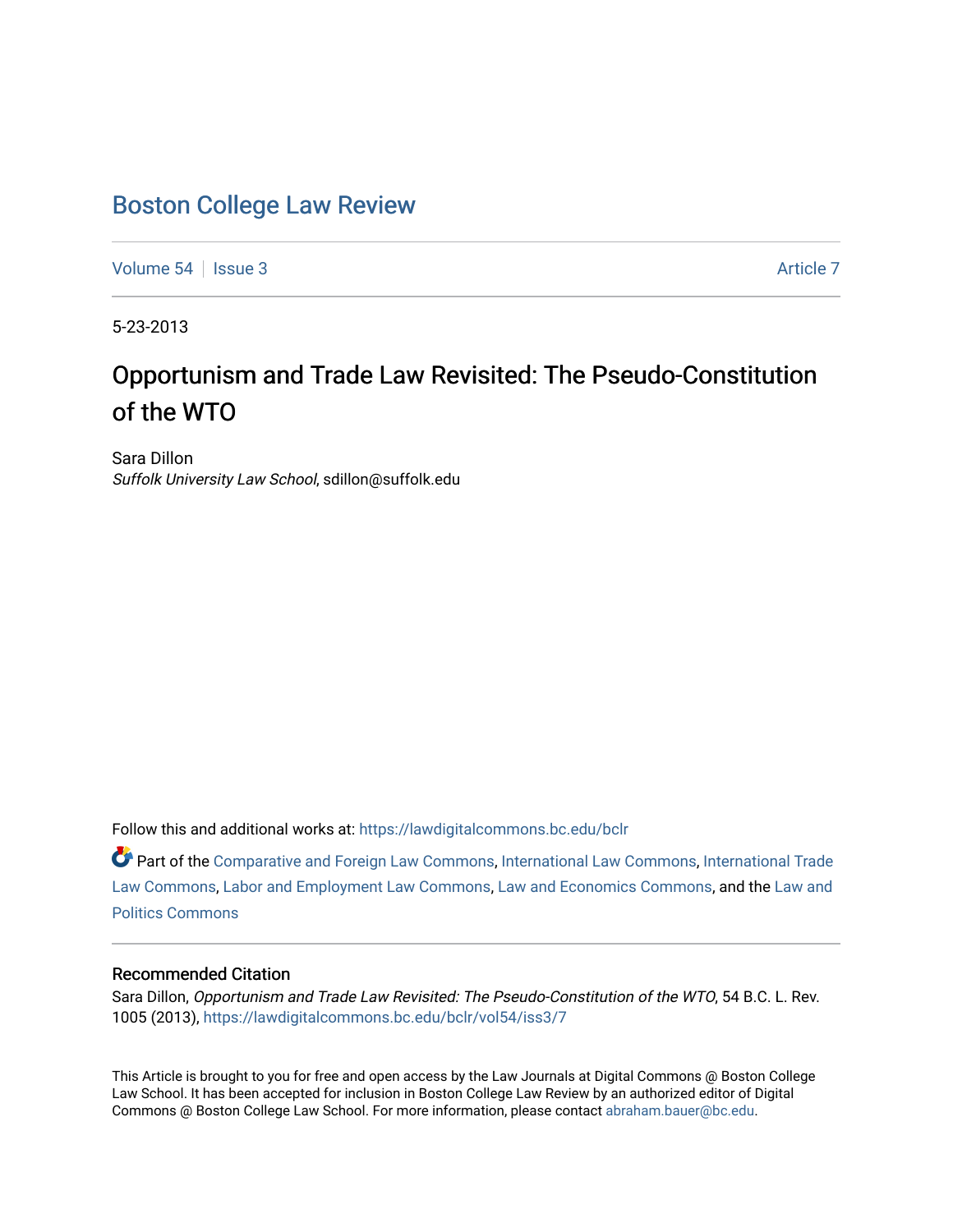# [Boston College Law Review](https://lawdigitalcommons.bc.edu/bclr)

[Volume 54](https://lawdigitalcommons.bc.edu/bclr/vol54) | [Issue 3](https://lawdigitalcommons.bc.edu/bclr/vol54/iss3) [Article 7](https://lawdigitalcommons.bc.edu/bclr/vol54/iss3/7) Article 7 Article 7 Article 7 Article 7 Article 7 Article 7

5-23-2013

# Opportunism and Trade Law Revisited: The Pseudo-Constitution of the WTO

Sara Dillon Suffolk University Law School, sdillon@suffolk.edu

Follow this and additional works at: [https://lawdigitalcommons.bc.edu/bclr](https://lawdigitalcommons.bc.edu/bclr?utm_source=lawdigitalcommons.bc.edu%2Fbclr%2Fvol54%2Fiss3%2F7&utm_medium=PDF&utm_campaign=PDFCoverPages) 

Part of the [Comparative and Foreign Law Commons,](http://network.bepress.com/hgg/discipline/836?utm_source=lawdigitalcommons.bc.edu%2Fbclr%2Fvol54%2Fiss3%2F7&utm_medium=PDF&utm_campaign=PDFCoverPages) [International Law Commons,](http://network.bepress.com/hgg/discipline/609?utm_source=lawdigitalcommons.bc.edu%2Fbclr%2Fvol54%2Fiss3%2F7&utm_medium=PDF&utm_campaign=PDFCoverPages) [International Trade](http://network.bepress.com/hgg/discipline/848?utm_source=lawdigitalcommons.bc.edu%2Fbclr%2Fvol54%2Fiss3%2F7&utm_medium=PDF&utm_campaign=PDFCoverPages)  [Law Commons,](http://network.bepress.com/hgg/discipline/848?utm_source=lawdigitalcommons.bc.edu%2Fbclr%2Fvol54%2Fiss3%2F7&utm_medium=PDF&utm_campaign=PDFCoverPages) [Labor and Employment Law Commons,](http://network.bepress.com/hgg/discipline/909?utm_source=lawdigitalcommons.bc.edu%2Fbclr%2Fvol54%2Fiss3%2F7&utm_medium=PDF&utm_campaign=PDFCoverPages) [Law and Economics Commons,](http://network.bepress.com/hgg/discipline/612?utm_source=lawdigitalcommons.bc.edu%2Fbclr%2Fvol54%2Fiss3%2F7&utm_medium=PDF&utm_campaign=PDFCoverPages) and the [Law and](http://network.bepress.com/hgg/discipline/867?utm_source=lawdigitalcommons.bc.edu%2Fbclr%2Fvol54%2Fiss3%2F7&utm_medium=PDF&utm_campaign=PDFCoverPages) [Politics Commons](http://network.bepress.com/hgg/discipline/867?utm_source=lawdigitalcommons.bc.edu%2Fbclr%2Fvol54%2Fiss3%2F7&utm_medium=PDF&utm_campaign=PDFCoverPages)

# Recommended Citation

Sara Dillon, Opportunism and Trade Law Revisited: The Pseudo-Constitution of the WTO, 54 B.C. L. Rev. 1005 (2013), [https://lawdigitalcommons.bc.edu/bclr/vol54/iss3/7](https://lawdigitalcommons.bc.edu/bclr/vol54/iss3/7?utm_source=lawdigitalcommons.bc.edu%2Fbclr%2Fvol54%2Fiss3%2F7&utm_medium=PDF&utm_campaign=PDFCoverPages)

This Article is brought to you for free and open access by the Law Journals at Digital Commons @ Boston College Law School. It has been accepted for inclusion in Boston College Law Review by an authorized editor of Digital Commons @ Boston College Law School. For more information, please contact [abraham.bauer@bc.edu.](mailto:abraham.bauer@bc.edu)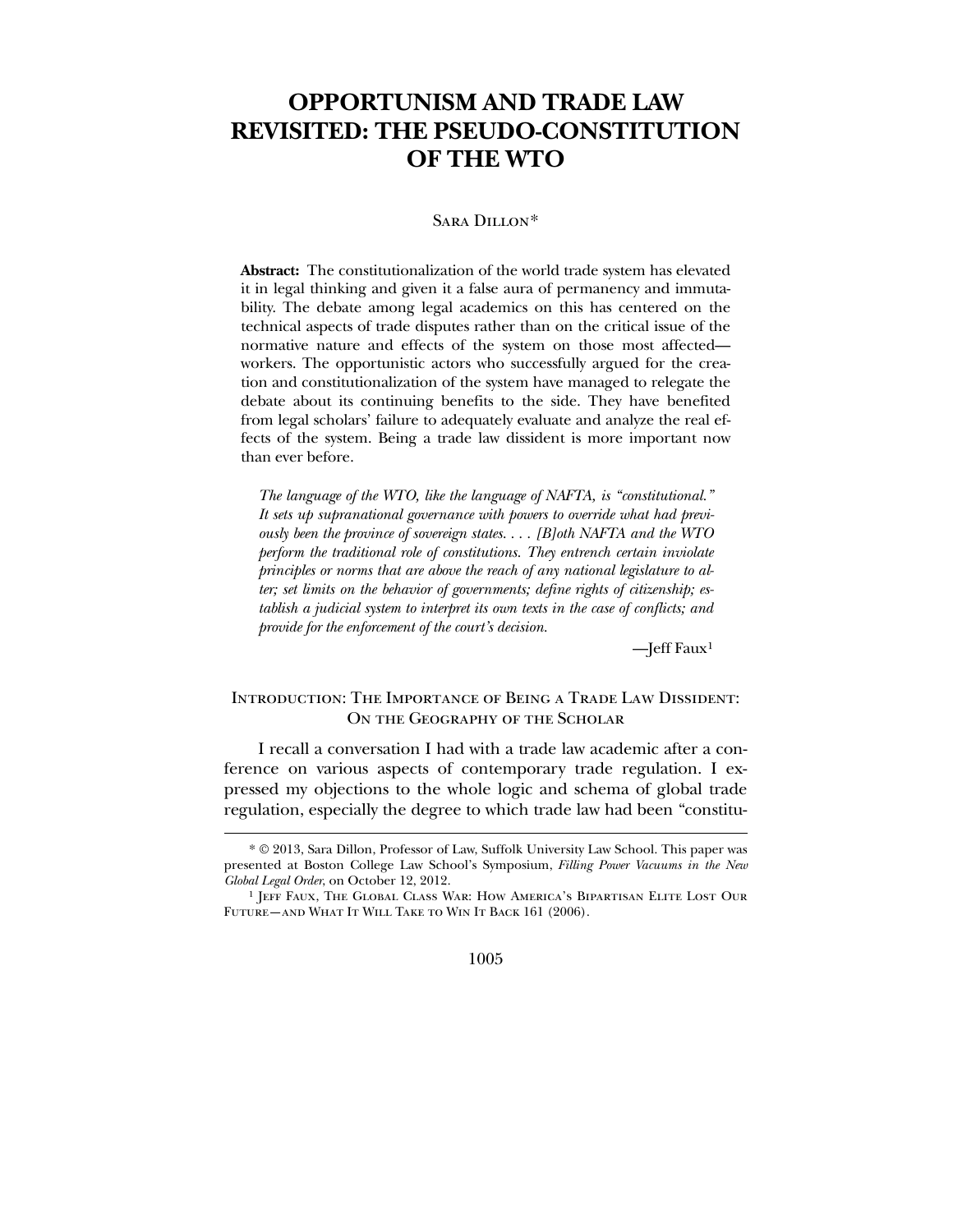# **OPPORTUNISM AND TRADE LAW REVISITED: THE PSEUDO-CONSTITUTION OF THE WTO**

#### Sara Dillon[\\*](#page-1-0)

**Abstract:** The constitutionalization of the world trade system has elevated it in legal thinking and given it a false aura of permanency and immutability. The debate among legal academics on this has centered on the technical aspects of trade disputes rather than on the critical issue of the normative nature and effects of the system on those most affected workers. The opportunistic actors who successfully argued for the creation and constitutionalization of the system have managed to relegate the debate about its continuing benefits to the side. They have benefited from legal scholars' failure to adequately evaluate and analyze the real effects of the system. Being a trade law dissident is more important now than ever before.

*The language of the WTO, like the language of NAFTA, is "constitutional." It sets up supranational governance with powers to override what had previously been the province of sovereign states. . . . [B]oth NAFTA and the WTO perform the traditional role of constitutions. They entrench certain inviolate principles or norms that are above the reach of any national legislature to alter; set limits on the behavior of governments; define rights of citizenship; establish a judicial system to interpret its own texts in the case of conflicts; and provide for the enforcement of the court's decision.*

—Jeff Faux[1](#page-1-1)

# Introduction: The Importance of Being a Trade Law Dissident: ON THE GEOGRAPHY OF THE SCHOLAR

 I recall a conversation I had with a trade law academic after a conference on various aspects of contemporary trade regulation. I expressed my objections to the whole logic and schema of global trade regulation, especially the degree to which trade law had been "constitu-

 $\overline{a}$ 

1005

<sup>\*</sup> © 2013, Sara Dillon, Professor of Law, Suffolk University Law School. This paper was presented at Boston College Law School's Symposium, *Filling Power Vacuums in the New Global Legal Order*, on October 12, 2012.

<span id="page-1-1"></span><span id="page-1-0"></span><sup>1</sup> Jeff Faux, The Global Class War: How America's Bipartisan Elite Lost Our FUTURE—AND WHAT IT WILL TAKE TO WIN IT BACK 161 (2006).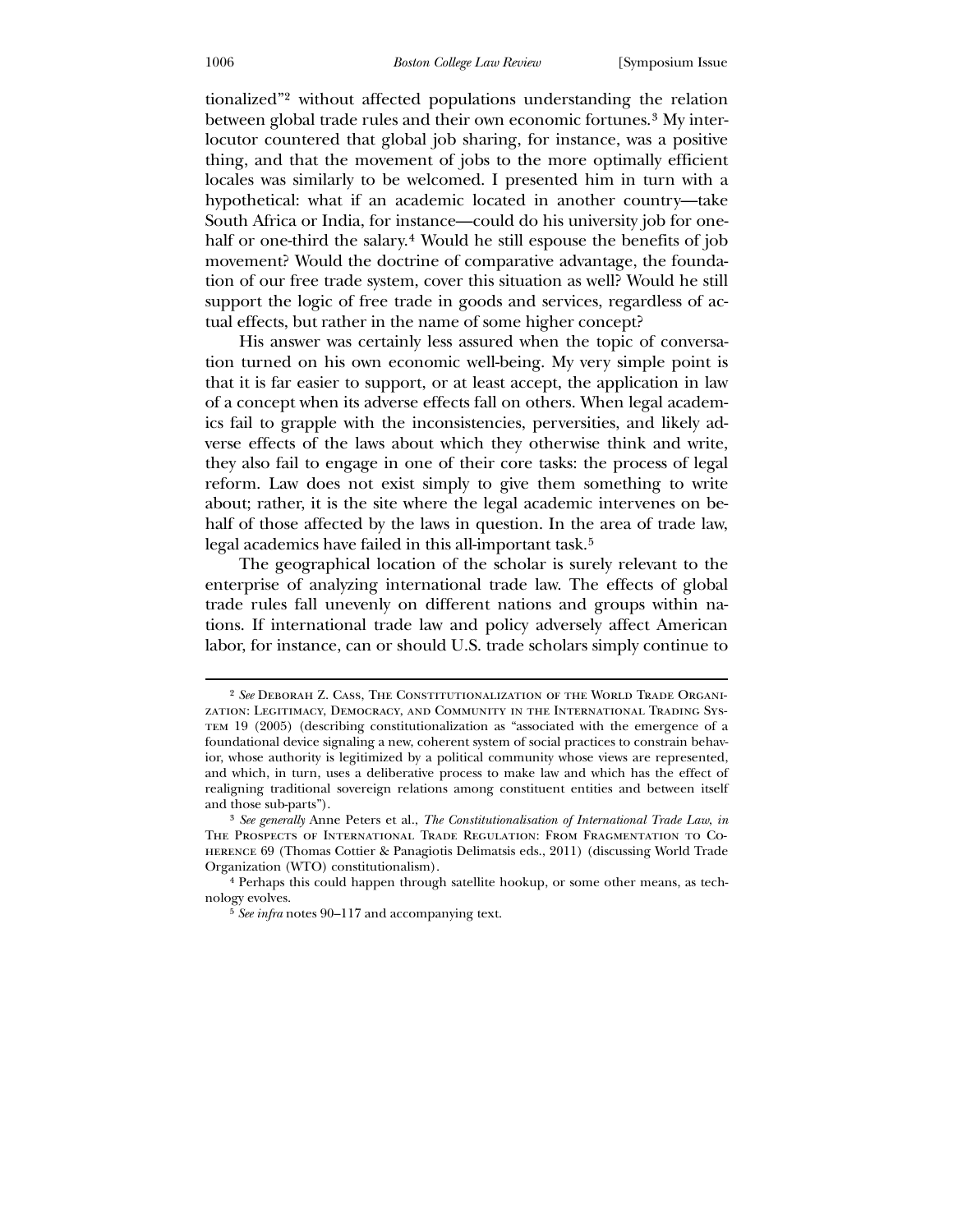tionalized"[2](#page-2-0) without affected populations understanding the relation between global trade rules and their own economic fortunes.<sup>[3](#page-2-1)</sup> My interlocutor countered that global job sharing, for instance, was a positive thing, and that the movement of jobs to the more optimally efficient locales was similarly to be welcomed. I presented him in turn with a hypothetical: what if an academic located in another country—take South Africa or India, for instance—could do his university job for one-half or one-third the salary.<sup>[4](#page-2-2)</sup> Would he still espouse the benefits of job movement? Would the doctrine of comparative advantage, the foundation of our free trade system, cover this situation as well? Would he still support the logic of free trade in goods and services, regardless of actual effects, but rather in the name of some higher concept?

 His answer was certainly less assured when the topic of conversation turned on his own economic well-being. My very simple point is that it is far easier to support, or at least accept, the application in law of a concept when its adverse effects fall on others. When legal academics fail to grapple with the inconsistencies, perversities, and likely adverse effects of the laws about which they otherwise think and write, they also fail to engage in one of their core tasks: the process of legal reform. Law does not exist simply to give them something to write about; rather, it is the site where the legal academic intervenes on behalf of those affected by the laws in question. In the area of trade law, legal academics have failed in this all-important task.<sup>[5](#page-2-3)</sup>

 The geographical location of the scholar is surely relevant to the enterprise of analyzing international trade law. The effects of global trade rules fall unevenly on different nations and groups within nations. If international trade law and policy adversely affect American labor, for instance, can or should U.S. trade scholars simply continue to

<sup>2</sup> *See* Deborah Z. Cass, The Constitutionalization of the World Trade Organization: Legitimacy, Democracy, and Community in the International Trading System 19 (2005) (describing constitutionalization as "associated with the emergence of a foundational device signaling a new, coherent system of social practices to constrain behavior, whose authority is legitimized by a political community whose views are represented, and which, in turn, uses a deliberative process to make law and which has the effect of realigning traditional sovereign relations among constituent entities and between itself and those sub-parts").

<sup>3</sup> *See generally* Anne Peters et al., *The Constitutionalisation of International Trade Law*, *in*  The Prospects of International Trade Regulation: From Fragmentation to Coherence 69 (Thomas Cottier & Panagiotis Delimatsis eds., 2011) (discussing World Trade Organization (WTO) constitutionalism).

<span id="page-2-0"></span><sup>4</sup> Perhaps this could happen through satellite hookup, or some other means, as technology evolves.

<span id="page-2-3"></span><span id="page-2-2"></span><span id="page-2-1"></span><sup>5</sup> *See infra* notes 90–117 and accompanying text.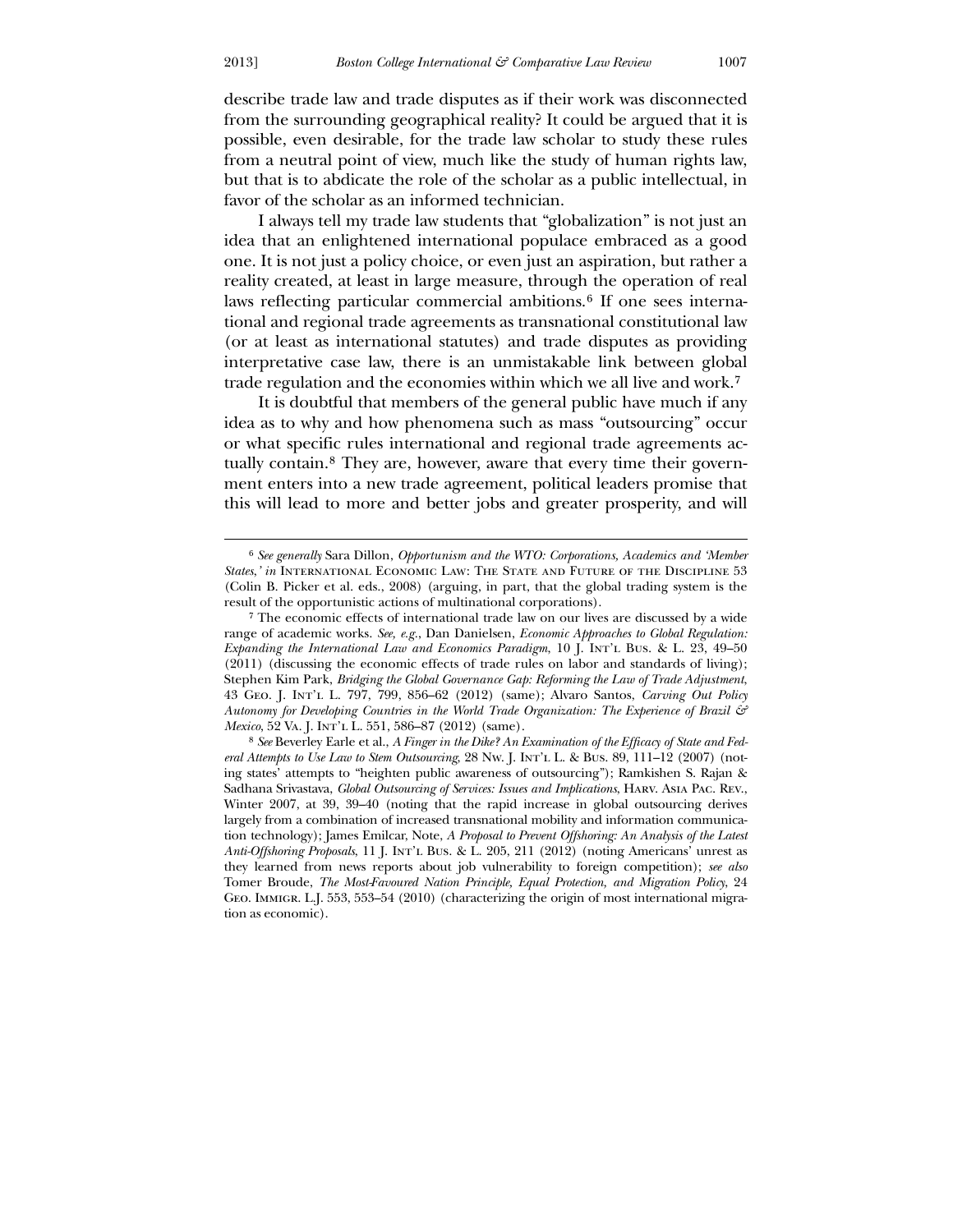<u>.</u>

describe trade law and trade disputes as if their work was disconnected from the surrounding geographical reality? It could be argued that it is possible, even desirable, for the trade law scholar to study these rules from a neutral point of view, much like the study of human rights law, but that is to abdicate the role of the scholar as a public intellectual, in favor of the scholar as an informed technician.

 I always tell my trade law students that "globalization" is not just an idea that an enlightened international populace embraced as a good one. It is not just a policy choice, or even just an aspiration, but rather a reality created, at least in large measure, through the operation of real laws reflecting particular commercial ambitions.<sup>[6](#page-3-0)</sup> If one sees international and regional trade agreements as transnational constitutional law (or at least as international statutes) and trade disputes as providing interpretative case law, there is an unmistakable link between global trade regulation and the economies within which we all live and work.[7](#page-3-1)

 It is doubtful that members of the general public have much if any idea as to why and how phenomena such as mass "outsourcing" occur or what specific rules international and regional trade agreements actually contain.[8](#page-3-2) They are, however, aware that every time their government enters into a new trade agreement, political leaders promise that this will lead to more and better jobs and greater prosperity, and will

<sup>6</sup> *See generally* Sara Dillon, *Opportunism and the WTO: Corporations, Academics and 'Member States*,*' in* International Economic Law: The State and Future of the Discipline 53 (Colin B. Picker et al. eds., 2008) (arguing, in part, that the global trading system is the result of the opportunistic actions of multinational corporations).

<sup>7</sup> The economic effects of international trade law on our lives are discussed by a wide range of academic works. *See, e.g.*, Dan Danielsen, *Economic Approaches to Global Regulation: Expanding the International Law and Economics Paradigm*, 10 J. Int'l Bus. & L. 23, 49–50 (2011) (discussing the economic effects of trade rules on labor and standards of living); Stephen Kim Park, *Bridging the Global Governance Gap: Reforming the Law of Trade Adjustment*, 43 Geo. J. Int'l L. 797, 799, 856–62 (2012) (same); Alvaro Santos, *Carving Out Policy Autonomy for Developing Countries in the World Trade Organization: The Experience of Brazil & Mexico*, 52 Va. J. INT'L L. 551, 586-87 (2012) (same).

<span id="page-3-2"></span><span id="page-3-1"></span><span id="page-3-0"></span><sup>8</sup> *See* Beverley Earle et al., *A Finger in the Dike? An Examination of the Efficacy of State and Federal Attempts to Use Law to Stem Outsourcing*, 28 Nw. J. Int'l L. & Bus. 89, 111–12 (2007) (noting states' attempts to "heighten public awareness of outsourcing"); Ramkishen S. Rajan & Sadhana Srivastava, *Global Outsourcing of Services: Issues and Implications*, Harv. Asia Pac. Rev., Winter 2007, at 39, 39–40 (noting that the rapid increase in global outsourcing derives largely from a combination of increased transnational mobility and information communication technology); James Emilcar, Note, *A Proposal to Prevent Offshoring: An Analysis of the Latest Anti-Offshoring Proposals*, 11 J. Int'l Bus. & L. 205, 211 (2012) (noting Americans' unrest as they learned from news reports about job vulnerability to foreign competition); *see also* Tomer Broude, *The Most-Favoured Nation Principle, Equal Protection, and Migration Policy*, 24 Geo. Immigr. L.J. 553, 553–54 (2010) (characterizing the origin of most international migration as economic).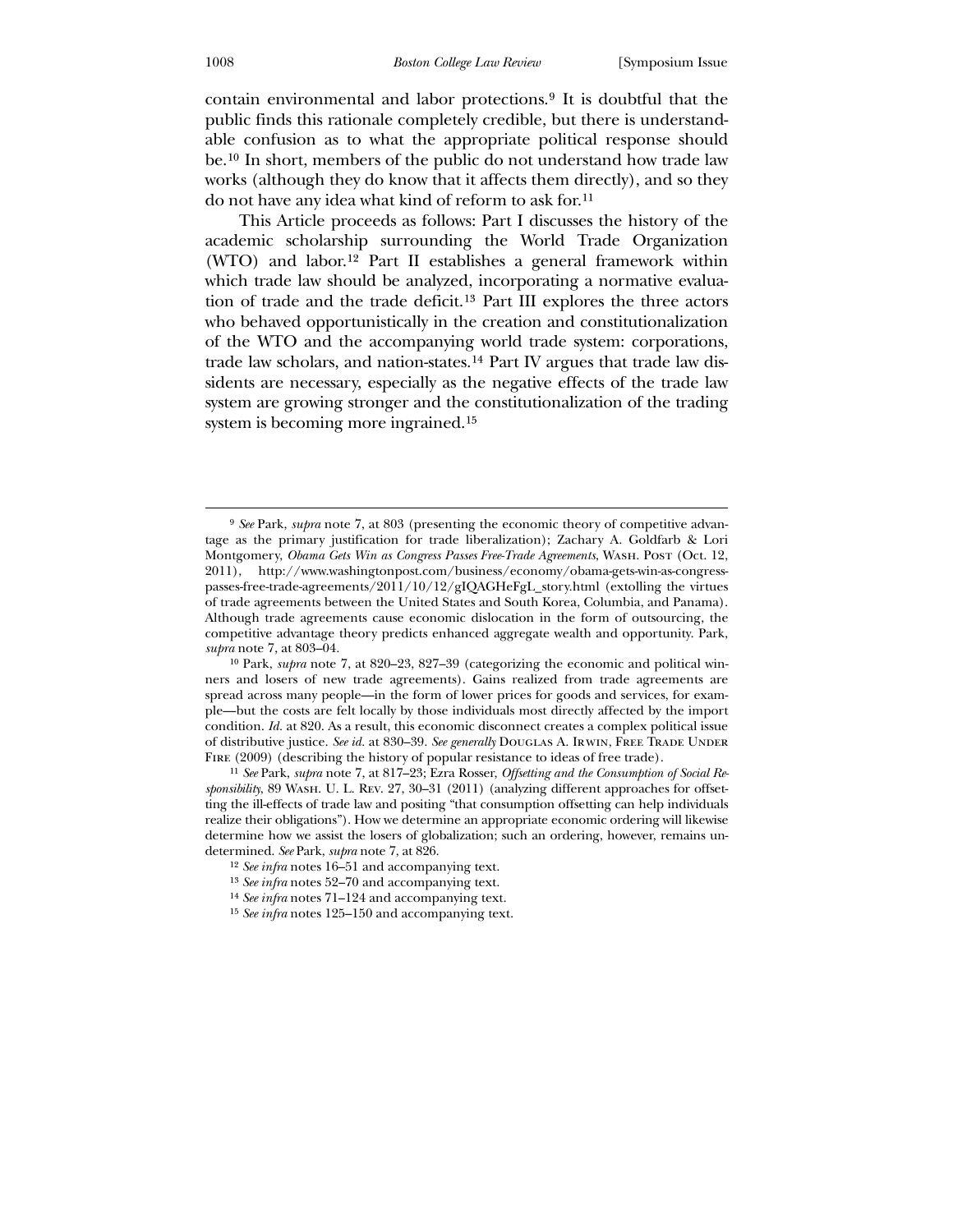contain environmental and labor protections.[9](#page-4-0) It is doubtful that the public finds this rationale completely credible, but there is understandable confusion as to what the appropriate political response should be.[10](#page-4-1) In short, members of the public do not understand how trade law works (although they do know that it affects them directly), and so they do not have any idea what kind of reform to ask for.[11](#page-4-2)

 This Article proceeds as follows: Part I discusses the history of the academic scholarship surrounding the World Trade Organization (WTO) and labor.[12](#page-4-3) Part II establishes a general framework within which trade law should be analyzed, incorporating a normative evaluation of trade and the trade deficit.[13](#page-4-4) Part III explores the three actors who behaved opportunistically in the creation and constitutionalization of the WTO and the accompanying world trade system: corporations, trade law scholars, and nation-states.[14](#page-4-5) Part IV argues that trade law dissidents are necessary, especially as the negative effects of the trade law system are growing stronger and the constitutionalization of the trading system is becoming more ingrained.<sup>[15](#page-4-6)</sup>

<sup>9</sup> *See* Park, *supra* note 7, at 803 (presenting the economic theory of competitive advantage as the primary justification for trade liberalization); Zachary A. Goldfarb & Lori Montgomery, *Obama Gets Win as Congress Passes Free-Trade Agreements*, Wash. Post (Oct. 12, 2011), http://www.washingtonpost.com/business/economy/obama-gets-win-as-congresspasses-free-trade-agreements/2011/10/12/gIQAGHeFgL\_story.html (extolling the virtues of trade agreements between the United States and South Korea, Columbia, and Panama). Although trade agreements cause economic dislocation in the form of outsourcing, the competitive advantage theory predicts enhanced aggregate wealth and opportunity. Park, *supra* note 7, at 803–04.

<sup>10</sup> Park, *supra* note 7, at 820–23, 827–39 (categorizing the economic and political winners and losers of new trade agreements). Gains realized from trade agreements are spread across many people—in the form of lower prices for goods and services, for example—but the costs are felt locally by those individuals most directly affected by the import condition. *Id.* at 820. As a result, this economic disconnect creates a complex political issue of distributive justice. See id. at 830-39. See generally DOUGLAS A. IRWIN, FREE TRADE UNDER FIRE (2009) (describing the history of popular resistance to ideas of free trade).

<span id="page-4-0"></span><sup>11</sup> *See* Park, *supra* note 7, at 817–23; Ezra Rosser, *Offsetting and the Consumption of Social Responsibility*, 89 Wash. U. L. Rev. 27, 30–31 (2011) (analyzing different approaches for offsetting the ill-effects of trade law and positing "that consumption offsetting can help individuals realize their obligations"). How we determine an appropriate economic ordering will likewise determine how we assist the losers of globalization; such an ordering, however, remains undetermined. *See* Park, *supra* note 7, at 826.

<sup>12</sup> *See infra* notes 16–51 and accompanying text.

<span id="page-4-1"></span><sup>13</sup> *See infra* notes 52–70 and accompanying text.

<sup>14</sup> *See infra* notes 71–124 and accompanying text.

<span id="page-4-6"></span><span id="page-4-5"></span><span id="page-4-4"></span><span id="page-4-3"></span><span id="page-4-2"></span><sup>15</sup> *See infra* notes 125–150 and accompanying text.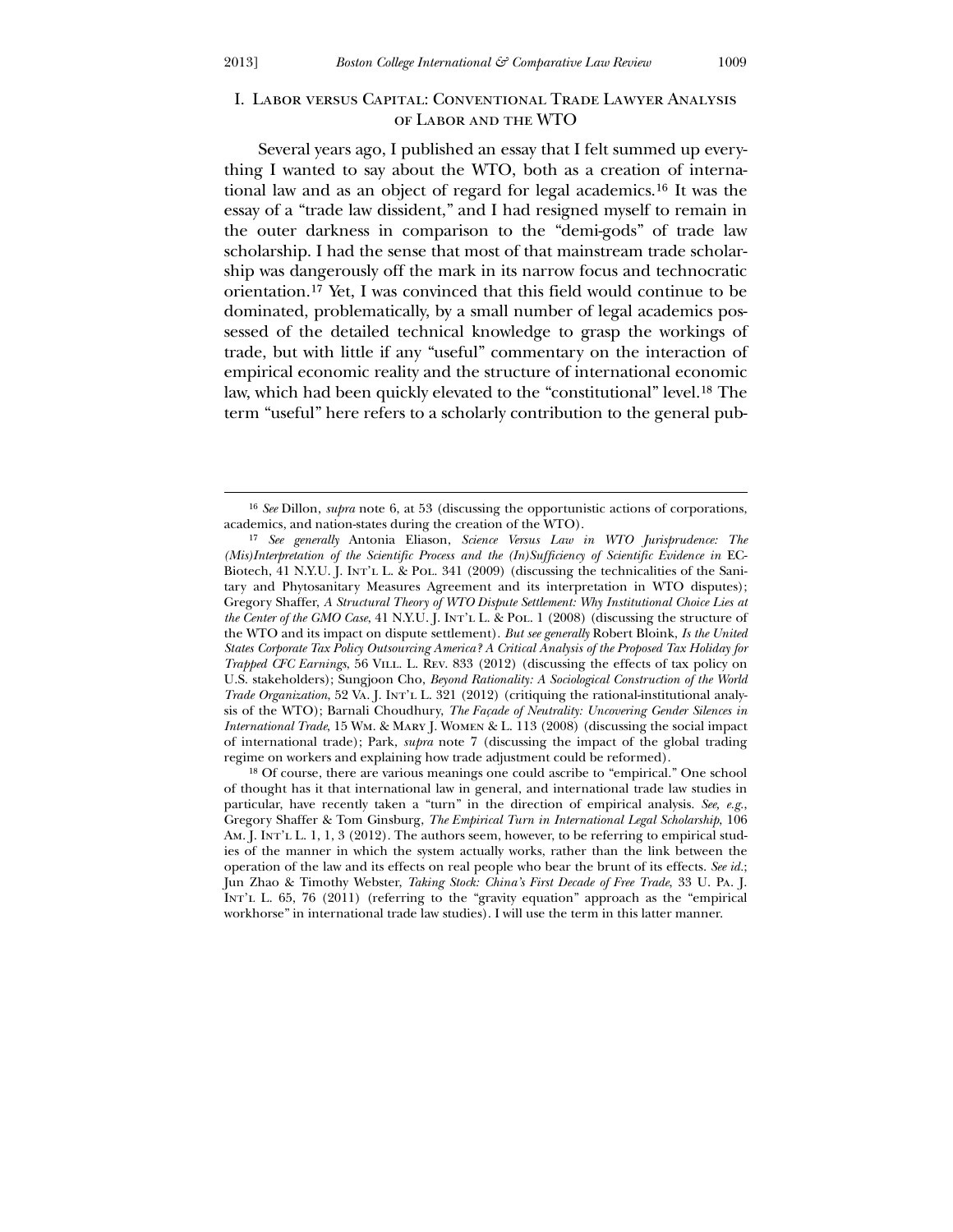$\overline{a}$ 

# I. Labor versus Capital: Conventional Trade Lawyer Analysis of Labor and the WTO

 Several years ago, I published an essay that I felt summed up everything I wanted to say about the WTO, both as a creation of international law and as an object of regard for legal academics.[16](#page-5-0) It was the essay of a "trade law dissident," and I had resigned myself to remain in the outer darkness in comparison to the "demi-gods" of trade law scholarship. I had the sense that most of that mainstream trade scholarship was dangerously off the mark in its narrow focus and technocratic orientation.[17](#page-5-1) Yet, I was convinced that this field would continue to be dominated, problematically, by a small number of legal academics possessed of the detailed technical knowledge to grasp the workings of trade, but with little if any "useful" commentary on the interaction of empirical economic reality and the structure of international economic law, which had been quickly elevated to the "constitutional" level.[18](#page-5-2) The term "useful" here refers to a scholarly contribution to the general pub-

<span id="page-5-2"></span><span id="page-5-1"></span><span id="page-5-0"></span>18 Of course, there are various meanings one could ascribe to "empirical." One school of thought has it that international law in general, and international trade law studies in particular, have recently taken a "turn" in the direction of empirical analysis. *See, e.g.*, Gregory Shaffer & Tom Ginsburg, *The Empirical Turn in International Legal Scholarship*, 106 AM. J. INT'L L. 1, 1, 3 (2012). The authors seem, however, to be referring to empirical studies of the manner in which the system actually works, rather than the link between the operation of the law and its effects on real people who bear the brunt of its effects. *See id.*; Jun Zhao & Timothy Webster, *Taking Stock: China's First Decade of Free Trade*, 33 U. Pa. J. INT'L L. 65, 76 (2011) (referring to the "gravity equation" approach as the "empirical workhorse" in international trade law studies). I will use the term in this latter manner.

<sup>16</sup> *See* Dillon, *supra* note 6, at 53 (discussing the opportunistic actions of corporations, academics, and nation-states during the creation of the WTO).

<sup>17</sup> *See generally* Antonia Eliason, *Science Versus Law in WTO Jurisprudence: The (Mis)Interpretation of the Scientific Process and the (In)Sufficiency of Scientific Evidence in* EC-Biotech, 41 N.Y.U. J. Int'l L. & Pol. 341 (2009) (discussing the technicalities of the Sanitary and Phytosanitary Measures Agreement and its interpretation in WTO disputes); Gregory Shaffer, *A Structural Theory of WTO Dispute Settlement: Why Institutional Choice Lies at the Center of the GMO Case*, 41 N.Y.U. J. Int'l L. & Pol. 1 (2008) (discussing the structure of the WTO and its impact on dispute settlement). *But see generally* Robert Bloink, *Is the United States Corporate Tax Policy Outsourcing America? A Critical Analysis of the Proposed Tax Holiday for Trapped CFC Earnings*, 56 VILL. L. Rev. 833 (2012) (discussing the effects of tax policy on U.S. stakeholders); Sungjoon Cho, *Beyond Rationality: A Sociological Construction of the World Trade Organization*, 52 VA. J. INT'L L. 321 (2012) (critiquing the rational-institutional analysis of the WTO); Barnali Choudhury, *The Façade of Neutrality: Uncovering Gender Silences in International Trade*, 15 Wm. & Mary J. Women & L. 113 (2008) (discussing the social impact of international trade); Park, *supra* note 7 (discussing the impact of the global trading regime on workers and explaining how trade adjustment could be reformed).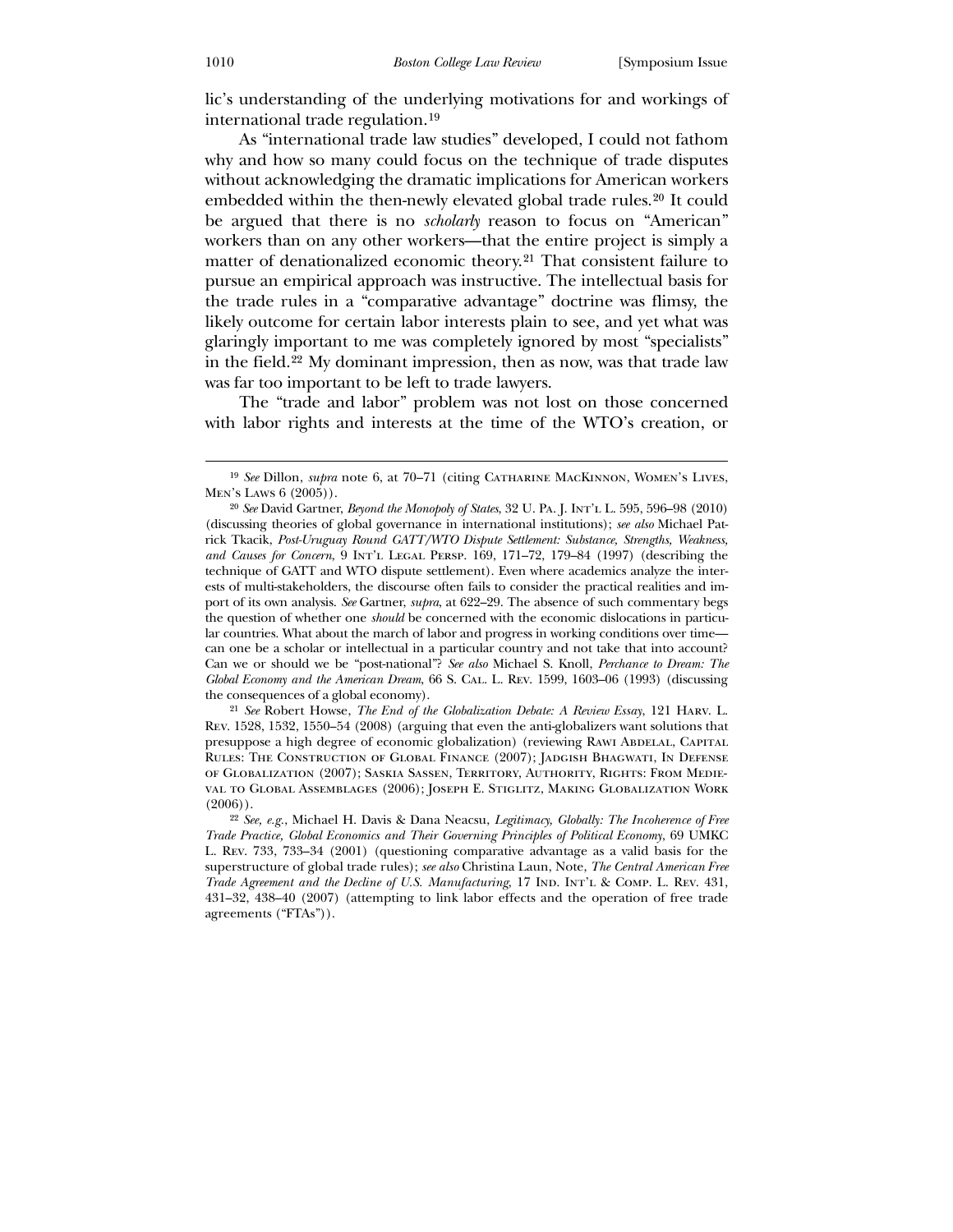lic's understanding of the underlying motivations for and workings of international trade regulation.[19](#page-6-0)

 As "international trade law studies" developed, I could not fathom why and how so many could focus on the technique of trade disputes without acknowledging the dramatic implications for American workers embedded within the then-newly elevated global trade rules.[20](#page-6-1) It could be argued that there is no *scholarly* reason to focus on "American" workers than on any other workers—that the entire project is simply a matter of denationalized economic theory.[21](#page-6-2) That consistent failure to pursue an empirical approach was instructive. The intellectual basis for the trade rules in a "comparative advantage" doctrine was flimsy, the likely outcome for certain labor interests plain to see, and yet what was glaringly important to me was completely ignored by most "specialists" in the field.[22](#page-6-3) My dominant impression, then as now, was that trade law was far too important to be left to trade lawyers.

 The "trade and labor" problem was not lost on those concerned with labor rights and interests at the time of the WTO's creation, or

<span id="page-6-1"></span><span id="page-6-0"></span>21 *See* Robert Howse, *The End of the Globalization Debate: A Review Essay*, 121 Harv. L. Rev. 1528, 1532, 1550–54 (2008) (arguing that even the anti-globalizers want solutions that presuppose a high degree of economic globalization) (reviewing RAWI ABDELAL, CAPITAL Rules: The Construction of Global Finance (2007); Jadgish Bhagwati, In Defense of Globalization (2007); Saskia Sassen, Territory, Authority, Rights: From Medieval to Global Assemblages (2006); Joseph E. Stiglitz, Making Globalization Work  $(2006)$ ).

<sup>19</sup> *See* Dillon, *supra* note 6, at 70–71 (citing Catharine MacKinnon, Women's Lives, Men's Laws 6 (2005)).

<sup>20</sup> *See* David Gartner, *Beyond the Monopoly of States*, 32 U. Pa. J. Int'l L. 595, 596–98 (2010) (discussing theories of global governance in international institutions); *see also* Michael Patrick Tkacik, *Post-Uruguay Round GATT/WTO Dispute Settlement: Substance, Strengths, Weakness, and Causes for Concern*, 9 Int'l Legal Persp. 169, 171–72, 179–84 (1997) (describing the technique of GATT and WTO dispute settlement). Even where academics analyze the interests of multi-stakeholders, the discourse often fails to consider the practical realities and import of its own analysis. *See* Gartner, *supra*, at 622–29. The absence of such commentary begs the question of whether one *should* be concerned with the economic dislocations in particular countries. What about the march of labor and progress in working conditions over time can one be a scholar or intellectual in a particular country and not take that into account? Can we or should we be "post-national"? *See also* Michael S. Knoll, *Perchance to Dream: The Global Economy and the American Dream*, 66 S. Cal. L. Rev. 1599, 1603–06 (1993) (discussing the consequences of a global economy).

<span id="page-6-3"></span><span id="page-6-2"></span><sup>22</sup> *See, e.g.*, Michael H. Davis & Dana Neacsu, *Legitimacy, Globally: The Incoherence of Free Trade Practice, Global Economics and Their Governing Principles of Political Economy*, 69 UMKC L. Rev. 733, 733–34 (2001) (questioning comparative advantage as a valid basis for the superstructure of global trade rules); *see also* Christina Laun, Note, *The Central American Free Trade Agreement and the Decline of U.S. Manufacturing*, 17 IND. INT'L & COMP. L. REV. 431, 431–32, 438–40 (2007) (attempting to link labor effects and the operation of free trade agreements ("FTAs")).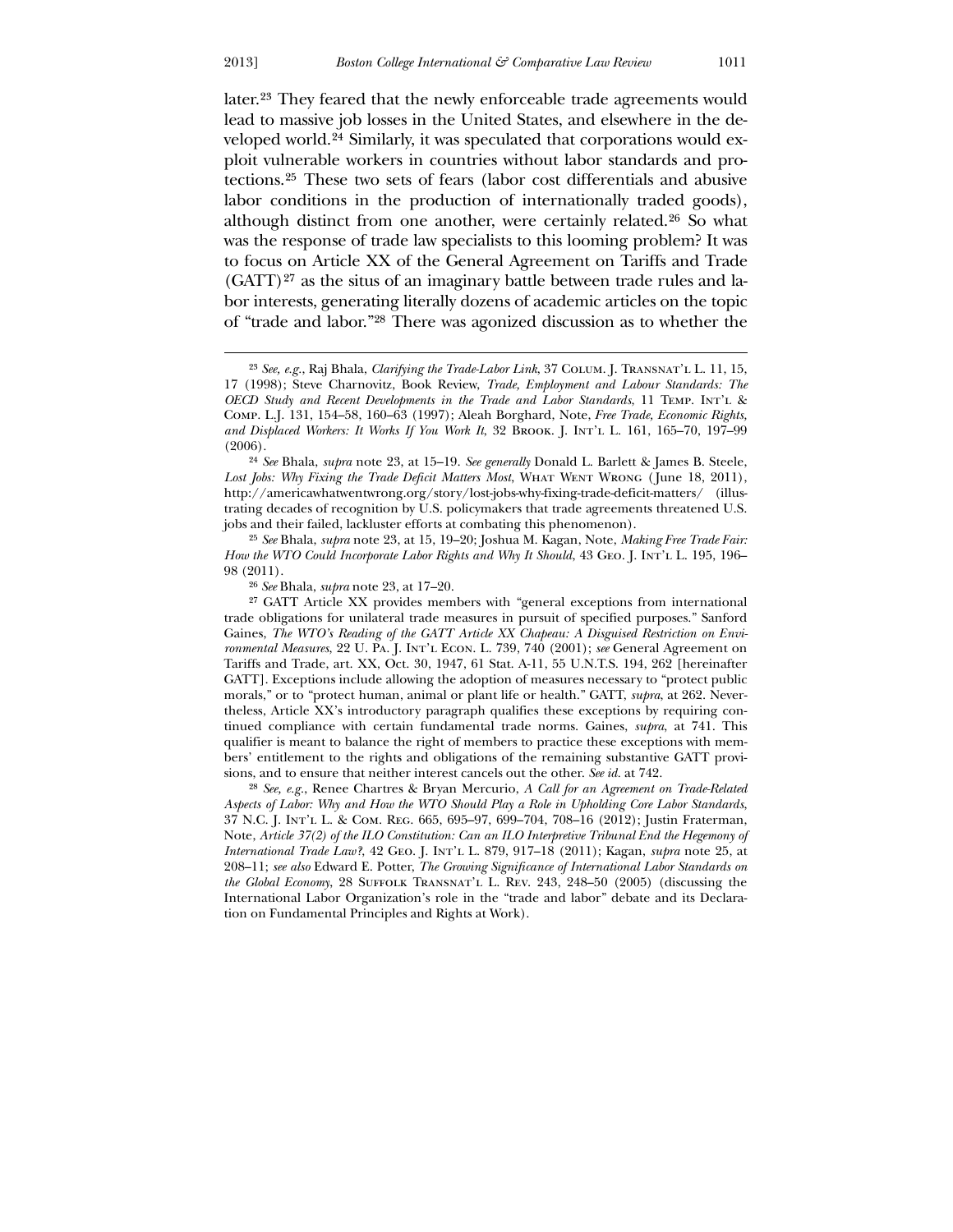<u>.</u>

later.[23](#page-7-0) They feared that the newly enforceable trade agreements would lead to massive job losses in the United States, and elsewhere in the developed world.[24](#page-7-1) Similarly, it was speculated that corporations would exploit vulnerable workers in countries without labor standards and protections.[25](#page-7-2) These two sets of fears (labor cost differentials and abusive labor conditions in the production of internationally traded goods), although distinct from one another, were certainly related.[26](#page-7-3) So what was the response of trade law specialists to this looming problem? It was to focus on Article XX of the General Agreement on Tariffs and Trade  $(GATT)^{27}$  $(GATT)^{27}$  $(GATT)^{27}$  as the situs of an imaginary battle between trade rules and labor interests, generating literally dozens of academic articles on the topic of "trade and labor."[28](#page-7-5) There was agonized discussion as to whether the

<span id="page-7-5"></span><span id="page-7-4"></span><span id="page-7-3"></span><span id="page-7-2"></span>28 *See, e.g.*, Renee Chartres & Bryan Mercurio, *A Call for an Agreement on Trade-Related Aspects of Labor: Why and How the WTO Should Play a Role in Upholding Core Labor Standards*, 37 N.C. J. Int'l L. & Com. Reg. 665, 695–97, 699–704, 708–16 (2012); Justin Fraterman, Note, *Article 37(2) of the ILO Constitution: Can an ILO Interpretive Tribunal End the Hegemony of International Trade Law?*, 42 Geo. J. Int'l L. 879, 917–18 (2011); Kagan, *supra* note 25, at 208–11; *see also* Edward E. Potter, *The Growing Significance of International Labor Standards on the Global Economy*, 28 Suffolk Transnat'l L. Rev. 243, 248–50 (2005) (discussing the International Labor Organization's role in the "trade and labor" debate and its Declaration on Fundamental Principles and Rights at Work).

<sup>23</sup> *See, e.g.*, Raj Bhala, *Clarifying the Trade-Labor Link*, 37 Colum. J. Transnat'l L. 11, 15, 17 (1998); Steve Charnovitz, Book Review, *Trade, Employment and Labour Standards: The OECD Study and Recent Developments in the Trade and Labor Standards*, 11 Temp. Int'l & Comp. L.J. 131, 154–58, 160–63 (1997); Aleah Borghard, Note, *Free Trade, Economic Rights, and Displaced Workers: It Works If You Work It*, 32 Brook. J. Int'l L. 161, 165–70, 197–99 (2006).

<sup>24</sup> *See* Bhala, *supra* note 23, at 15–19. *See generally* Donald L. Barlett & James B. Steele, Lost Jobs: Why Fixing the Trade Deficit Matters Most, WHAT WENT WRONG (June 18, 2011), http://americawhatwentwrong.org/story/lost-jobs-why-fixing-trade-deficit-matters/ (illustrating decades of recognition by U.S. policymakers that trade agreements threatened U.S. jobs and their failed, lackluster efforts at combating this phenomenon).

<sup>25</sup> *See* Bhala, *supra* note 23, at 15, 19–20; Joshua M. Kagan, Note, *Making Free Trade Fair: How the WTO Could Incorporate Labor Rights and Why It Should*, 43 GEO. J. INT'L L. 195, 196– 98 (2011).

<sup>26</sup> *See* Bhala, *supra* note 23, at 17–20.

<span id="page-7-1"></span><span id="page-7-0"></span><sup>27</sup> GATT Article XX provides members with "general exceptions from international trade obligations for unilateral trade measures in pursuit of specified purposes." Sanford Gaines, *The WTO's Reading of the GATT Article XX Chapeau: A Disguised Restriction on Environmental Measures*, 22 U. Pa. J. Int'l Econ. L. 739, 740 (2001); *see* General Agreement on Tariffs and Trade, art. XX, Oct. 30, 1947, 61 Stat. A-11, 55 U.N.T.S. 194, 262 [hereinafter GATT]. Exceptions include allowing the adoption of measures necessary to "protect public morals," or to "protect human, animal or plant life or health." GATT, *supra*, at 262. Nevertheless, Article XX's introductory paragraph qualifies these exceptions by requiring continued compliance with certain fundamental trade norms. Gaines, *supra*, at 741. This qualifier is meant to balance the right of members to practice these exceptions with members' entitlement to the rights and obligations of the remaining substantive GATT provisions, and to ensure that neither interest cancels out the other. *See id.* at 742.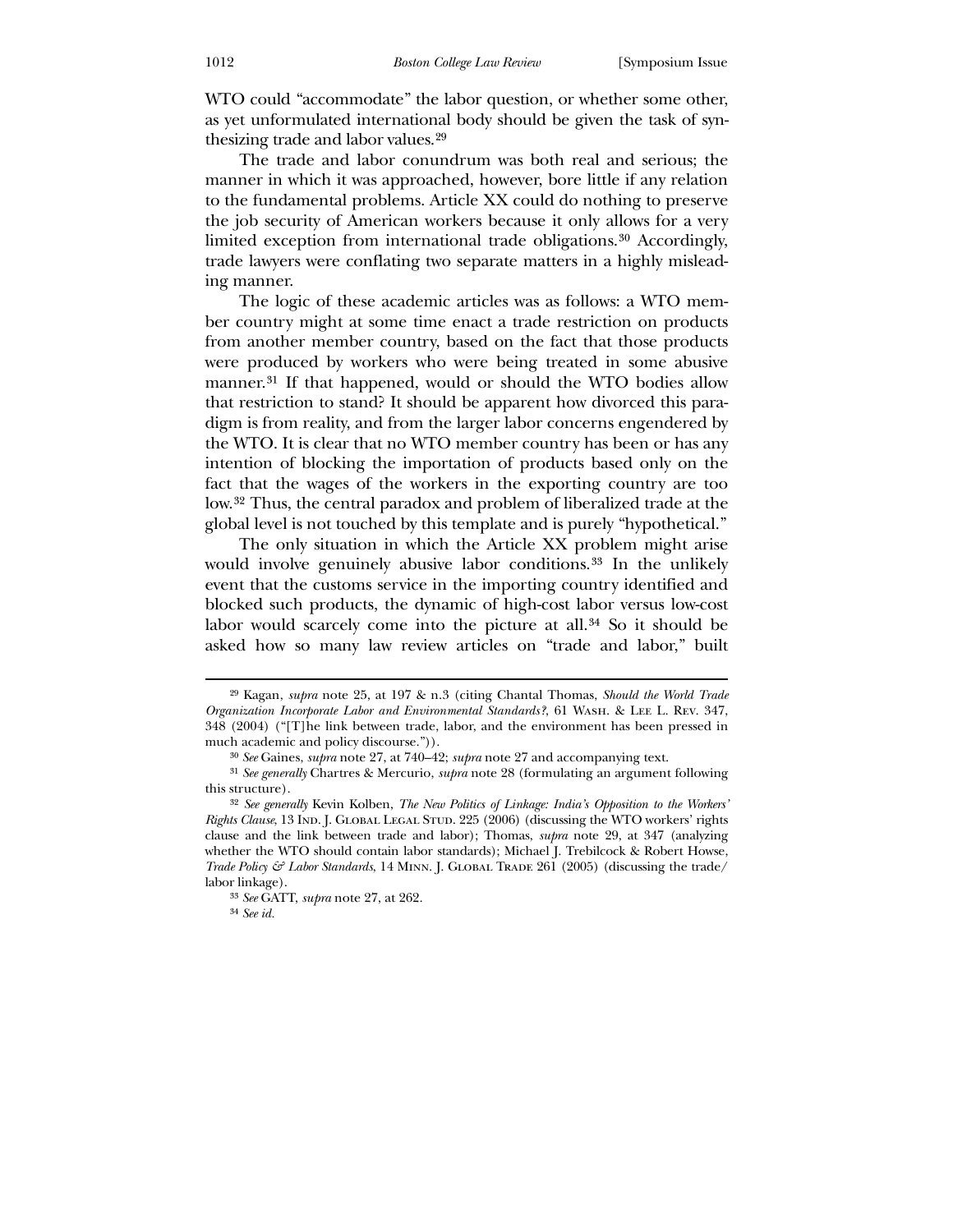WTO could "accommodate" the labor question, or whether some other, as yet unformulated international body should be given the task of synthesizing trade and labor values.[29](#page-8-0)

 The trade and labor conundrum was both real and serious; the manner in which it was approached, however, bore little if any relation to the fundamental problems. Article XX could do nothing to preserve the job security of American workers because it only allows for a very limited exception from international trade obligations.[30](#page-8-1) Accordingly, trade lawyers were conflating two separate matters in a highly misleading manner.

 The logic of these academic articles was as follows: a WTO member country might at some time enact a trade restriction on products from another member country, based on the fact that those products were produced by workers who were being treated in some abusive manner.<sup>[31](#page-8-2)</sup> If that happened, would or should the WTO bodies allow that restriction to stand? It should be apparent how divorced this paradigm is from reality, and from the larger labor concerns engendered by the WTO. It is clear that no WTO member country has been or has any intention of blocking the importation of products based only on the fact that the wages of the workers in the exporting country are too low.[32](#page-8-3) Thus, the central paradox and problem of liberalized trade at the global level is not touched by this template and is purely "hypothetical."

 The only situation in which the Article XX problem might arise would involve genuinely abusive labor conditions.<sup>[33](#page-8-4)</sup> In the unlikely event that the customs service in the importing country identified and blocked such products, the dynamic of high-cost labor versus low-cost labor would scarcely come into the picture at all.<sup>[34](#page-8-5)</sup> So it should be asked how so many law review articles on "trade and labor," built

<sup>29</sup> Kagan, *supra* note 25, at 197 & n.3 (citing Chantal Thomas, *Should the World Trade Organization Incorporate Labor and Environmental Standards?*, 61 Wash. & Lee L. Rev. 347, 348 (2004) ("[T]he link between trade, labor, and the environment has been pressed in much academic and policy discourse.")).

<sup>30</sup> *See* Gaines, *supra* note 27, at 740–42; *supra* note 27 and accompanying text.

<sup>31</sup> *See generally* Chartres & Mercurio, *supra* note 28 (formulating an argument following this structure).

<sup>32</sup> *See generally* Kevin Kolben, *The New Politics of Linkage: India's Opposition to the Workers' Rights Clause*, 13 IND. J. GLOBAL LEGAL STUD. 225 (2006) (discussing the WTO workers' rights clause and the link between trade and labor); Thomas, *supra* note 29, at 347 (analyzing whether the WTO should contain labor standards); Michael J. Trebilcock & Robert Howse, *Trade Policy & Labor Standards*, 14 MINN. *J. GLOBAL TRADE 261 (2005)* (discussing the trade/ labor linkage).

<sup>33</sup> *See* GATT, *supra* note 27, at 262.

<span id="page-8-5"></span><span id="page-8-4"></span><span id="page-8-3"></span><span id="page-8-2"></span><span id="page-8-1"></span><span id="page-8-0"></span><sup>34</sup> *See id.*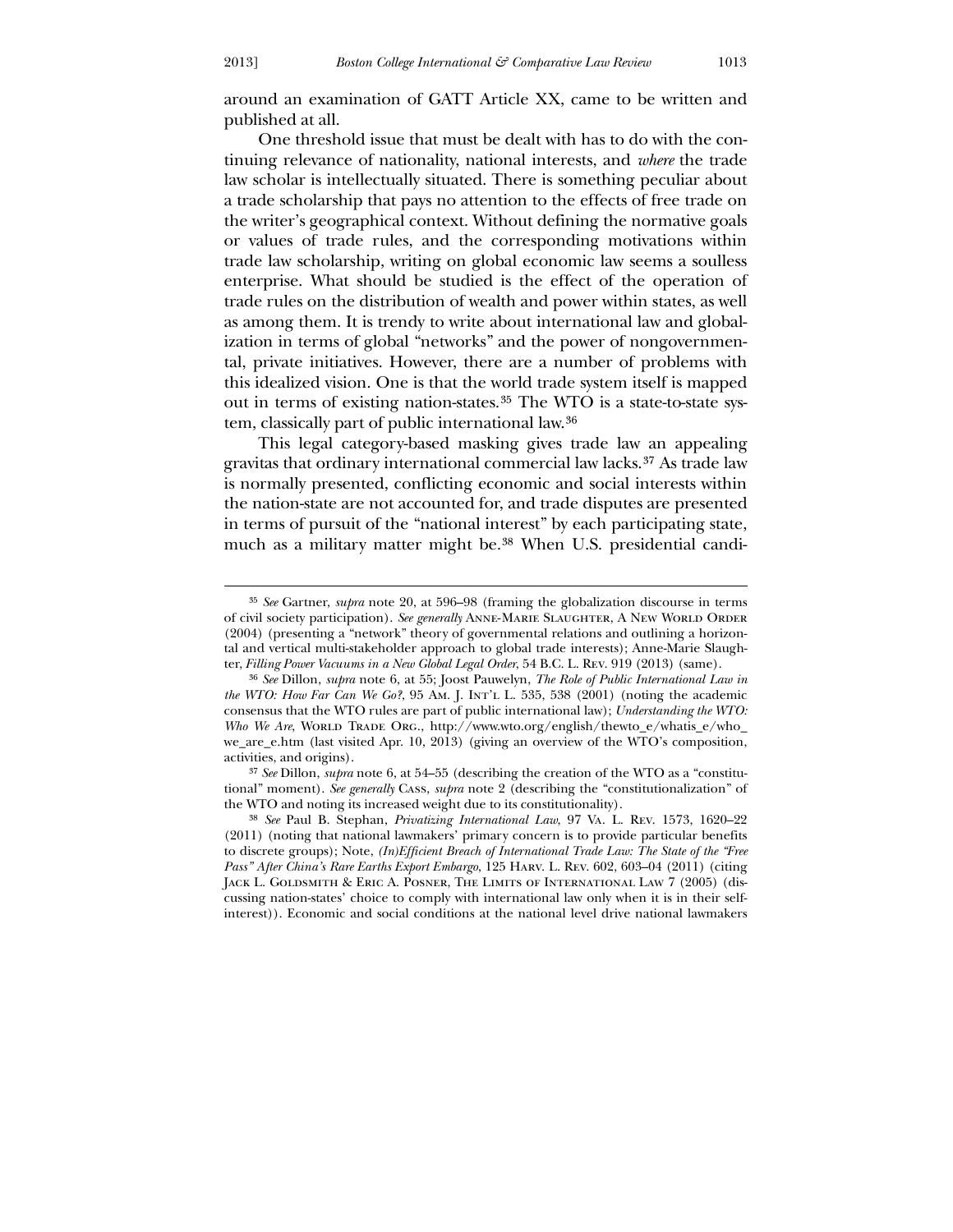<u>.</u>

around an examination of GATT Article XX, came to be written and published at all.

 One threshold issue that must be dealt with has to do with the continuing relevance of nationality, national interests, and *where* the trade law scholar is intellectually situated. There is something peculiar about a trade scholarship that pays no attention to the effects of free trade on the writer's geographical context. Without defining the normative goals or values of trade rules, and the corresponding motivations within trade law scholarship, writing on global economic law seems a soulless enterprise. What should be studied is the effect of the operation of trade rules on the distribution of wealth and power within states, as well as among them. It is trendy to write about international law and globalization in terms of global "networks" and the power of nongovernmental, private initiatives. However, there are a number of problems with this idealized vision. One is that the world trade system itself is mapped out in terms of existing nation-states.[35](#page-9-0) The WTO is a state-to-state system, classically part of public international law.[36](#page-9-1)

 This legal category-based masking gives trade law an appealing gravitas that ordinary international commercial law lacks.[37](#page-9-2) As trade law is normally presented, conflicting economic and social interests within the nation-state are not accounted for, and trade disputes are presented in terms of pursuit of the "national interest" by each participating state, much as a military matter might be.[38](#page-9-3) When U.S. presidential candi-

<sup>35</sup> *See* Gartner, *supra* note 20, at 596–98 (framing the globalization discourse in terms of civil society participation). *See generally* Anne-Marie Slaughter, A New World Order (2004) (presenting a "network" theory of governmental relations and outlining a horizontal and vertical multi-stakeholder approach to global trade interests); Anne-Marie Slaughter, *Filling Power Vacuums in a New Global Legal Order*, 54 B.C. L. Rev. 919 (2013) (same).

<sup>36</sup> *See* Dillon, *supra* note 6, at 55; Joost Pauwelyn, *The Role of Public International Law in the WTO: How Far Can We Go?*, 95 Am. J. Int'l L. 535, 538 (2001) (noting the academic consensus that the WTO rules are part of public international law); *Understanding the WTO: Who We Are*, WORLD TRADE ORG., http://www.wto.org/english/thewto\_e/whatis\_e/who\_ we\_are\_e.htm (last visited Apr. 10, 2013) (giving an overview of the WTO's composition, activities, and origins).

<sup>37</sup> *See* Dillon, *supra* note 6, at 54–55 (describing the creation of the WTO as a "constitutional" moment). *See generally* Cass, *supra* note 2 (describing the "constitutionalization" of the WTO and noting its increased weight due to its constitutionality).

<span id="page-9-3"></span><span id="page-9-2"></span><span id="page-9-1"></span><span id="page-9-0"></span><sup>38</sup> *See* Paul B. Stephan, *Privatizing International Law*, 97 Va. L. Rev. 1573, 1620–22 (2011) (noting that national lawmakers' primary concern is to provide particular benefits to discrete groups); Note, *(In)Efficient Breach of International Trade Law: The State of the "Free Pass" After China's Rare Earths Export Embargo*, 125 Harv. L. Rev. 602, 603–04 (2011) (citing Jack L. Goldsmith & Eric A. Posner, The Limits of International Law 7 (2005) (discussing nation-states' choice to comply with international law only when it is in their selfinterest)). Economic and social conditions at the national level drive national lawmakers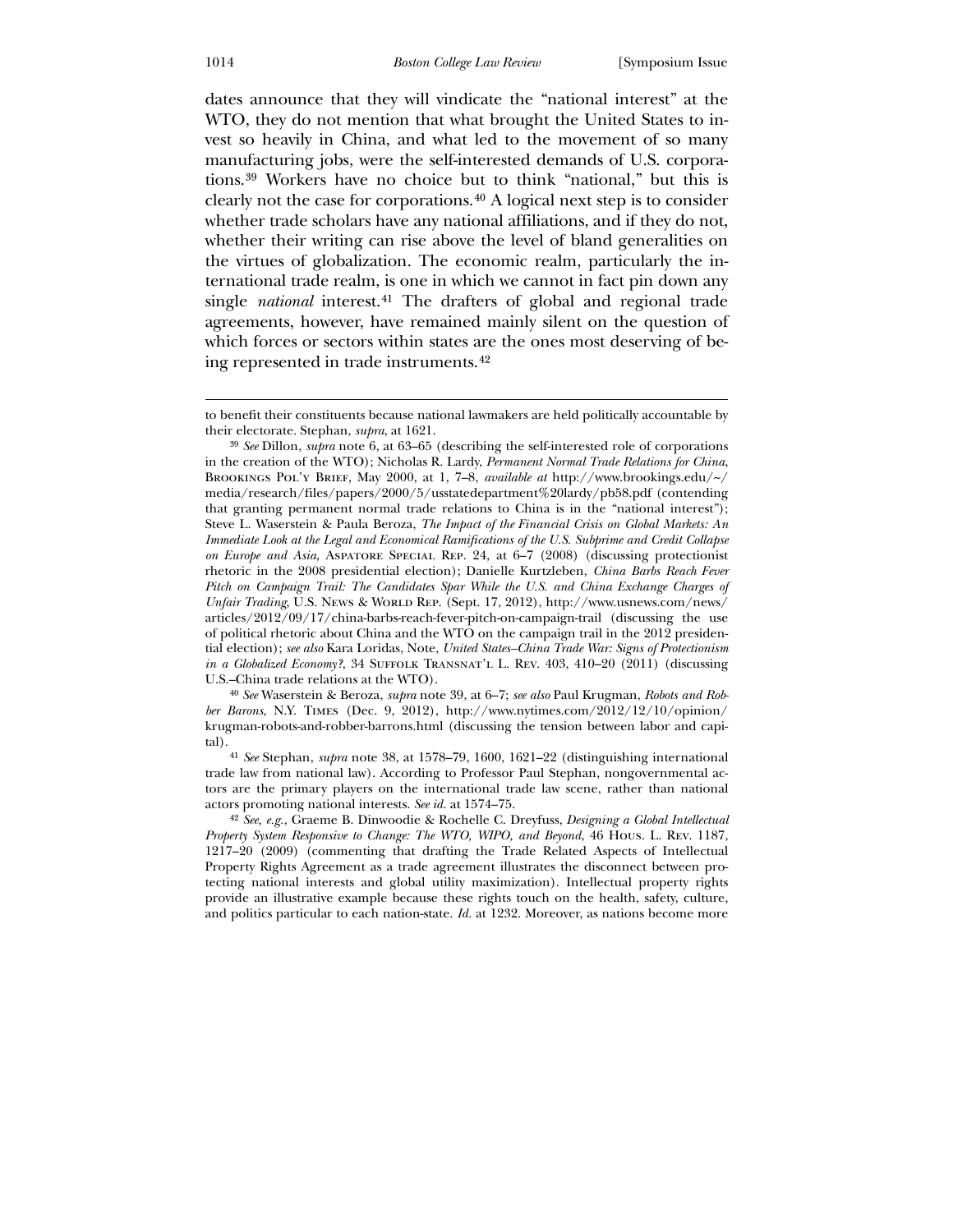dates announce that they will vindicate the "national interest" at the WTO, they do not mention that what brought the United States to invest so heavily in China, and what led to the movement of so many manufacturing jobs, were the self-interested demands of U.S. corporations.[39](#page-10-0) Workers have no choice but to think "national," but this is clearly not the case for corporations.[40](#page-10-1) A logical next step is to consider whether trade scholars have any national affiliations, and if they do not, whether their writing can rise above the level of bland generalities on the virtues of globalization. The economic realm, particularly the international trade realm, is one in which we cannot in fact pin down any single *national* interest.[41](#page-10-2) The drafters of global and regional trade agreements, however, have remained mainly silent on the question of which forces or sectors within states are the ones most deserving of being represented in trade instruments.[42](#page-10-3)

<span id="page-10-0"></span>40 *See* Waserstein & Beroza, *supra* note 39, at 6–7; *see also* Paul Krugman, *Robots and Robber Barons*, N.Y. Times (Dec. 9, 2012), http://www.nytimes.com/2012/12/10/opinion/ krugman-robots-and-robber-barrons.html (discussing the tension between labor and capital).

41 *See* Stephan, *supra* note 38, at 1578–79, 1600, 1621–22 (distinguishing international trade law from national law). According to Professor Paul Stephan, nongovernmental actors are the primary players on the international trade law scene, rather than national actors promoting national interests. *See id.* at 1574–75.

to benefit their constituents because national lawmakers are held politically accountable by their electorate. Stephan, *supra*, at 1621.

<sup>39</sup> *See* Dillon, *supra* note 6, at 63–65 (describing the self-interested role of corporations in the creation of the WTO); Nicholas R. Lardy, *Permanent Normal Trade Relations for China*, Brookings Pol'y Brief, May 2000, at 1, 7–8, *available at* http://www.brookings.edu/~/ media/research/files/papers/2000/5/usstatedepartment%20lardy/pb58.pdf (contending that granting permanent normal trade relations to China is in the "national interest"); Steve L. Waserstein & Paula Beroza, *The Impact of the Financial Crisis on Global Markets: An Immediate Look at the Legal and Economical Ramifications of the U.S. Subprime and Credit Collapse on Europe and Asia*, Aspatore Special Rep. 24, at 6–7 (2008) (discussing protectionist rhetoric in the 2008 presidential election); Danielle Kurtzleben, *China Barbs Reach Fever Pitch on Campaign Trail: The Candidates Spar While the U.S. and China Exchange Charges of Unfair Trading*, U.S. News & World Rep. (Sept. 17, 2012), http://www.usnews.com/news/ articles/2012/09/17/china-barbs-reach-fever-pitch-on-campaign-trail (discussing the use of political rhetoric about China and the WTO on the campaign trail in the 2012 presidential election); *see also* Kara Loridas, Note, *United States–China Trade War: Signs of Protectionism in a Globalized Economy?*, 34 SUFFOLK TRANSNAT'L L. REV. 403, 410–20 (2011) (discussing U.S.–China trade relations at the WTO).

<span id="page-10-3"></span><span id="page-10-2"></span><span id="page-10-1"></span><sup>42</sup> *See, e.g.*, Graeme B. Dinwoodie & Rochelle C. Dreyfuss, *Designing a Global Intellectual Property System Responsive to Change: The WTO, WIPO, and Beyond*, 46 Hous. L. Rev. 1187, 1217–20 (2009) (commenting that drafting the Trade Related Aspects of Intellectual Property Rights Agreement as a trade agreement illustrates the disconnect between protecting national interests and global utility maximization). Intellectual property rights provide an illustrative example because these rights touch on the health, safety, culture, and politics particular to each nation-state. *Id.* at 1232. Moreover, as nations become more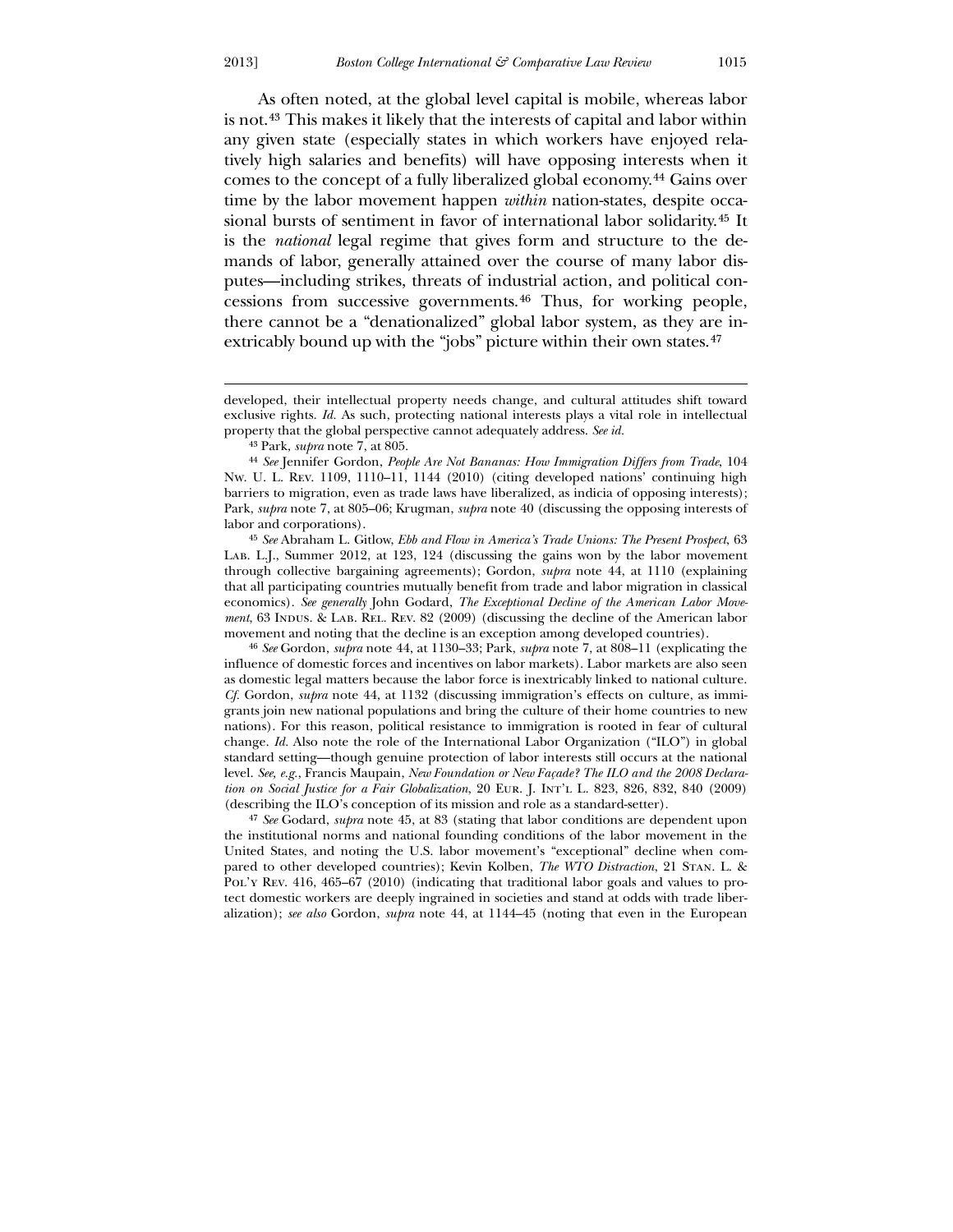As often noted, at the global level capital is mobile, whereas labor is not.[43](#page-11-0) This makes it likely that the interests of capital and labor within any given state (especially states in which workers have enjoyed relatively high salaries and benefits) will have opposing interests when it comes to the concept of a fully liberalized global economy.[44](#page-11-1) Gains over time by the labor movement happen *within* nation-states, despite occasional bursts of sentiment in favor of international labor solidarity.[45](#page-11-2) It is the *national* legal regime that gives form and structure to the demands of labor, generally attained over the course of many labor disputes—including strikes, threats of industrial action, and political concessions from successive governments.[46](#page-11-3) Thus, for working people, there cannot be a "denationalized" global labor system, as they are in-extricably bound up with the "jobs" picture within their own states.<sup>[47](#page-11-4)</sup>

43 Park, *supra* note 7, at 805.

45 *See* Abraham L. Gitlow, *Ebb and Flow in America's Trade Unions: The Present Prospect*, 63 Lab. L.J., Summer 2012, at 123, 124 (discussing the gains won by the labor movement through collective bargaining agreements); Gordon, *supra* note 44, at 1110 (explaining that all participating countries mutually benefit from trade and labor migration in classical economics). *See generally* John Godard, *The Exceptional Decline of the American Labor Movement*, 63 INDUS. & LAB. REL. REV. 82 (2009) (discussing the decline of the American labor movement and noting that the decline is an exception among developed countries).

<span id="page-11-1"></span><span id="page-11-0"></span>46 *See* Gordon, *supra* note 44, at 1130–33; Park, *supra* note 7, at 808–11 (explicating the influence of domestic forces and incentives on labor markets). Labor markets are also seen as domestic legal matters because the labor force is inextricably linked to national culture. *Cf.* Gordon, *supra* note 44, at 1132 (discussing immigration's effects on culture, as immigrants join new national populations and bring the culture of their home countries to new nations). For this reason, political resistance to immigration is rooted in fear of cultural change. *Id.* Also note the role of the International Labor Organization ("ILO") in global standard setting—though genuine protection of labor interests still occurs at the national level. *See, e.g.*, Francis Maupain, *New Foundation or New Façade? The ILO and the 2008 Declaration on Social Justice for a Fair Globalization*, 20 Eur. J. Int'l L. 823, 826, 832, 840 (2009) (describing the ILO's conception of its mission and role as a standard-setter).

<span id="page-11-4"></span><span id="page-11-3"></span><span id="page-11-2"></span>47 *See* Godard, *supra* note 45, at 83 (stating that labor conditions are dependent upon the institutional norms and national founding conditions of the labor movement in the United States, and noting the U.S. labor movement's "exceptional" decline when compared to other developed countries); Kevin Kolben, *The WTO Distraction*, 21 Stan. L. & PoL'y Rev. 416, 465–67 (2010) (indicating that traditional labor goals and values to protect domestic workers are deeply ingrained in societies and stand at odds with trade liberalization); *see also* Gordon, *supra* note 44, at 1144–45 (noting that even in the European

developed, their intellectual property needs change, and cultural attitudes shift toward exclusive rights. *Id.* As such, protecting national interests plays a vital role in intellectual property that the global perspective cannot adequately address. *See id.*

<sup>44</sup> *See* Jennifer Gordon, *People Are Not Bananas: How Immigration Differs from Trade*, 104 Nw. U. L. Rev. 1109, 1110–11, 1144 (2010) (citing developed nations' continuing high barriers to migration, even as trade laws have liberalized, as indicia of opposing interests); Park, *supra* note 7, at 805–06; Krugman, *supra* note 40 (discussing the opposing interests of labor and corporations).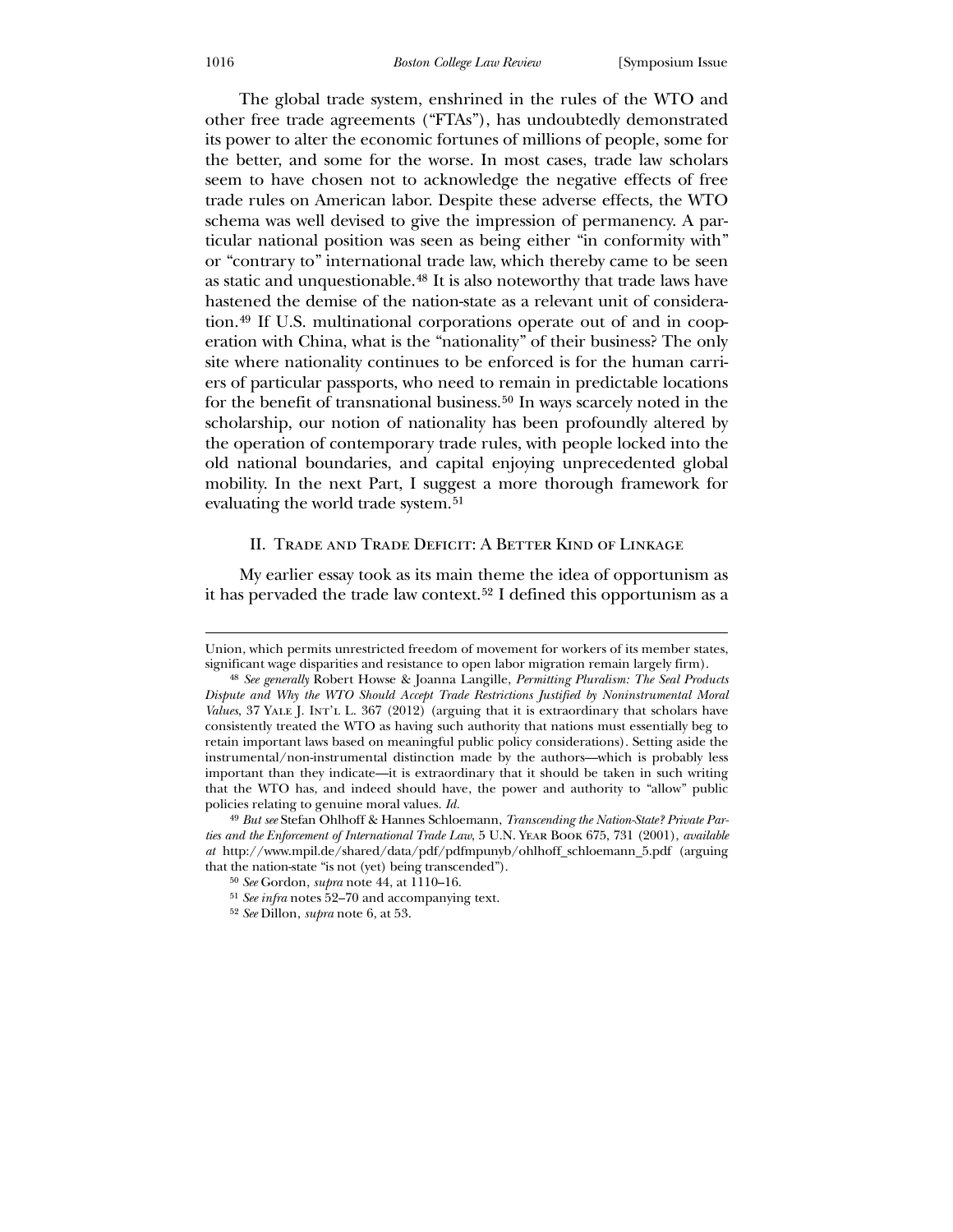The global trade system, enshrined in the rules of the WTO and other free trade agreements ("FTAs"), has undoubtedly demonstrated its power to alter the economic fortunes of millions of people, some for the better, and some for the worse. In most cases, trade law scholars seem to have chosen not to acknowledge the negative effects of free trade rules on American labor. Despite these adverse effects, the WTO schema was well devised to give the impression of permanency. A particular national position was seen as being either "in conformity with" or "contrary to" international trade law, which thereby came to be seen as static and unquestionable.[48](#page-12-0) It is also noteworthy that trade laws have hastened the demise of the nation-state as a relevant unit of consideration.[49](#page-12-1) If U.S. multinational corporations operate out of and in cooperation with China, what is the "nationality" of their business? The only site where nationality continues to be enforced is for the human carriers of particular passports, who need to remain in predictable locations for the benefit of transnational business.[50](#page-12-2) In ways scarcely noted in the scholarship, our notion of nationality has been profoundly altered by the operation of contemporary trade rules, with people locked into the old national boundaries, and capital enjoying unprecedented global mobility. In the next Part, I suggest a more thorough framework for evaluating the world trade system.[51](#page-12-3)

#### II. Trade and Trade Deficit: A Better Kind of Linkage

 My earlier essay took as its main theme the idea of opportunism as it has pervaded the trade law context.[52](#page-12-4) I defined this opportunism as a

Union, which permits unrestricted freedom of movement for workers of its member states, significant wage disparities and resistance to open labor migration remain largely firm).

<sup>48</sup> *See generally* Robert Howse & Joanna Langille, *Permitting Pluralism: The Seal Products Dispute and Why the WTO Should Accept Trade Restrictions Justified by Noninstrumental Moral*  Values, 37 YALE J. INT'L L. 367 (2012) (arguing that it is extraordinary that scholars have consistently treated the WTO as having such authority that nations must essentially beg to retain important laws based on meaningful public policy considerations). Setting aside the instrumental/non-instrumental distinction made by the authors—which is probably less important than they indicate—it is extraordinary that it should be taken in such writing that the WTO has, and indeed should have, the power and authority to "allow" public policies relating to genuine moral values. *Id.*

<span id="page-12-0"></span><sup>49</sup> *But see* Stefan Ohlhoff & Hannes Schloemann, *Transcending the Nation-State? Private Parties and the Enforcement of International Trade Law*, 5 U.N. Year Book 675, 731 (2001), *available at* http://www.mpil.de/shared/data/pdf/pdfmpunyb/ohlhoff\_schloemann\_5.pdf (arguing that the nation-state "is not (yet) being transcended").

<sup>50</sup> *See* Gordon, *supra* note 44, at 1110–16.

<sup>51</sup> *See infra* notes 52–70 and accompanying text.

<span id="page-12-4"></span><span id="page-12-3"></span><span id="page-12-2"></span><span id="page-12-1"></span><sup>52</sup> *See* Dillon, *supra* note 6, at 53.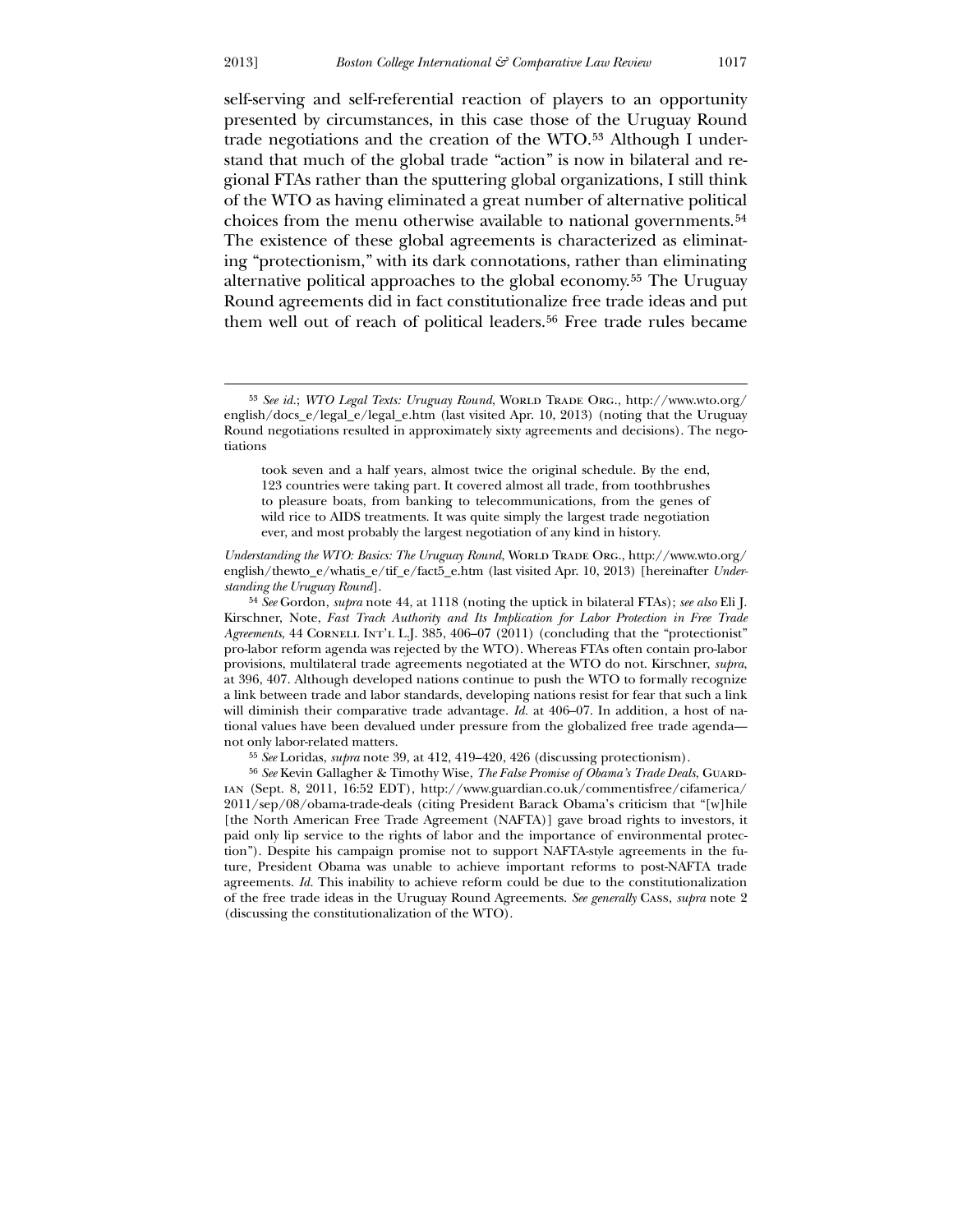$\overline{a}$ 

self-serving and self-referential reaction of players to an opportunity presented by circumstances, in this case those of the Uruguay Round trade negotiations and the creation of the WTO.[53](#page-13-0) Although I understand that much of the global trade "action" is now in bilateral and regional FTAs rather than the sputtering global organizations, I still think of the WTO as having eliminated a great number of alternative political choices from the menu otherwise available to national governments.[54](#page-13-1) The existence of these global agreements is characterized as eliminating "protectionism," with its dark connotations, rather than eliminating alternative political approaches to the global economy.[55](#page-13-2) The Uruguay Round agreements did in fact constitutionalize free trade ideas and put them well out of reach of political leaders.<sup>[56](#page-13-3)</sup> Free trade rules became

<span id="page-13-0"></span>54 *See* Gordon, *supra* note 44, at 1118 (noting the uptick in bilateral FTAs); *see also* Eli J. Kirschner, Note, *Fast Track Authority and Its Implication for Labor Protection in Free Trade*  Agreements, 44 CORNELL INT'L L.J. 385, 406–07 (2011) (concluding that the "protectionist" pro-labor reform agenda was rejected by the WTO). Whereas FTAs often contain pro-labor provisions, multilateral trade agreements negotiated at the WTO do not. Kirschner, *supra*, at 396, 407. Although developed nations continue to push the WTO to formally recognize a link between trade and labor standards, developing nations resist for fear that such a link will diminish their comparative trade advantage. *Id.* at 406–07. In addition, a host of national values have been devalued under pressure from the globalized free trade agenda not only labor-related matters.

55 *See* Loridas, *supra* note 39, at 412, 419–420, 426 (discussing protectionism).

<span id="page-13-3"></span><span id="page-13-2"></span><span id="page-13-1"></span>56 *See* Kevin Gallagher & Timothy Wise, *The False Promise of Obama's Trade Deals*, Guardian (Sept. 8, 2011, 16:52 EDT), http://www.guardian.co.uk/commentisfree/cifamerica/ 2011/sep/08/obama-trade-deals (citing President Barack Obama's criticism that "[w]hile [the North American Free Trade Agreement (NAFTA)] gave broad rights to investors, it paid only lip service to the rights of labor and the importance of environmental protection"). Despite his campaign promise not to support NAFTA-style agreements in the future, President Obama was unable to achieve important reforms to post-NAFTA trade agreements. *Id.* This inability to achieve reform could be due to the constitutionalization of the free trade ideas in the Uruguay Round Agreements. *See generally* Cass, *supra* note 2 (discussing the constitutionalization of the WTO).

<sup>&</sup>lt;sup>53</sup> See id.; *WTO Legal Texts: Uruguay Round*, WORLD TRADE ORG., http://www.wto.org/ english/docs\_e/legal\_e/legal\_e.htm (last visited Apr. 10, 2013) (noting that the Uruguay Round negotiations resulted in approximately sixty agreements and decisions). The negotiations

took seven and a half years, almost twice the original schedule. By the end, 123 countries were taking part. It covered almost all trade, from toothbrushes to pleasure boats, from banking to telecommunications, from the genes of wild rice to AIDS treatments. It was quite simply the largest trade negotiation ever, and most probably the largest negotiation of any kind in history.

*Understanding the WTO: Basics: The Uruguay Round, WORLD TRADE ORG., http://www.wto.org/* english/thewto\_e/whatis\_e/tif\_e/fact5\_e.htm (last visited Apr. 10, 2013) [hereinafter *Understanding the Uruguay Round*].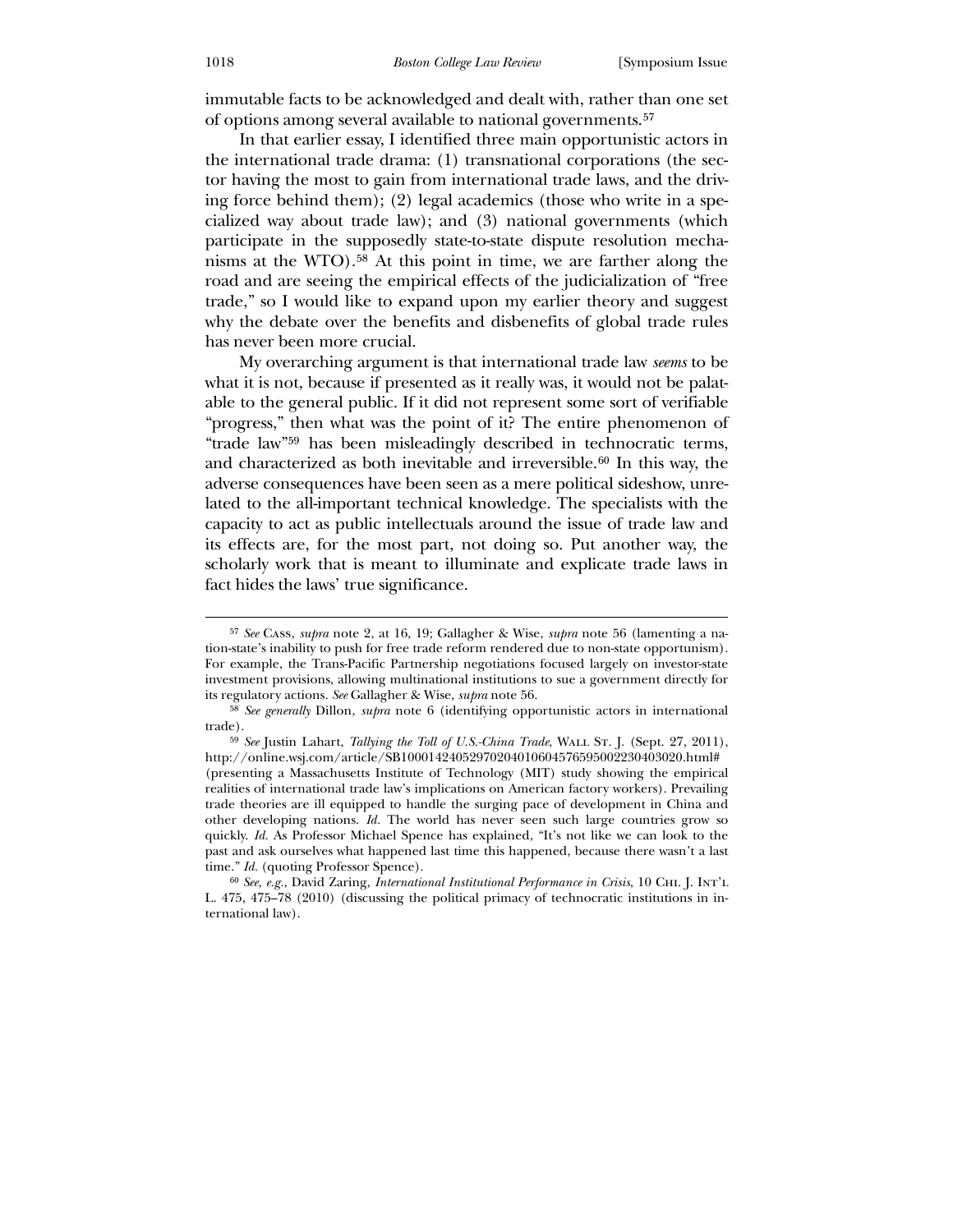immutable facts to be acknowledged and dealt with, rather than one set of options among several available to national governments.[57](#page-14-0)

 In that earlier essay, I identified three main opportunistic actors in the international trade drama: (1) transnational corporations (the sector having the most to gain from international trade laws, and the driving force behind them); (2) legal academics (those who write in a specialized way about trade law); and (3) national governments (which participate in the supposedly state-to-state dispute resolution mechanisms at the WTO).[58](#page-14-1) At this point in time, we are farther along the road and are seeing the empirical effects of the judicialization of "free trade," so I would like to expand upon my earlier theory and suggest why the debate over the benefits and disbenefits of global trade rules has never been more crucial.

 My overarching argument is that international trade law *seems* to be what it is not, because if presented as it really was, it would not be palatable to the general public. If it did not represent some sort of verifiable "progress," then what was the point of it? The entire phenomenon of "trade law"[59](#page-14-2) has been misleadingly described in technocratic terms, and characterized as both inevitable and irreversible. $60$  In this way, the adverse consequences have been seen as a mere political sideshow, unrelated to the all-important technical knowledge. The specialists with the capacity to act as public intellectuals around the issue of trade law and its effects are, for the most part, not doing so. Put another way, the scholarly work that is meant to illuminate and explicate trade laws in fact hides the laws' true significance.

<sup>57</sup> *See* Cass, *supra* note 2, at 16, 19; Gallagher & Wise, *supra* note 56 (lamenting a nation-state's inability to push for free trade reform rendered due to non-state opportunism). For example, the Trans-Pacific Partnership negotiations focused largely on investor-state investment provisions, allowing multinational institutions to sue a government directly for its regulatory actions. *See* Gallagher & Wise, *supra* note 56.

<sup>58</sup> *See generally* Dillon, *supra* note 6 (identifying opportunistic actors in international trade).

<sup>&</sup>lt;sup>59</sup> See Justin Lahart, *Tallying the Toll of U.S.-China Trade*, WALL ST. J. (Sept. 27, 2011), http://online.wsj.com/article/SB10001424052970204010604576595002230403020.html# (presenting a Massachusetts Institute of Technology (MIT) study showing the empirical realities of international trade law's implications on American factory workers). Prevailing trade theories are ill equipped to handle the surging pace of development in China and other developing nations. *Id.* The world has never seen such large countries grow so quickly. *Id.* As Professor Michael Spence has explained, "It's not like we can look to the past and ask ourselves what happened last time this happened, because there wasn't a last time." *Id.* (quoting Professor Spence).

<span id="page-14-3"></span><span id="page-14-2"></span><span id="page-14-1"></span><span id="page-14-0"></span><sup>60</sup> *See, e.g.*, David Zaring, *International Institutional Performance in Crisis*, 10 Chi. J. Int'l L. 475, 475–78 (2010) (discussing the political primacy of technocratic institutions in international law).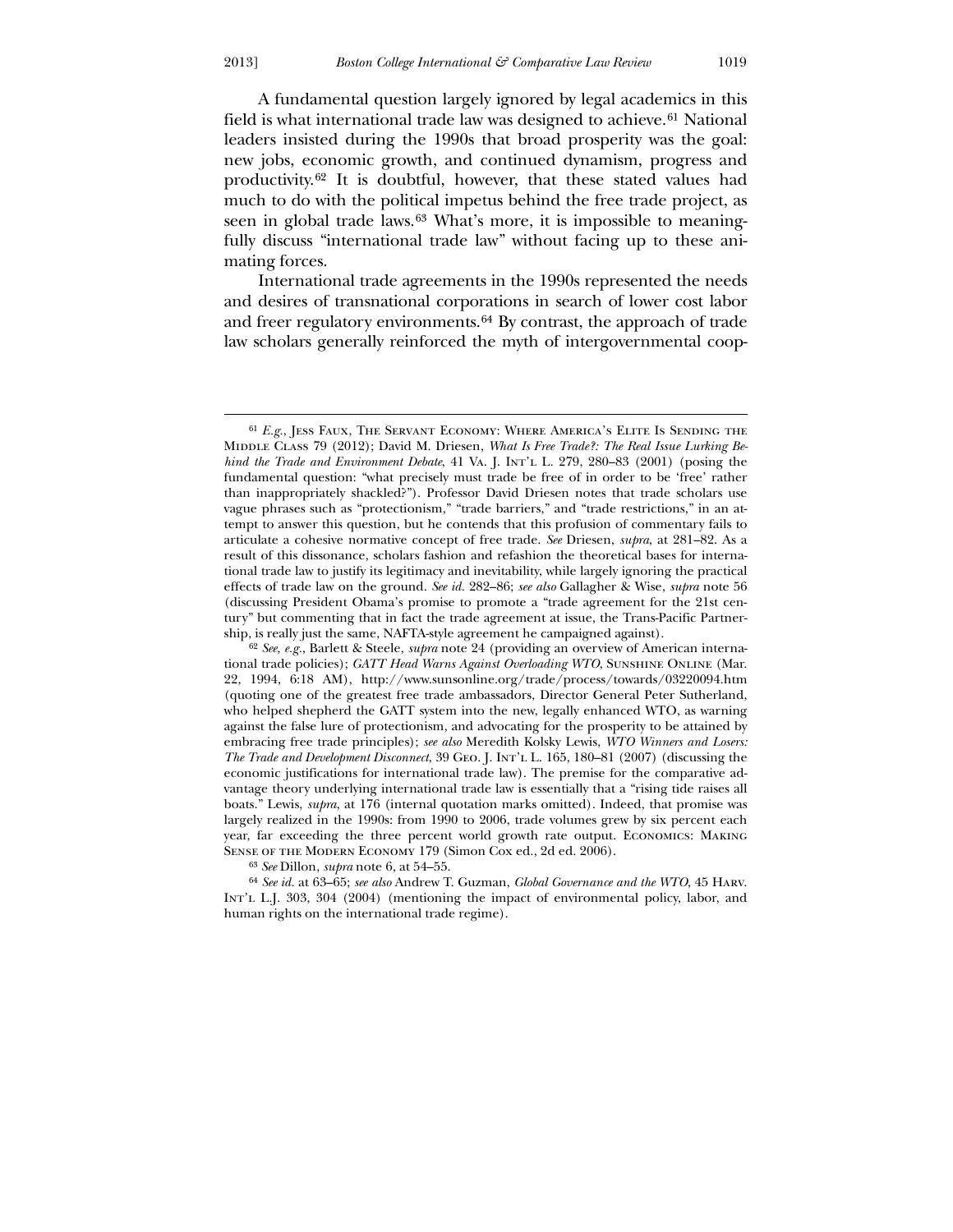A fundamental question largely ignored by legal academics in this field is what international trade law was designed to achieve.<sup>[61](#page-15-0)</sup> National leaders insisted during the 1990s that broad prosperity was the goal: new jobs, economic growth, and continued dynamism, progress and productivity.[62](#page-15-1) It is doubtful, however, that these stated values had much to do with the political impetus behind the free trade project, as seen in global trade laws.<sup>[63](#page-15-2)</sup> What's more, it is impossible to meaningfully discuss "international trade law" without facing up to these animating forces.

 International trade agreements in the 1990s represented the needs and desires of transnational corporations in search of lower cost labor and freer regulatory environments.[64](#page-15-3) By contrast, the approach of trade law scholars generally reinforced the myth of intergovernmental coop-

 $\overline{a}$ 61 *E.g.*, Jess Faux, The Servant Economy: Where America's Elite Is Sending the MIDDLE CLASS 79 (2012); David M. Driesen, *What Is Free Trade?: The Real Issue Lurking Behind the Trade and Environment Debate*, 41 Va. J. Int'l L. 279, 280–83 (2001) (posing the fundamental question: "what precisely must trade be free of in order to be 'free' rather than inappropriately shackled?"). Professor David Driesen notes that trade scholars use vague phrases such as "protectionism," "trade barriers," and "trade restrictions," in an attempt to answer this question, but he contends that this profusion of commentary fails to articulate a cohesive normative concept of free trade. *See* Driesen, *supra*, at 281–82. As a result of this dissonance, scholars fashion and refashion the theoretical bases for international trade law to justify its legitimacy and inevitability, while largely ignoring the practical effects of trade law on the ground. *See id.* 282–86; *see also* Gallagher & Wise, *supra* note 56 (discussing President Obama's promise to promote a "trade agreement for the 21st century" but commenting that in fact the trade agreement at issue, the Trans-Pacific Partnership, is really just the same, NAFTA-style agreement he campaigned against).

<span id="page-15-0"></span><sup>62</sup> *See, e.g.*, Barlett & Steele, *supra* note 24 (providing an overview of American international trade policies); *GATT Head Warns Against Overloading WTO*, Sunshine Online (Mar. 22, 1994, 6:18 AM), http://www.sunsonline.org/trade/process/towards/03220094.htm (quoting one of the greatest free trade ambassadors, Director General Peter Sutherland, who helped shepherd the GATT system into the new, legally enhanced WTO, as warning against the false lure of protectionism, and advocating for the prosperity to be attained by embracing free trade principles); *see also* Meredith Kolsky Lewis, *WTO Winners and Losers: The Trade and Development Disconnect*, 39 Geo. J. Int'l L. 165, 180–81 (2007) (discussing the economic justifications for international trade law). The premise for the comparative advantage theory underlying international trade law is essentially that a "rising tide raises all boats." Lewis, *supra*, at 176 (internal quotation marks omitted). Indeed, that promise was largely realized in the 1990s: from 1990 to 2006, trade volumes grew by six percent each year, far exceeding the three percent world growth rate output. Economics: Making SENSE OF THE MODERN ECONOMY 179 (Simon Cox ed., 2d ed. 2006).

<sup>63</sup> *See* Dillon, *supra* note 6, at 54–55.

<span id="page-15-3"></span><span id="page-15-2"></span><span id="page-15-1"></span><sup>64</sup> *See id.* at 63–65; *see also* Andrew T. Guzman, *Global Governance and the WTO*, 45 Harv. Int'l L.J. 303, 304 (2004) (mentioning the impact of environmental policy, labor, and human rights on the international trade regime).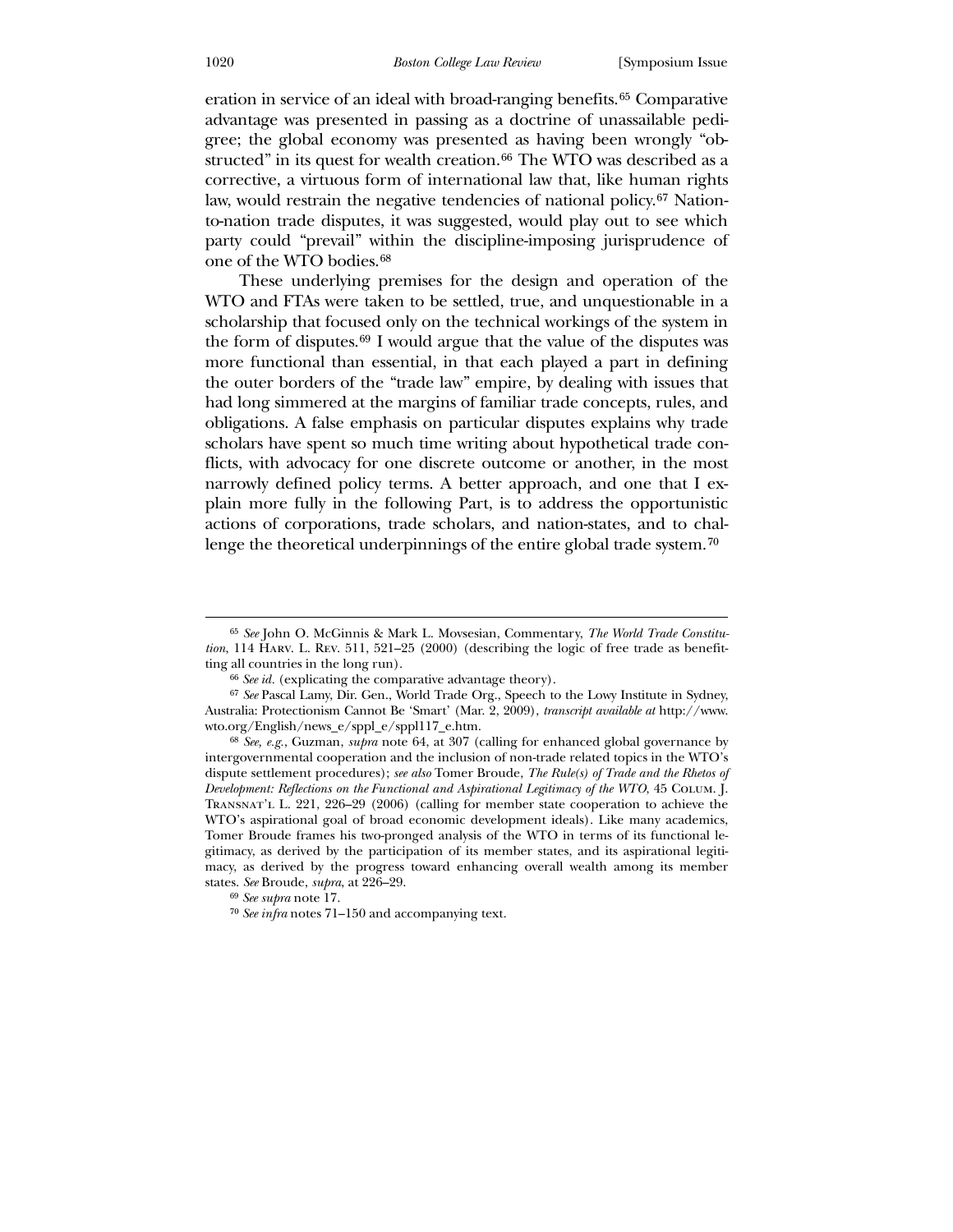eration in service of an ideal with broad-ranging benefits.[65](#page-16-0) Comparative advantage was presented in passing as a doctrine of unassailable pedigree; the global economy was presented as having been wrongly "ob-structed" in its quest for wealth creation.<sup>[66](#page-16-1)</sup> The WTO was described as a corrective, a virtuous form of international law that, like human rights law, would restrain the negative tendencies of national policy.<sup>[67](#page-16-2)</sup> Nationto-nation trade disputes, it was suggested, would play out to see which party could "prevail" within the discipline-imposing jurisprudence of one of the WTO bodies.[68](#page-16-3)

 These underlying premises for the design and operation of the WTO and FTAs were taken to be settled, true, and unquestionable in a scholarship that focused only on the technical workings of the system in the form of disputes.[69](#page-16-4) I would argue that the value of the disputes was more functional than essential, in that each played a part in defining the outer borders of the "trade law" empire, by dealing with issues that had long simmered at the margins of familiar trade concepts, rules, and obligations. A false emphasis on particular disputes explains why trade scholars have spent so much time writing about hypothetical trade conflicts, with advocacy for one discrete outcome or another, in the most narrowly defined policy terms. A better approach, and one that I explain more fully in the following Part, is to address the opportunistic actions of corporations, trade scholars, and nation-states, and to chal-lenge the theoretical underpinnings of the entire global trade system.<sup>[70](#page-16-5)</sup>

<sup>65</sup> *See* John O. McGinnis & Mark L. Movsesian, Commentary, *The World Trade Constitution*, 114 Harv. L. Rev. 511, 521–25 (2000) (describing the logic of free trade as benefitting all countries in the long run).

<sup>66</sup> *See id.* (explicating the comparative advantage theory).

<sup>67</sup> *See* Pascal Lamy, Dir. Gen., World Trade Org., Speech to the Lowy Institute in Sydney, Australia: Protectionism Cannot Be 'Smart' (Mar. 2, 2009), *transcript available at* http://www. wto.org/English/news\_e/sppl\_e/sppl117\_e.htm.

<span id="page-16-0"></span><sup>68</sup> *See, e.g.*, Guzman, *supra* note 64, at 307 (calling for enhanced global governance by intergovernmental cooperation and the inclusion of non-trade related topics in the WTO's dispute settlement procedures); *see also* Tomer Broude, *The Rule(s) of Trade and the Rhetos of Development: Reflections on the Functional and Aspirational Legitimacy of the WTO*, 45 Colum. J. Transnat'l L. 221, 226–29 (2006) (calling for member state cooperation to achieve the WTO's aspirational goal of broad economic development ideals). Like many academics, Tomer Broude frames his two-pronged analysis of the WTO in terms of its functional legitimacy, as derived by the participation of its member states, and its aspirational legitimacy, as derived by the progress toward enhancing overall wealth among its member states. *See* Broude, *supra*, at 226–29.

<span id="page-16-1"></span><sup>69</sup> *See supra* note 17.

<span id="page-16-5"></span><span id="page-16-4"></span><span id="page-16-3"></span><span id="page-16-2"></span><sup>70</sup> *See infra* notes 71–150 and accompanying text.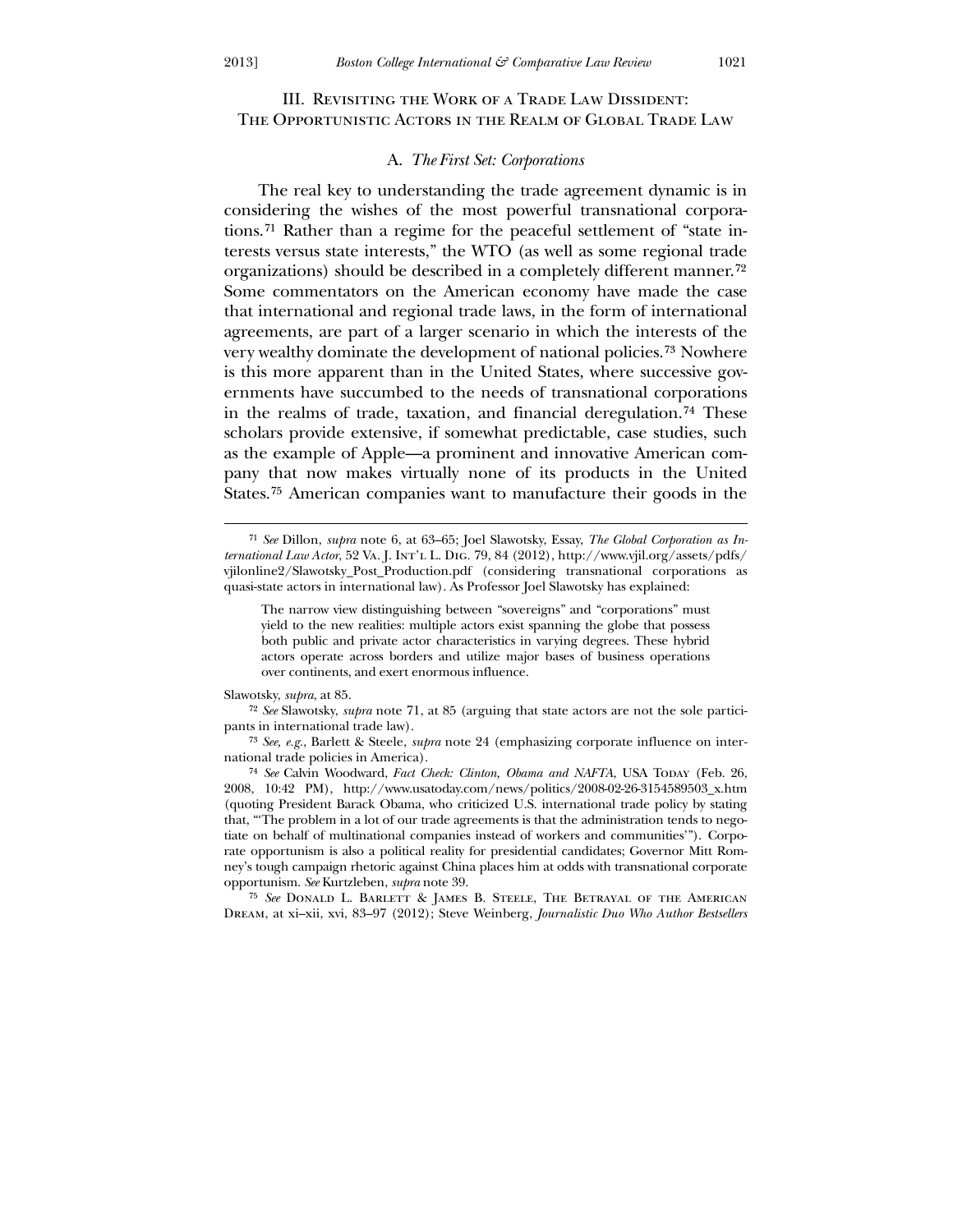# III. Revisiting the Work of a Trade Law Dissident: The Opportunistic Actors in the Realm of Global Trade Law

### A. *The First Set: Corporations*

 The real key to understanding the trade agreement dynamic is in considering the wishes of the most powerful transnational corporations.[71](#page-17-0) Rather than a regime for the peaceful settlement of "state interests versus state interests," the WTO (as well as some regional trade organizations) should be described in a completely different manner.[72](#page-17-1) Some commentators on the American economy have made the case that international and regional trade laws, in the form of international agreements, are part of a larger scenario in which the interests of the very wealthy dominate the development of national policies.[73](#page-17-2) Nowhere is this more apparent than in the United States, where successive governments have succumbed to the needs of transnational corporations in the realms of trade, taxation, and financial deregulation.[74](#page-17-3) These scholars provide extensive, if somewhat predictable, case studies, such as the example of Apple—a prominent and innovative American company that now makes virtually none of its products in the United States.[75](#page-17-4) American companies want to manufacture their goods in the

Slawotsky, *supra*, at 85.

 $\overline{a}$ 

72 *See* Slawotsky, *supra* note 71, at 85 (arguing that state actors are not the sole participants in international trade law).

73 *See, e.g.*, Barlett & Steele, *supra* note 24 (emphasizing corporate influence on international trade policies in America).

<span id="page-17-0"></span><sup>74</sup> See Calvin Woodward, *Fact Check: Clinton, Obama and NAFTA*, USA Today (Feb. 26, 2008, 10:42 PM), http://www.usatoday.com/news/politics/2008-02-26-3154589503\_x.htm (quoting President Barack Obama, who criticized U.S. international trade policy by stating that, "'The problem in a lot of our trade agreements is that the administration tends to negotiate on behalf of multinational companies instead of workers and communities'"). Corporate opportunism is also a political reality for presidential candidates; Governor Mitt Romney's tough campaign rhetoric against China places him at odds with transnational corporate opportunism. *See* Kurtzleben, *supra* note 39.

<span id="page-17-4"></span><span id="page-17-3"></span><span id="page-17-2"></span><span id="page-17-1"></span>75 *See* Donald L. Barlett & James B. Steele, The Betrayal of the American Dream, at xi–xii, xvi, 83–97 (2012); Steve Weinberg, *Journalistic Duo Who Author Bestsellers* 

<sup>71</sup> *See* Dillon, *supra* note 6, at 63–65; Joel Slawotsky, Essay, *The Global Corporation as International Law Actor*, 52 Va. J. Int'l L. Dig. 79, 84 (2012), http://www.vjil.org/assets/pdfs/ vjilonline2/Slawotsky\_Post\_Production.pdf (considering transnational corporations as quasi-state actors in international law). As Professor Joel Slawotsky has explained:

The narrow view distinguishing between "sovereigns" and "corporations" must yield to the new realities: multiple actors exist spanning the globe that possess both public and private actor characteristics in varying degrees. These hybrid actors operate across borders and utilize major bases of business operations over continents, and exert enormous influence.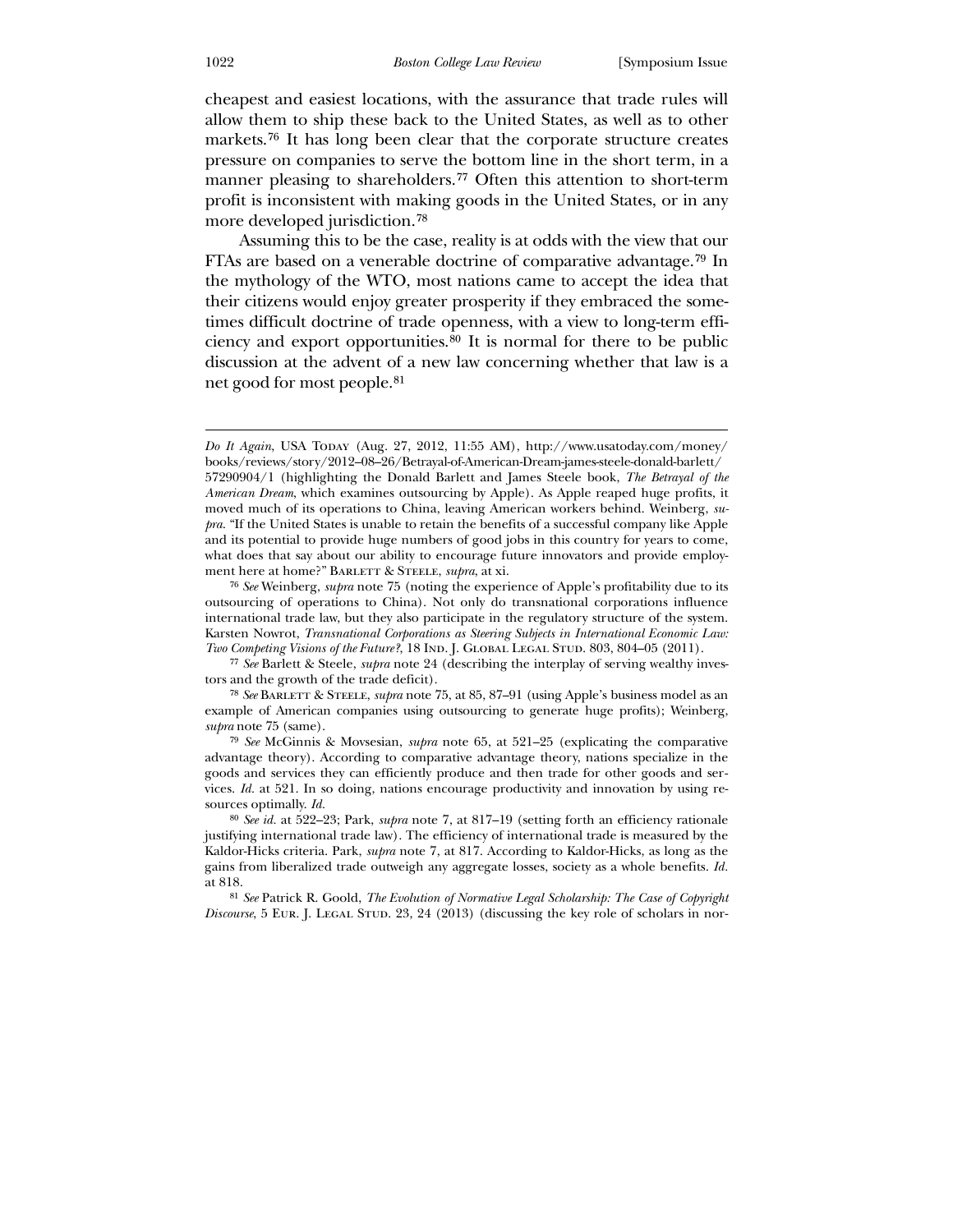cheapest and easiest locations, with the assurance that trade rules will allow them to ship these back to the United States, as well as to other markets.[76](#page-18-0) It has long been clear that the corporate structure creates pressure on companies to serve the bottom line in the short term, in a manner pleasing to shareholders.[77](#page-18-1) Often this attention to short-term profit is inconsistent with making goods in the United States, or in any more developed jurisdiction.[78](#page-18-2)

 Assuming this to be the case, reality is at odds with the view that our FTAs are based on a venerable doctrine of comparative advantage.[79](#page-18-3) In the mythology of the WTO, most nations came to accept the idea that their citizens would enjoy greater prosperity if they embraced the sometimes difficult doctrine of trade openness, with a view to long-term efficiency and export opportunities.[80](#page-18-4) It is normal for there to be public discussion at the advent of a new law concerning whether that law is a net good for most people.[81](#page-18-5)

78 *See* Barlett & Steele, *supra* note 75, at 85, 87–91 (using Apple's business model as an example of American companies using outsourcing to generate huge profits); Weinberg, *supra* note 75 (same).

79 *See* McGinnis & Movsesian, *supra* note 65, at 521–25 (explicating the comparative advantage theory). According to comparative advantage theory, nations specialize in the goods and services they can efficiently produce and then trade for other goods and services. *Id.* at 521. In so doing, nations encourage productivity and innovation by using resources optimally. *Id.*

<span id="page-18-0"></span>80 *See id.* at 522–23; Park, *supra* note 7, at 817–19 (setting forth an efficiency rationale justifying international trade law). The efficiency of international trade is measured by the Kaldor-Hicks criteria. Park, *supra* note 7, at 817. According to Kaldor-Hicks, as long as the gains from liberalized trade outweigh any aggregate losses, society as a whole benefits. *Id.* at 818.

<span id="page-18-5"></span><span id="page-18-4"></span><span id="page-18-3"></span><span id="page-18-2"></span><span id="page-18-1"></span>81 *See* Patrick R. Goold, *The Evolution of Normative Legal Scholarship: The Case of Copyright Discourse*, 5 EUR. J. LEGAL STUD. 23, 24 (2013) (discussing the key role of scholars in nor-

*Do It Again*, USA Today (Aug. 27, 2012, 11:55 AM), http://www.usatoday.com/money/ books/reviews/story/2012–08–26/Betrayal-of-American-Dream-james-steele-donald-barlett/ 57290904/1 (highlighting the Donald Barlett and James Steele book, *The Betrayal of the American Dream*, which examines outsourcing by Apple). As Apple reaped huge profits, it moved much of its operations to China, leaving American workers behind. Weinberg, *supra*. "If the United States is unable to retain the benefits of a successful company like Apple and its potential to provide huge numbers of good jobs in this country for years to come, what does that say about our ability to encourage future innovators and provide employment here at home?" BARLETT & STEELE, *supra*, at xi.

<sup>76</sup> *See* Weinberg, *supra* note 75 (noting the experience of Apple's profitability due to its outsourcing of operations to China). Not only do transnational corporations influence international trade law, but they also participate in the regulatory structure of the system. Karsten Nowrot, *Transnational Corporations as Steering Subjects in International Economic Law: Two Competing Visions of the Future?*, 18 IND. J. GLOBAL LEGAL STUD. 803, 804–05 (2011).

<sup>77</sup> *See* Barlett & Steele, *supra* note 24 (describing the interplay of serving wealthy investors and the growth of the trade deficit).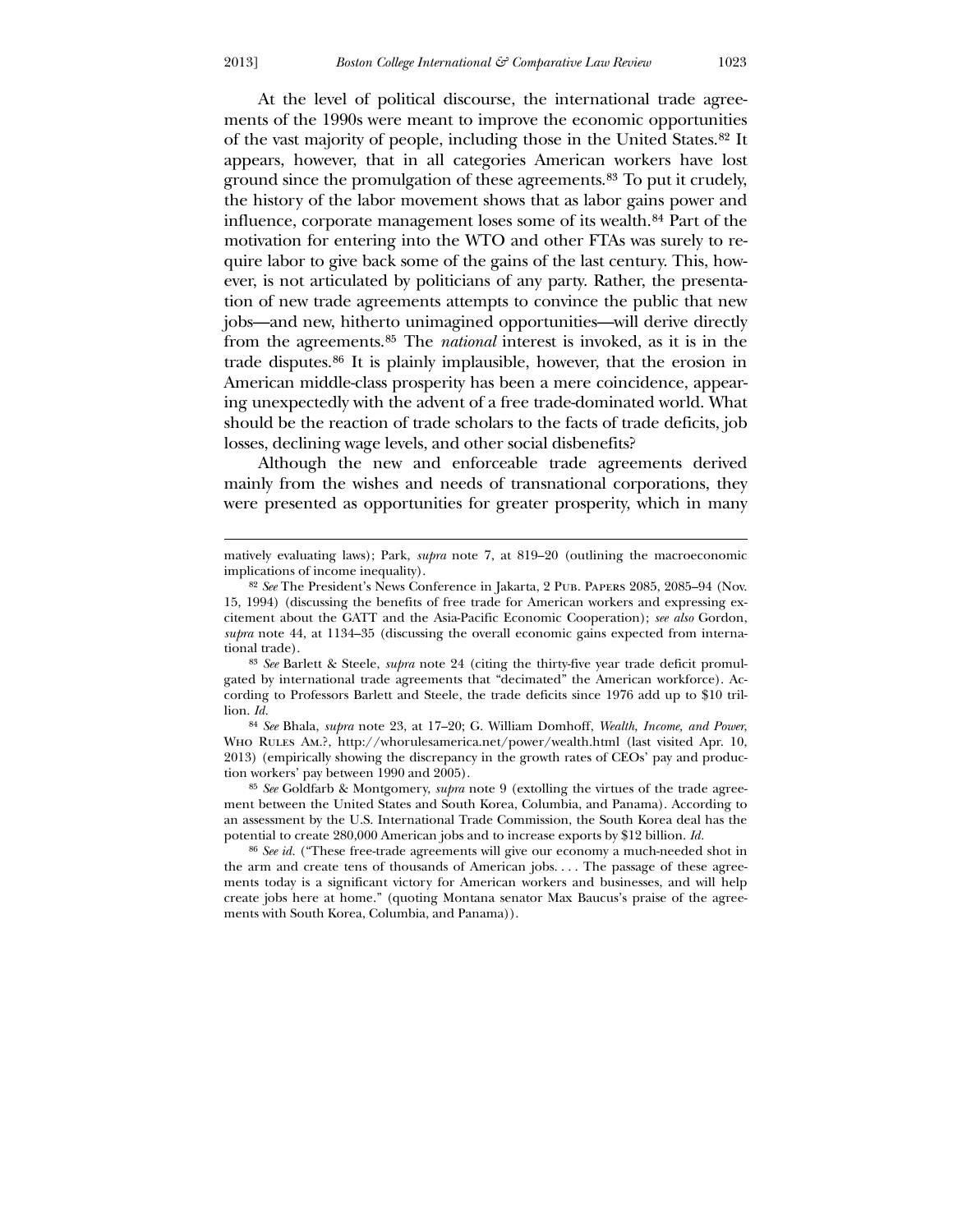At the level of political discourse, the international trade agreements of the 1990s were meant to improve the economic opportunities of the vast majority of people, including those in the United States.[82](#page-19-0) It appears, however, that in all categories American workers have lost ground since the promulgation of these agreements.[83](#page-19-1) To put it crudely, the history of the labor movement shows that as labor gains power and influence, corporate management loses some of its wealth.[84](#page-19-2) Part of the motivation for entering into the WTO and other FTAs was surely to require labor to give back some of the gains of the last century. This, however, is not articulated by politicians of any party. Rather, the presentation of new trade agreements attempts to convince the public that new jobs—and new, hitherto unimagined opportunities—will derive directly from the agreements.[85](#page-19-3) The *national* interest is invoked, as it is in the trade disputes.[86](#page-19-4) It is plainly implausible, however, that the erosion in American middle-class prosperity has been a mere coincidence, appearing unexpectedly with the advent of a free trade-dominated world. What should be the reaction of trade scholars to the facts of trade deficits, job losses, declining wage levels, and other social disbenefits?

 Although the new and enforceable trade agreements derived mainly from the wishes and needs of transnational corporations, they were presented as opportunities for greater prosperity, which in many

83 *See* Barlett & Steele, *supra* note 24 (citing the thirty-five year trade deficit promulgated by international trade agreements that "decimated" the American workforce). According to Professors Barlett and Steele, the trade deficits since 1976 add up to \$10 trillion. *Id.*

84 *See* Bhala, *supra* note 23, at 17–20; G. William Domhoff, *Wealth, Income, and Power*, Who Rules Am.?, http://whorulesamerica.net/power/wealth.html (last visited Apr. 10, 2013) (empirically showing the discrepancy in the growth rates of CEOs' pay and production workers' pay between 1990 and 2005).

<span id="page-19-0"></span>85 *See* Goldfarb & Montgomery, *supra* note 9 (extolling the virtues of the trade agreement between the United States and South Korea, Columbia, and Panama). According to an assessment by the U.S. International Trade Commission, the South Korea deal has the potential to create 280,000 American jobs and to increase exports by \$12 billion. *Id.*

<span id="page-19-4"></span><span id="page-19-3"></span><span id="page-19-2"></span><span id="page-19-1"></span>86 *See id.* ("These free-trade agreements will give our economy a much-needed shot in the arm and create tens of thousands of American jobs. . . . The passage of these agreements today is a significant victory for American workers and businesses, and will help create jobs here at home." (quoting Montana senator Max Baucus's praise of the agreements with South Korea, Columbia, and Panama)).

<u>.</u>

matively evaluating laws); Park, *supra* note 7, at 819–20 (outlining the macroeconomic implications of income inequality).

<sup>82</sup> *See* The President's News Conference in Jakarta, 2 Pub. Papers 2085, 2085–94 (Nov. 15, 1994) (discussing the benefits of free trade for American workers and expressing excitement about the GATT and the Asia-Pacific Economic Cooperation); *see also* Gordon, *supra* note 44, at 1134–35 (discussing the overall economic gains expected from international trade).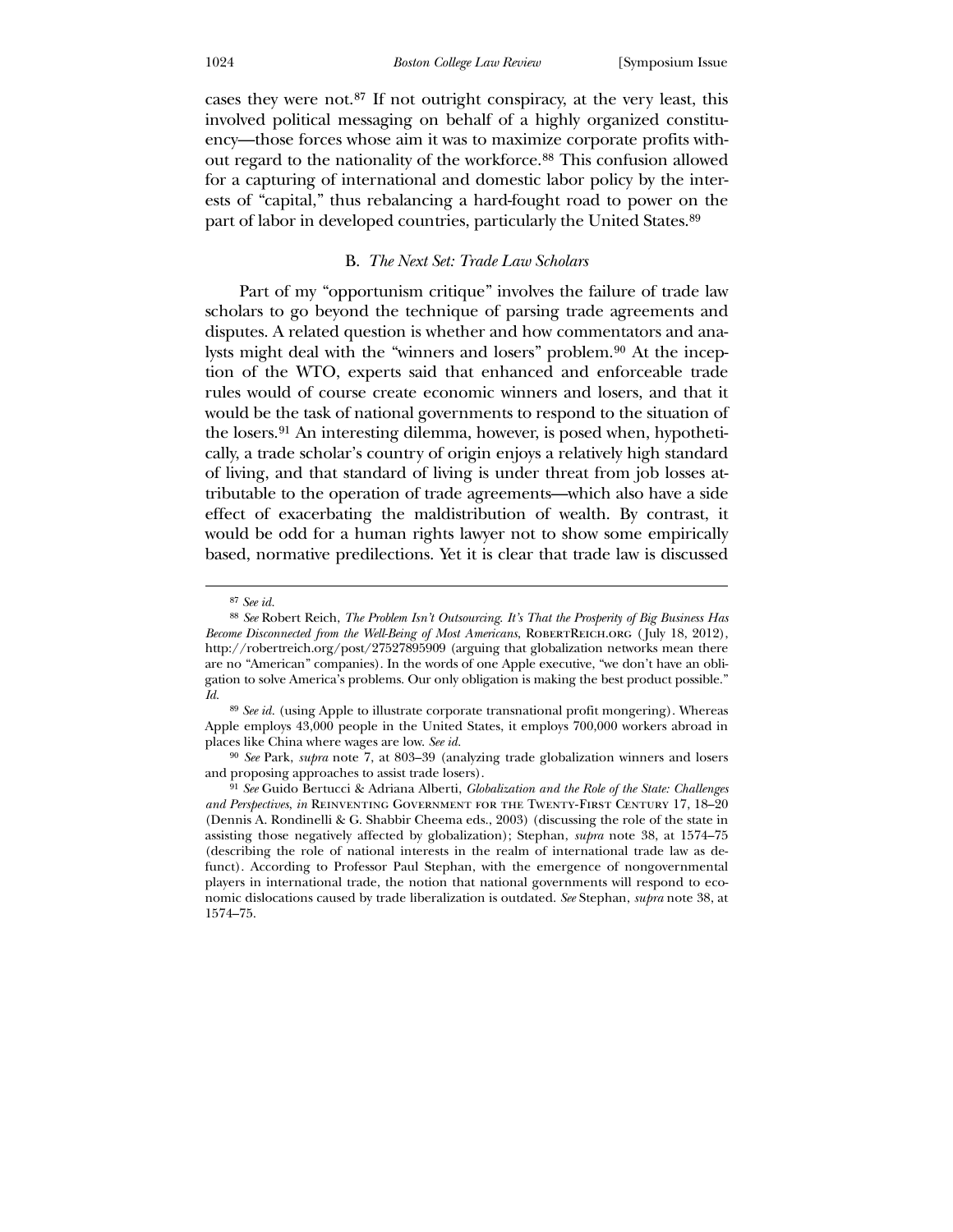cases they were not.[87](#page-20-0) If not outright conspiracy, at the very least, this involved political messaging on behalf of a highly organized constituency—those forces whose aim it was to maximize corporate profits without regard to the nationality of the workforce.[88](#page-20-1) This confusion allowed for a capturing of international and domestic labor policy by the interests of "capital," thus rebalancing a hard-fought road to power on the part of labor in developed countries, particularly the United States.[89](#page-20-2)

## B. *The Next Set: Trade Law Scholars*

Part of my "opportunism critique" involves the failure of trade law scholars to go beyond the technique of parsing trade agreements and disputes. A related question is whether and how commentators and ana-lysts might deal with the "winners and losers" problem.<sup>[90](#page-20-3)</sup> At the inception of the WTO, experts said that enhanced and enforceable trade rules would of course create economic winners and losers, and that it would be the task of national governments to respond to the situation of the losers.[91](#page-20-4) An interesting dilemma, however, is posed when, hypothetically, a trade scholar's country of origin enjoys a relatively high standard of living, and that standard of living is under threat from job losses attributable to the operation of trade agreements—which also have a side effect of exacerbating the maldistribution of wealth. By contrast, it would be odd for a human rights lawyer not to show some empirically based, normative predilections. Yet it is clear that trade law is discussed

<sup>87</sup> *See id.*

<sup>88</sup> *See* Robert Reich, *The Problem Isn't Outsourcing. It's That the Prosperity of Big Business Has Become Disconnected from the Well-Being of Most Americans*, ROBERTREICH.ORG (July 18, 2012), http://robertreich.org/post/27527895909 (arguing that globalization networks mean there are no "American" companies). In the words of one Apple executive, "we don't have an obligation to solve America's problems. Our only obligation is making the best product possible." *Id.*

<sup>89</sup> *See id.* (using Apple to illustrate corporate transnational profit mongering). Whereas Apple employs 43,000 people in the United States, it employs 700,000 workers abroad in places like China where wages are low. *See id.*

<sup>90</sup> *See* Park, *supra* note 7, at 803–39 (analyzing trade globalization winners and losers and proposing approaches to assist trade losers).

<span id="page-20-4"></span><span id="page-20-3"></span><span id="page-20-2"></span><span id="page-20-1"></span><span id="page-20-0"></span><sup>91</sup> *See* Guido Bertucci & Adriana Alberti, *Globalization and the Role of the State: Challenges and Perspectives*, *in* Reinventing Government for the Twenty-First Century 17, 18–20 (Dennis A. Rondinelli & G. Shabbir Cheema eds., 2003) (discussing the role of the state in assisting those negatively affected by globalization); Stephan, *supra* note 38, at 1574–75 (describing the role of national interests in the realm of international trade law as defunct). According to Professor Paul Stephan, with the emergence of nongovernmental players in international trade, the notion that national governments will respond to economic dislocations caused by trade liberalization is outdated. *See* Stephan, *supra* note 38, at 1574–75.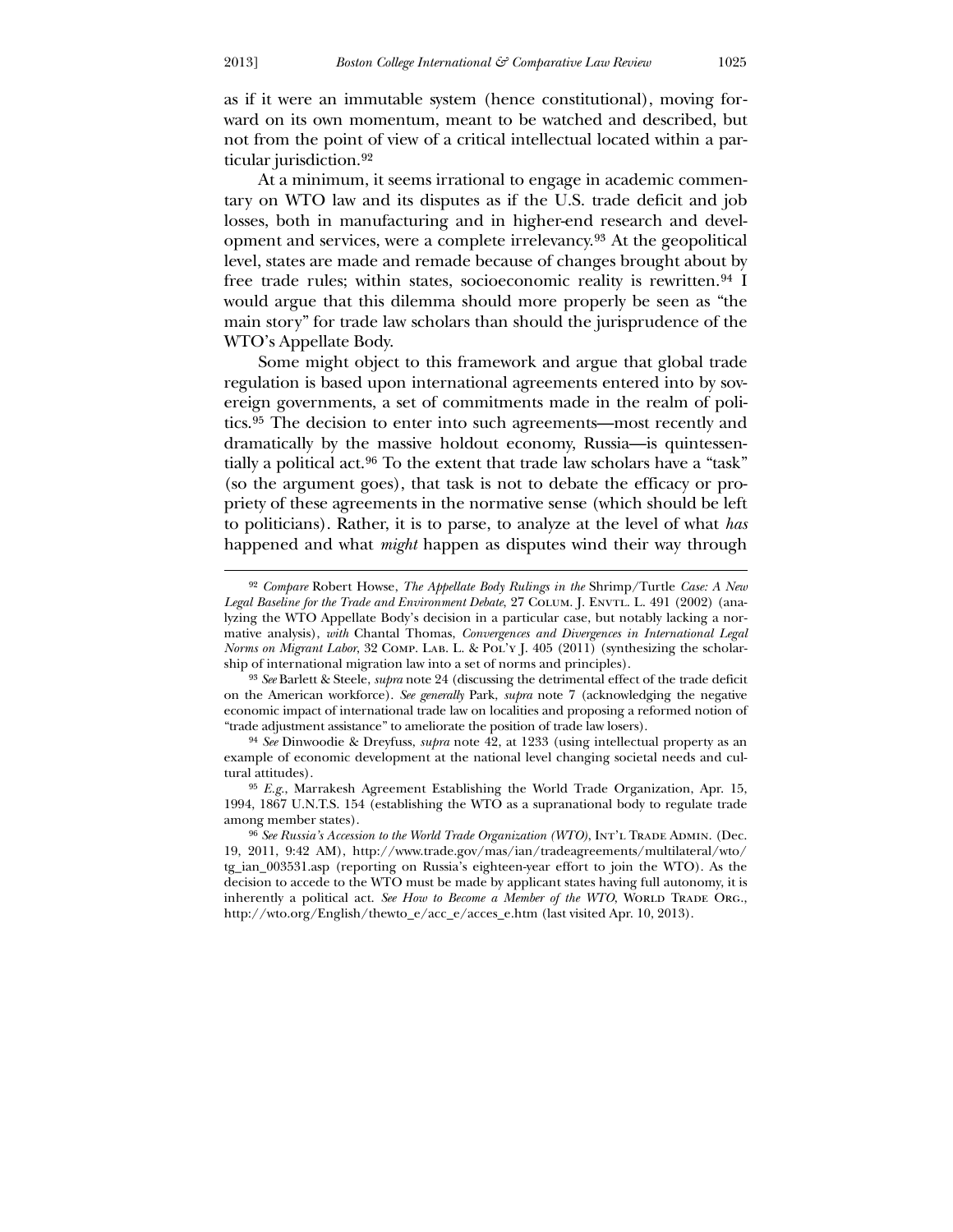as if it were an immutable system (hence constitutional), moving forward on its own momentum, meant to be watched and described, but not from the point of view of a critical intellectual located within a particular jurisdiction.[92](#page-21-0)

 At a minimum, it seems irrational to engage in academic commentary on WTO law and its disputes as if the U.S. trade deficit and job losses, both in manufacturing and in higher-end research and development and services, were a complete irrelevancy.[93](#page-21-1) At the geopolitical level, states are made and remade because of changes brought about by free trade rules; within states, socioeconomic reality is rewritten.<sup>[94](#page-21-2)</sup> I would argue that this dilemma should more properly be seen as "the main story" for trade law scholars than should the jurisprudence of the WTO's Appellate Body.

 Some might object to this framework and argue that global trade regulation is based upon international agreements entered into by sovereign governments, a set of commitments made in the realm of politics.[95](#page-21-3) The decision to enter into such agreements—most recently and dramatically by the massive holdout economy, Russia—is quintessentially a political act.[96](#page-21-4) To the extent that trade law scholars have a "task" (so the argument goes), that task is not to debate the efficacy or propriety of these agreements in the normative sense (which should be left to politicians). Rather, it is to parse, to analyze at the level of what *has* happened and what *might* happen as disputes wind their way through

-

<sup>92</sup> *Compare* Robert Howse, *The Appellate Body Rulings in the* Shrimp/Turtle *Case: A New*  Legal Baseline for the Trade and Environment Debate, 27 COLUM. J. ENVTL. L. 491 (2002) (analyzing the WTO Appellate Body's decision in a particular case, but notably lacking a normative analysis), *with* Chantal Thomas, *Convergences and Divergences in International Legal Norms on Migrant Labor*, 32 COMP. LAB. L. & POL'Y J. 405 (2011) (synthesizing the scholarship of international migration law into a set of norms and principles).

<sup>93</sup> *See* Barlett & Steele, *supra* note 24 (discussing the detrimental effect of the trade deficit on the American workforce). *See generally* Park, *supra* note 7 (acknowledging the negative economic impact of international trade law on localities and proposing a reformed notion of "trade adjustment assistance" to ameliorate the position of trade law losers).

<sup>94</sup> *See* Dinwoodie & Dreyfuss, *supra* note 42, at 1233 (using intellectual property as an example of economic development at the national level changing societal needs and cultural attitudes).

<span id="page-21-0"></span><sup>95</sup> *E.g.*, Marrakesh Agreement Establishing the World Trade Organization, Apr. 15, 1994, 1867 U.N.T.S. 154 (establishing the WTO as a supranational body to regulate trade among member states).

<span id="page-21-4"></span><span id="page-21-3"></span><span id="page-21-2"></span><span id="page-21-1"></span><sup>&</sup>lt;sup>96</sup> See Russia's Accession to the World Trade Organization (WTO), INT'L TRADE ADMIN. (Dec. 19, 2011, 9:42 AM), http://www.trade.gov/mas/ian/tradeagreements/multilateral/wto/ tg\_ian\_003531.asp (reporting on Russia's eighteen-year effort to join the WTO). As the decision to accede to the WTO must be made by applicant states having full autonomy, it is inherently a political act. See How to Become a Member of the WTO, WORLD TRADE ORG., http://wto.org/English/thewto\_e/acc\_e/acces\_e.htm (last visited Apr. 10, 2013).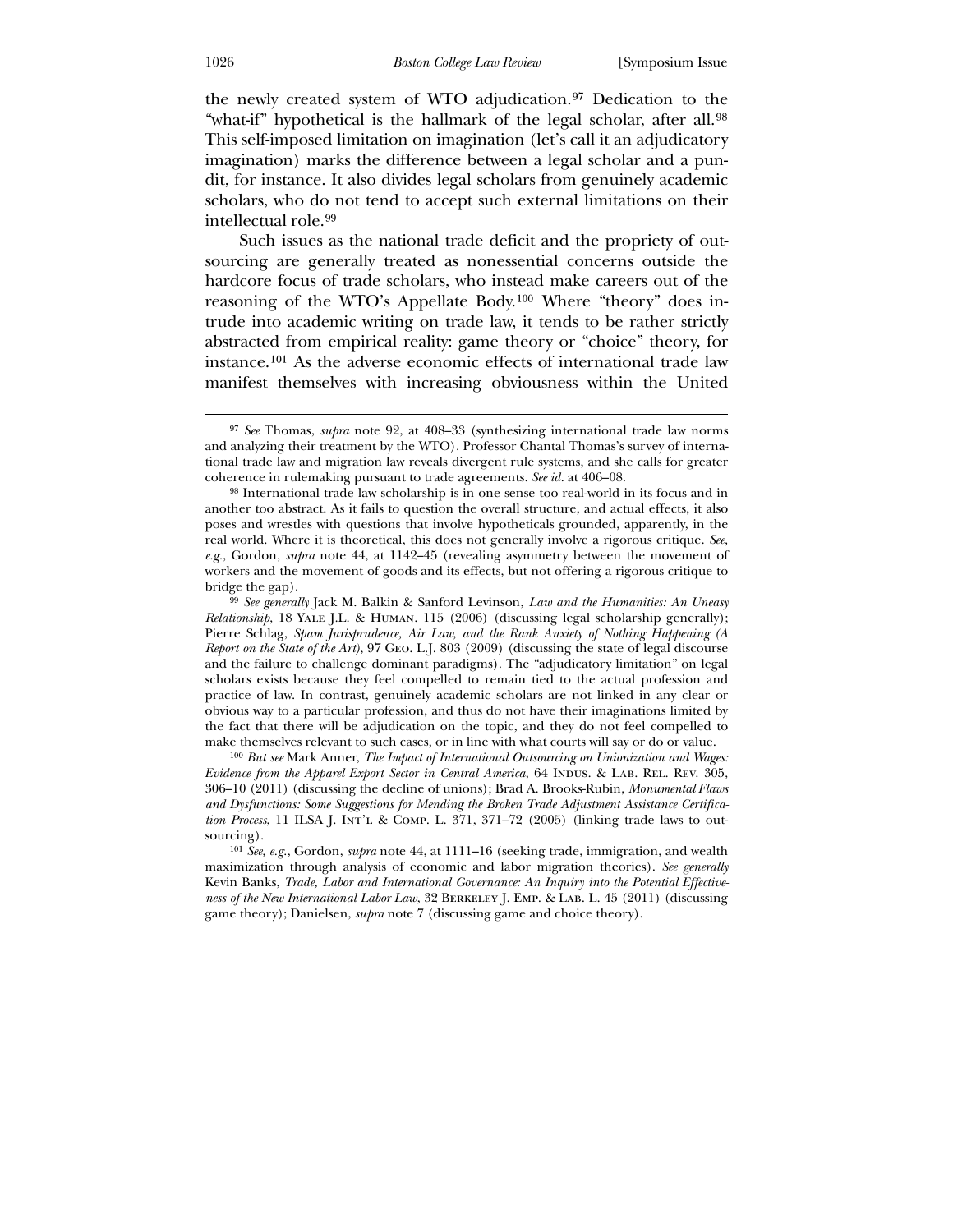the newly created system of WTO adjudication.[97](#page-22-0) Dedication to the "what-if" hypothetical is the hallmark of the legal scholar, after all.<sup>[98](#page-22-1)</sup> This self-imposed limitation on imagination (let's call it an adjudicatory imagination) marks the difference between a legal scholar and a pundit, for instance. It also divides legal scholars from genuinely academic scholars, who do not tend to accept such external limitations on their intellectual role.[99](#page-22-2)

 Such issues as the national trade deficit and the propriety of outsourcing are generally treated as nonessential concerns outside the hardcore focus of trade scholars, who instead make careers out of the reasoning of the WTO's Appellate Body.[100](#page-22-3) Where "theory" does intrude into academic writing on trade law, it tends to be rather strictly abstracted from empirical reality: game theory or "choice" theory, for instance.[101](#page-22-4) As the adverse economic effects of international trade law manifest themselves with increasing obviousness within the United

<span id="page-22-1"></span>100 *But see* Mark Anner, *The Impact of International Outsourcing on Unionization and Wages: Evidence from the Apparel Export Sector in Central America*, 64 INDUS. & LAB. REL. REV. 305, 306–10 (2011) (discussing the decline of unions); Brad A. Brooks-Rubin, *Monumental Flaws and Dysfunctions: Some Suggestions for Mending the Broken Trade Adjustment Assistance Certification Process*, 11 ILSA J. Int'l & Comp. L. 371, 371–72 (2005) (linking trade laws to outsourcing).

<sup>97</sup> *See* Thomas, *supra* note 92, at 408–33 (synthesizing international trade law norms and analyzing their treatment by the WTO). Professor Chantal Thomas's survey of international trade law and migration law reveals divergent rule systems, and she calls for greater coherence in rulemaking pursuant to trade agreements. *See id.* at 406–08.

<sup>98</sup> International trade law scholarship is in one sense too real-world in its focus and in another too abstract. As it fails to question the overall structure, and actual effects, it also poses and wrestles with questions that involve hypotheticals grounded, apparently, in the real world. Where it is theoretical, this does not generally involve a rigorous critique. *See, e.g.*, Gordon, *supra* note 44, at 1142–45 (revealing asymmetry between the movement of workers and the movement of goods and its effects, but not offering a rigorous critique to bridge the gap).

<span id="page-22-0"></span><sup>99</sup> *See generally* Jack M. Balkin & Sanford Levinson, *Law and the Humanities: An Uneasy Relationship*, 18 Yale J.L. & Human. 115 (2006) (discussing legal scholarship generally); Pierre Schlag, *Spam Jurisprudence, Air Law, and the Rank Anxiety of Nothing Happening (A Report on the State of the Art)*, 97 Geo. L.J. 803 (2009) (discussing the state of legal discourse and the failure to challenge dominant paradigms). The "adjudicatory limitation" on legal scholars exists because they feel compelled to remain tied to the actual profession and practice of law. In contrast, genuinely academic scholars are not linked in any clear or obvious way to a particular profession, and thus do not have their imaginations limited by the fact that there will be adjudication on the topic, and they do not feel compelled to make themselves relevant to such cases, or in line with what courts will say or do or value.

<span id="page-22-4"></span><span id="page-22-3"></span><span id="page-22-2"></span><sup>101</sup> *See, e.g.*, Gordon, *supra* note 44, at 1111–16 (seeking trade, immigration, and wealth maximization through analysis of economic and labor migration theories). *See generally*  Kevin Banks, *Trade, Labor and International Governance: An Inquiry into the Potential Effectiveness of the New International Labor Law*, 32 Berkeley J. Emp. & Lab. L. 45 (2011) (discussing game theory); Danielsen, *supra* note 7 (discussing game and choice theory).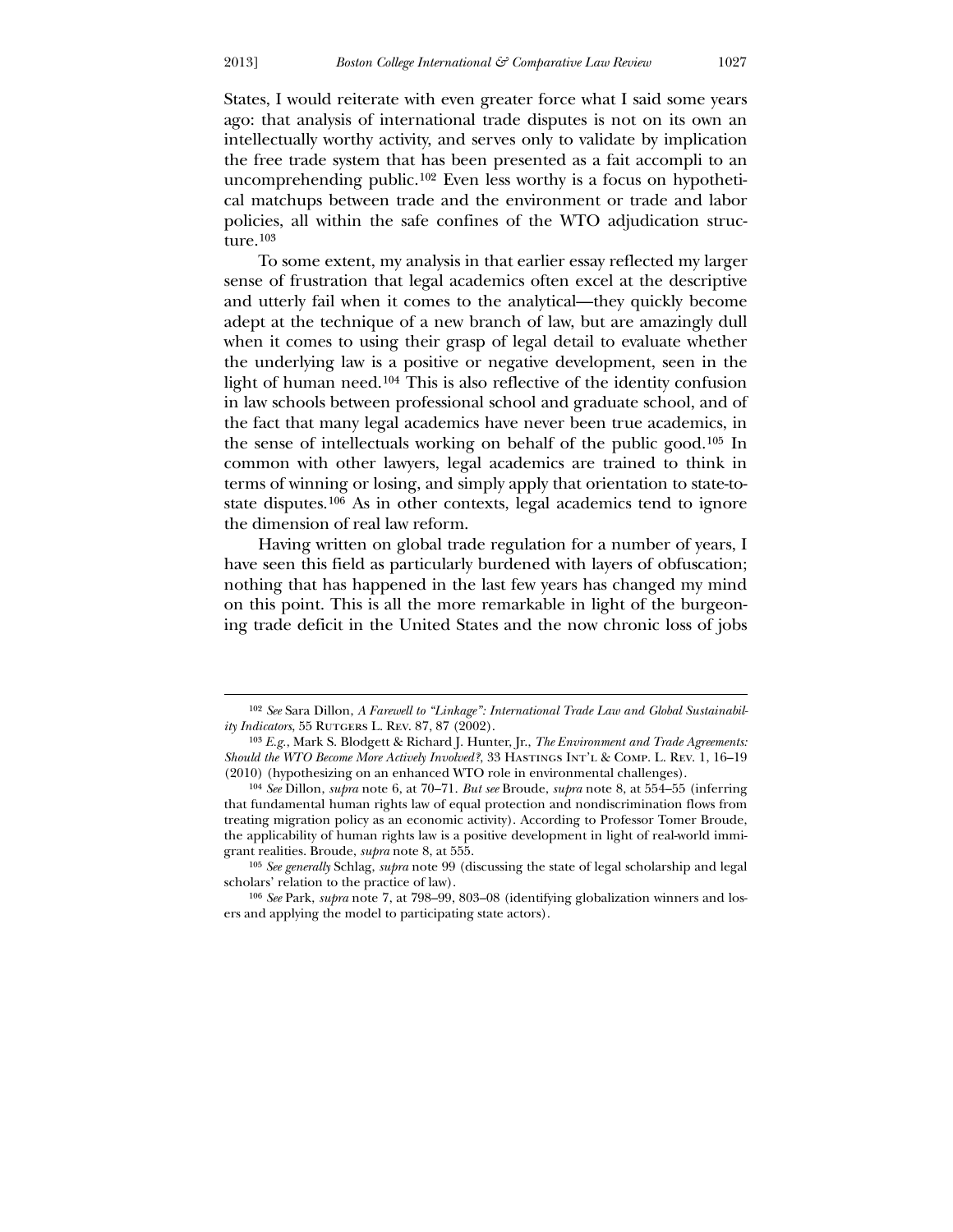$\overline{a}$ 

States, I would reiterate with even greater force what I said some years ago: that analysis of international trade disputes is not on its own an intellectually worthy activity, and serves only to validate by implication the free trade system that has been presented as a fait accompli to an uncomprehending public.[102](#page-23-0) Even less worthy is a focus on hypothetical matchups between trade and the environment or trade and labor policies, all within the safe confines of the WTO adjudication structure.[103](#page-23-1)

 To some extent, my analysis in that earlier essay reflected my larger sense of frustration that legal academics often excel at the descriptive and utterly fail when it comes to the analytical—they quickly become adept at the technique of a new branch of law, but are amazingly dull when it comes to using their grasp of legal detail to evaluate whether the underlying law is a positive or negative development, seen in the light of human need.[104](#page-23-2) This is also reflective of the identity confusion in law schools between professional school and graduate school, and of the fact that many legal academics have never been true academics, in the sense of intellectuals working on behalf of the public good.[105](#page-23-3) In common with other lawyers, legal academics are trained to think in terms of winning or losing, and simply apply that orientation to state-tostate disputes.[106](#page-23-4) As in other contexts, legal academics tend to ignore the dimension of real law reform.

 Having written on global trade regulation for a number of years, I have seen this field as particularly burdened with layers of obfuscation; nothing that has happened in the last few years has changed my mind on this point. This is all the more remarkable in light of the burgeoning trade deficit in the United States and the now chronic loss of jobs

<sup>102</sup> *See* Sara Dillon, *A Farewell to "Linkage": International Trade Law and Global Sustainability Indicators*, 55 RUTGERS L. REV. 87, 87 (2002).

<sup>103</sup> *E.g.*, Mark S. Blodgett & Richard J. Hunter, Jr., *The Environment and Trade Agreements: Should the WTO Become More Actively Involved?*, 33 HASTINGS INT'L & COMP. L. REV. 1, 16–19 (2010) (hypothesizing on an enhanced WTO role in environmental challenges).

<sup>104</sup> *See* Dillon, *supra* note 6, at 70–71. *But see* Broude, *supra* note 8, at 554–55 (inferring that fundamental human rights law of equal protection and nondiscrimination flows from treating migration policy as an economic activity). According to Professor Tomer Broude, the applicability of human rights law is a positive development in light of real-world immigrant realities. Broude, *supra* note 8, at 555.

<sup>105</sup> *See generally* Schlag, *supra* note 99 (discussing the state of legal scholarship and legal scholars' relation to the practice of law).

<span id="page-23-4"></span><span id="page-23-3"></span><span id="page-23-2"></span><span id="page-23-1"></span><span id="page-23-0"></span><sup>106</sup> *See* Park, *supra* note 7, at 798–99, 803–08 (identifying globalization winners and losers and applying the model to participating state actors).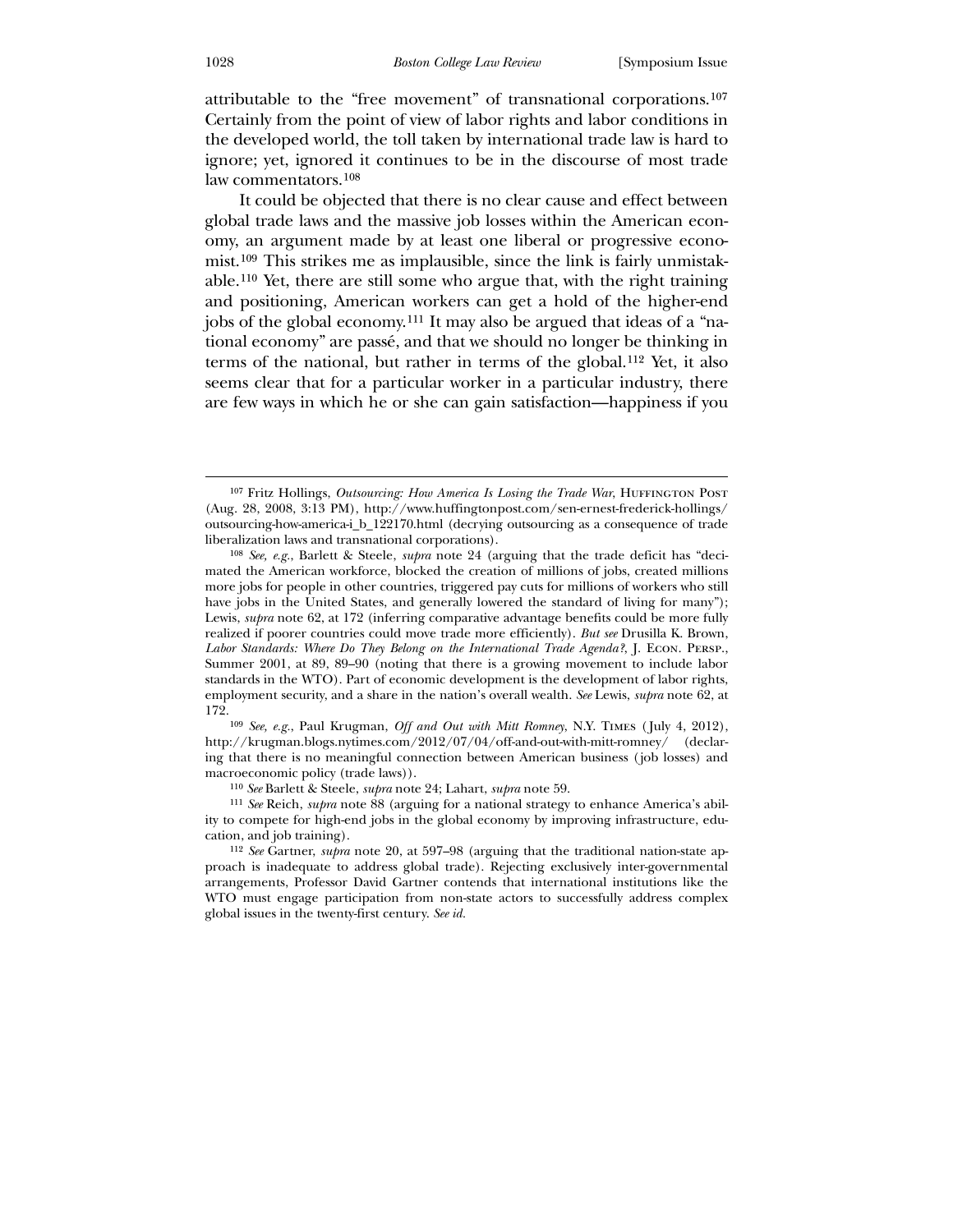attributable to the "free movement" of transnational corporations.[107](#page-24-0) Certainly from the point of view of labor rights and labor conditions in the developed world, the toll taken by international trade law is hard to ignore; yet, ignored it continues to be in the discourse of most trade law commentators.[108](#page-24-1)

 It could be objected that there is no clear cause and effect between global trade laws and the massive job losses within the American economy, an argument made by at least one liberal or progressive economist.[109](#page-24-2) This strikes me as implausible, since the link is fairly unmistakable.[110](#page-24-3) Yet, there are still some who argue that, with the right training and positioning, American workers can get a hold of the higher-end jobs of the global economy.[111](#page-24-4) It may also be argued that ideas of a "national economy" are passé, and that we should no longer be thinking in terms of the national, but rather in terms of the global.[112](#page-24-5) Yet, it also seems clear that for a particular worker in a particular industry, there are few ways in which he or she can gain satisfaction—happiness if you

<span id="page-24-0"></span>109 *See, e.g.*, Paul Krugman, *Off and Out with Mitt Romney*, N.Y. Times ( July 4, 2012), http://krugman.blogs.nytimes.com/2012/07/04/off-and-out-with-mitt-romney/ (declaring that there is no meaningful connection between American business (job losses) and macroeconomic policy (trade laws)).

110 *See* Barlett & Steele, *supra* note 24; Lahart, *supra* note 59.

<span id="page-24-1"></span>111 *See* Reich, *supra* note 88 (arguing for a national strategy to enhance America's ability to compete for high-end jobs in the global economy by improving infrastructure, education, and job training).

<span id="page-24-5"></span><span id="page-24-4"></span><span id="page-24-3"></span><span id="page-24-2"></span>112 *See* Gartner, *supra* note 20, at 597–98 (arguing that the traditional nation-state approach is inadequate to address global trade). Rejecting exclusively inter-governmental arrangements, Professor David Gartner contends that international institutions like the WTO must engage participation from non-state actors to successfully address complex global issues in the twenty-first century. *See id.*

<sup>&</sup>lt;sup>107</sup> Fritz Hollings, *Outsourcing: How America Is Losing the Trade War*, HUFFINGTON POST (Aug. 28, 2008, 3:13 PM), http://www.huffingtonpost.com/sen-ernest-frederick-hollings/ outsourcing-how-america-i\_b\_122170.html (decrying outsourcing as a consequence of trade liberalization laws and transnational corporations).

<sup>108</sup> *See, e.g.*, Barlett & Steele, *supra* note 24 (arguing that the trade deficit has "decimated the American workforce, blocked the creation of millions of jobs, created millions more jobs for people in other countries, triggered pay cuts for millions of workers who still have jobs in the United States, and generally lowered the standard of living for many"); Lewis, *supra* note 62, at 172 (inferring comparative advantage benefits could be more fully realized if poorer countries could move trade more efficiently). *But see* Drusilla K. Brown, *Labor Standards: Where Do They Belong on the International Trade Agenda?*, J. Econ. Persp., Summer 2001, at 89, 89–90 (noting that there is a growing movement to include labor standards in the WTO). Part of economic development is the development of labor rights, employment security, and a share in the nation's overall wealth. *See* Lewis, *supra* note 62, at 172.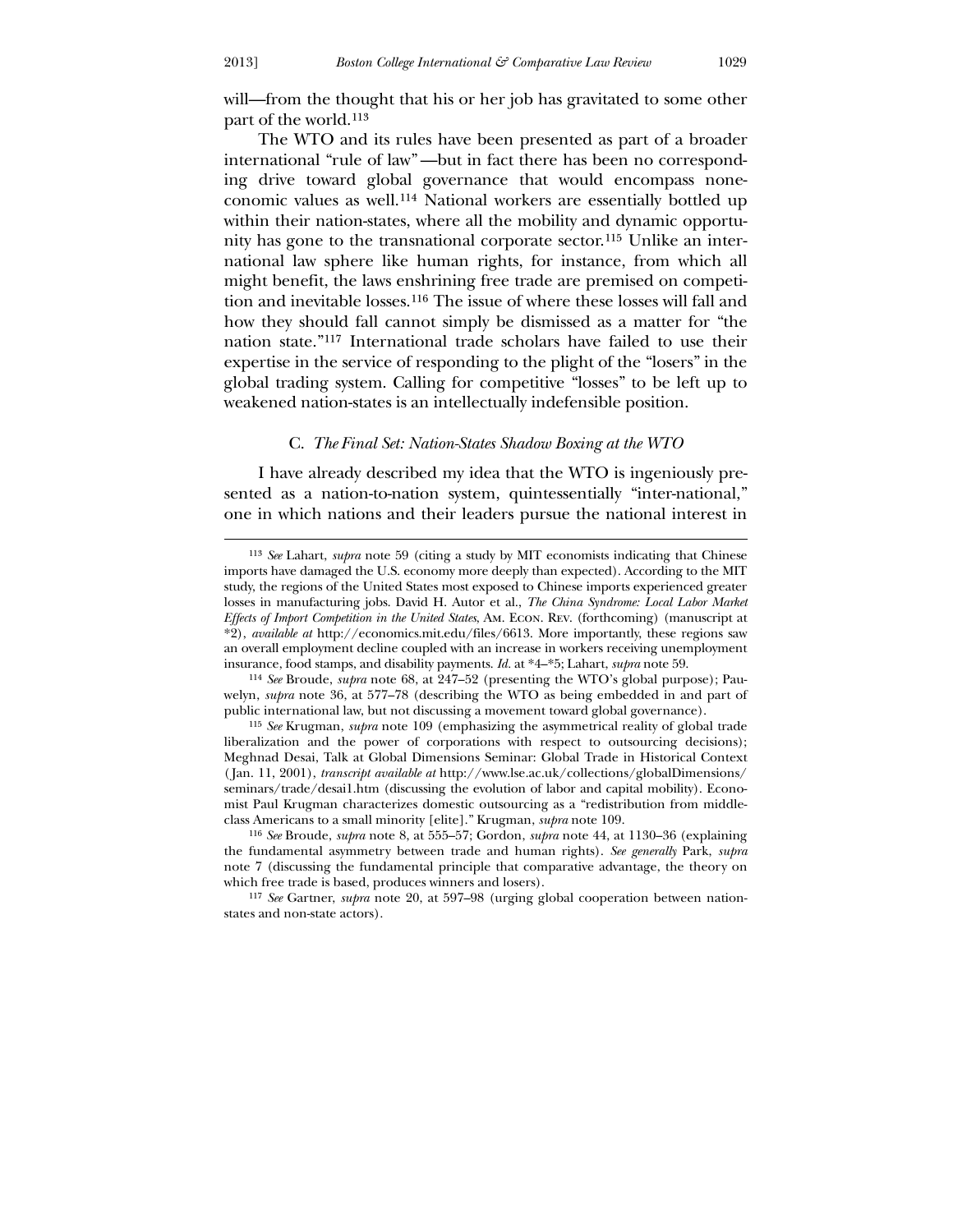<u>.</u>

will—from the thought that his or her job has gravitated to some other part of the world.[113](#page-25-0)

 The WTO and its rules have been presented as part of a broader international "rule of law" —but in fact there has been no corresponding drive toward global governance that would encompass noneconomic values as well.[114](#page-25-1) National workers are essentially bottled up within their nation-states, where all the mobility and dynamic opportunity has gone to the transnational corporate sector.[115](#page-25-2) Unlike an international law sphere like human rights, for instance, from which all might benefit, the laws enshrining free trade are premised on competition and inevitable losses.[116](#page-25-3) The issue of where these losses will fall and how they should fall cannot simply be dismissed as a matter for "the nation state."[117](#page-25-4) International trade scholars have failed to use their expertise in the service of responding to the plight of the "losers" in the global trading system. Calling for competitive "losses" to be left up to weakened nation-states is an intellectually indefensible position.

#### C. *The Final Set: Nation-States Shadow Boxing at the WTO*

I have already described my idea that the WTO is ingeniously presented as a nation-to-nation system, quintessentially "inter-national," one in which nations and their leaders pursue the national interest in

<sup>113</sup> *See* Lahart, *supra* note 59 (citing a study by MIT economists indicating that Chinese imports have damaged the U.S. economy more deeply than expected). According to the MIT study, the regions of the United States most exposed to Chinese imports experienced greater losses in manufacturing jobs. David H. Autor et al., *The China Syndrome: Local Labor Market Effects of Import Competition in the United States*, Am. Econ. Rev. (forthcoming) (manuscript at \*2), *available at* http://economics.mit.edu/files/6613. More importantly, these regions saw an overall employment decline coupled with an increase in workers receiving unemployment insurance, food stamps, and disability payments. *Id.* at \*4–\*5; Lahart, *supra* note 59.

<sup>114</sup> *See* Broude, *supra* note 68, at 247–52 (presenting the WTO's global purpose); Pauwelyn, *supra* note 36, at 577–78 (describing the WTO as being embedded in and part of public international law, but not discussing a movement toward global governance).

<span id="page-25-0"></span><sup>115</sup> *See* Krugman, *supra* note 109 (emphasizing the asymmetrical reality of global trade liberalization and the power of corporations with respect to outsourcing decisions); Meghnad Desai, Talk at Global Dimensions Seminar: Global Trade in Historical Context ( Jan. 11, 2001), *transcript available at* http://www.lse.ac.uk/collections/globalDimensions/ seminars/trade/desai1.htm (discussing the evolution of labor and capital mobility). Economist Paul Krugman characterizes domestic outsourcing as a "redistribution from middleclass Americans to a small minority [elite]." Krugman, *supra* note 109.

<sup>116</sup> *See* Broude, *supra* note 8, at 555–57; Gordon, *supra* note 44, at 1130–36 (explaining the fundamental asymmetry between trade and human rights). *See generally* Park, *supra*  note 7 (discussing the fundamental principle that comparative advantage, the theory on which free trade is based, produces winners and losers).

<span id="page-25-4"></span><span id="page-25-3"></span><span id="page-25-2"></span><span id="page-25-1"></span><sup>117</sup> *See* Gartner, *supra* note 20, at 597–98 (urging global cooperation between nationstates and non-state actors).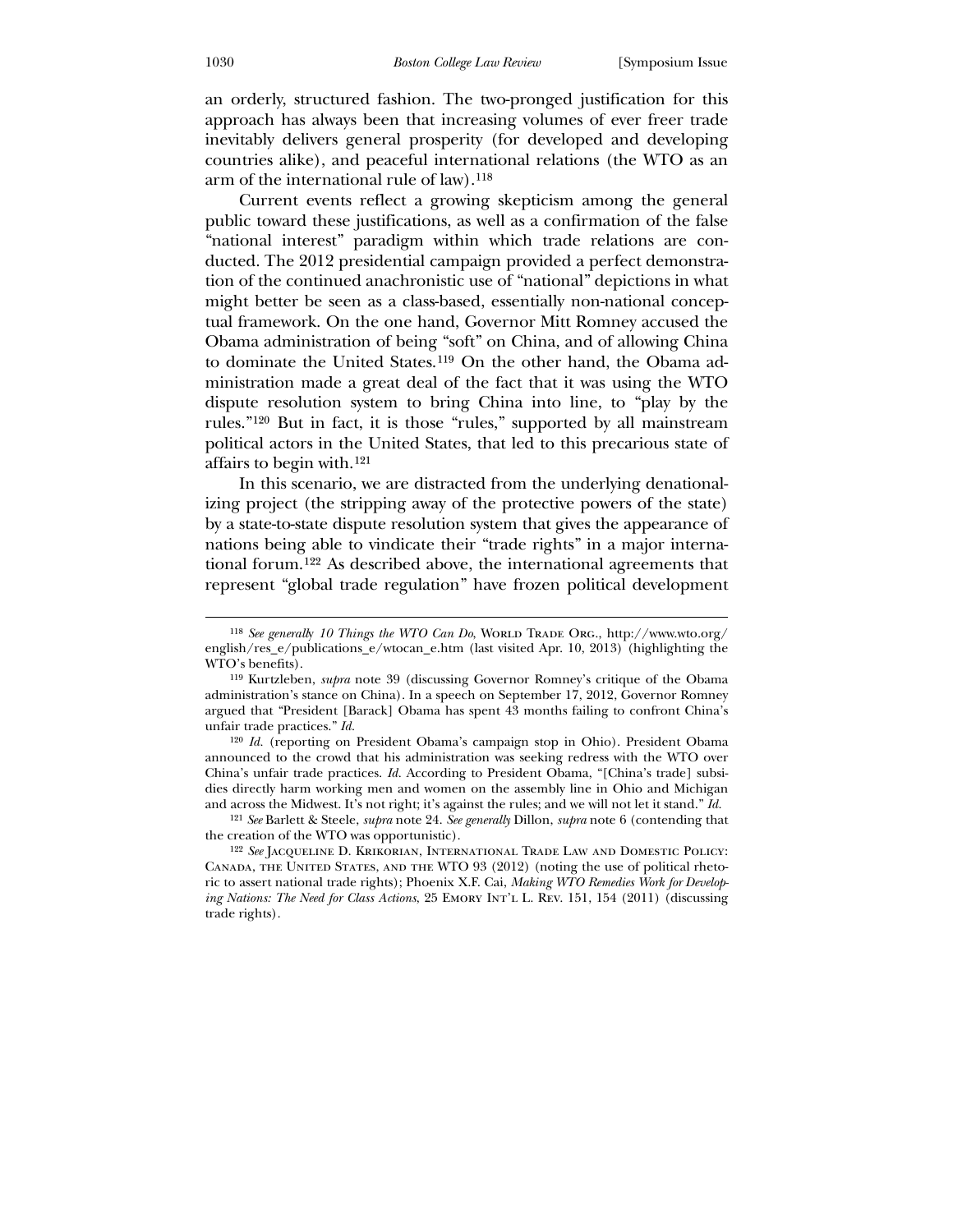an orderly, structured fashion. The two-pronged justification for this approach has always been that increasing volumes of ever freer trade inevitably delivers general prosperity (for developed and developing countries alike), and peaceful international relations (the WTO as an arm of the international rule of law).[118](#page-26-0)

 Current events reflect a growing skepticism among the general public toward these justifications, as well as a confirmation of the false "national interest" paradigm within which trade relations are conducted. The 2012 presidential campaign provided a perfect demonstration of the continued anachronistic use of "national" depictions in what might better be seen as a class-based, essentially non-national conceptual framework. On the one hand, Governor Mitt Romney accused the Obama administration of being "soft" on China, and of allowing China to dominate the United States.[119](#page-26-1) On the other hand, the Obama administration made a great deal of the fact that it was using the WTO dispute resolution system to bring China into line, to "play by the rules."[120](#page-26-2) But in fact, it is those "rules," supported by all mainstream political actors in the United States, that led to this precarious state of affairs to begin with.[121](#page-26-3)

 In this scenario, we are distracted from the underlying denationalizing project (the stripping away of the protective powers of the state) by a state-to-state dispute resolution system that gives the appearance of nations being able to vindicate their "trade rights" in a major international forum.[122](#page-26-4) As described above, the international agreements that represent "global trade regulation" have frozen political development

<sup>&</sup>lt;sup>118</sup> *See generally 10 Things the WTO Can Do*, WORLD TRADE ORG., http://www.wto.org/ english/res\_e/publications\_e/wtocan\_e.htm (last visited Apr. 10, 2013) (highlighting the WTO's benefits).

<sup>119</sup> Kurtzleben, *supra* note 39 (discussing Governor Romney's critique of the Obama administration's stance on China). In a speech on September 17, 2012, Governor Romney argued that "President [Barack] Obama has spent 43 months failing to confront China's unfair trade practices." *Id.*

<sup>120</sup> *Id.* (reporting on President Obama's campaign stop in Ohio). President Obama announced to the crowd that his administration was seeking redress with the WTO over China's unfair trade practices. *Id.* According to President Obama, "[China's trade] subsidies directly harm working men and women on the assembly line in Ohio and Michigan and across the Midwest. It's not right; it's against the rules; and we will not let it stand." *Id.*

<sup>121</sup> *See* Barlett & Steele, *supra* note 24. *See generally* Dillon, *supra* note 6 (contending that the creation of the WTO was opportunistic).

<span id="page-26-4"></span><span id="page-26-3"></span><span id="page-26-2"></span><span id="page-26-1"></span><span id="page-26-0"></span><sup>122</sup> *See* Jacqueline D. Krikorian, International Trade Law and Domestic Policy: Canada, the United States, and the WTO 93 (2012) (noting the use of political rhetoric to assert national trade rights); Phoenix X.F. Cai, *Making WTO Remedies Work for Developing Nations: The Need for Class Actions*, 25 EMORY INT'L L. REV. 151, 154 (2011) (discussing trade rights).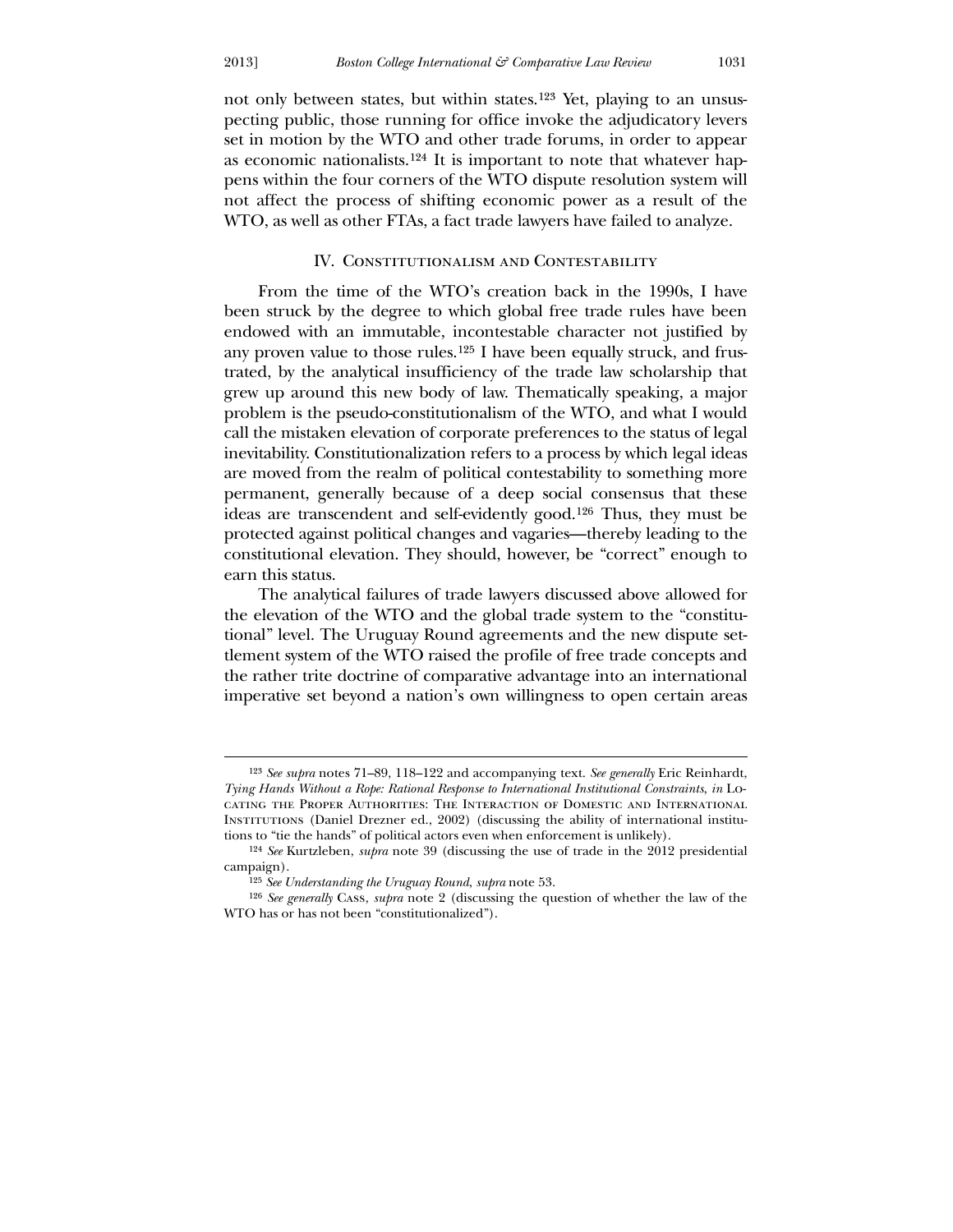$\overline{a}$ 

not only between states, but within states.[123](#page-27-0) Yet, playing to an unsuspecting public, those running for office invoke the adjudicatory levers set in motion by the WTO and other trade forums, in order to appear as economic nationalists.[124](#page-27-1) It is important to note that whatever happens within the four corners of the WTO dispute resolution system will not affect the process of shifting economic power as a result of the WTO, as well as other FTAs, a fact trade lawyers have failed to analyze.

#### IV. Constitutionalism and Contestability

From the time of the WTO's creation back in the 1990s, I have been struck by the degree to which global free trade rules have been endowed with an immutable, incontestable character not justified by any proven value to those rules.[125](#page-27-2) I have been equally struck, and frustrated, by the analytical insufficiency of the trade law scholarship that grew up around this new body of law. Thematically speaking, a major problem is the pseudo-constitutionalism of the WTO, and what I would call the mistaken elevation of corporate preferences to the status of legal inevitability. Constitutionalization refers to a process by which legal ideas are moved from the realm of political contestability to something more permanent, generally because of a deep social consensus that these ideas are transcendent and self-evidently good.[126](#page-27-3) Thus, they must be protected against political changes and vagaries—thereby leading to the constitutional elevation. They should, however, be "correct" enough to earn this status.

 The analytical failures of trade lawyers discussed above allowed for the elevation of the WTO and the global trade system to the "constitutional" level. The Uruguay Round agreements and the new dispute settlement system of the WTO raised the profile of free trade concepts and the rather trite doctrine of comparative advantage into an international imperative set beyond a nation's own willingness to open certain areas

<sup>123</sup> *See supra* notes 71–89, 118–122 and accompanying text. *See generally* Eric Reinhardt, *Tying Hands Without a Rope: Rational Response to International Institutional Constraints*, *in* Locating the Proper Authorities: The Interaction of Domestic and International Institutions (Daniel Drezner ed., 2002) (discussing the ability of international institutions to "tie the hands" of political actors even when enforcement is unlikely).

<sup>124</sup> *See* Kurtzleben, *supra* note 39 (discussing the use of trade in the 2012 presidential campaign).

<sup>125</sup> *See Understanding the Uruguay Round*, *supra* note 53.

<span id="page-27-3"></span><span id="page-27-2"></span><span id="page-27-1"></span><span id="page-27-0"></span><sup>126</sup> *See generally* Cass, *supra* note 2 (discussing the question of whether the law of the WTO has or has not been "constitutionalized").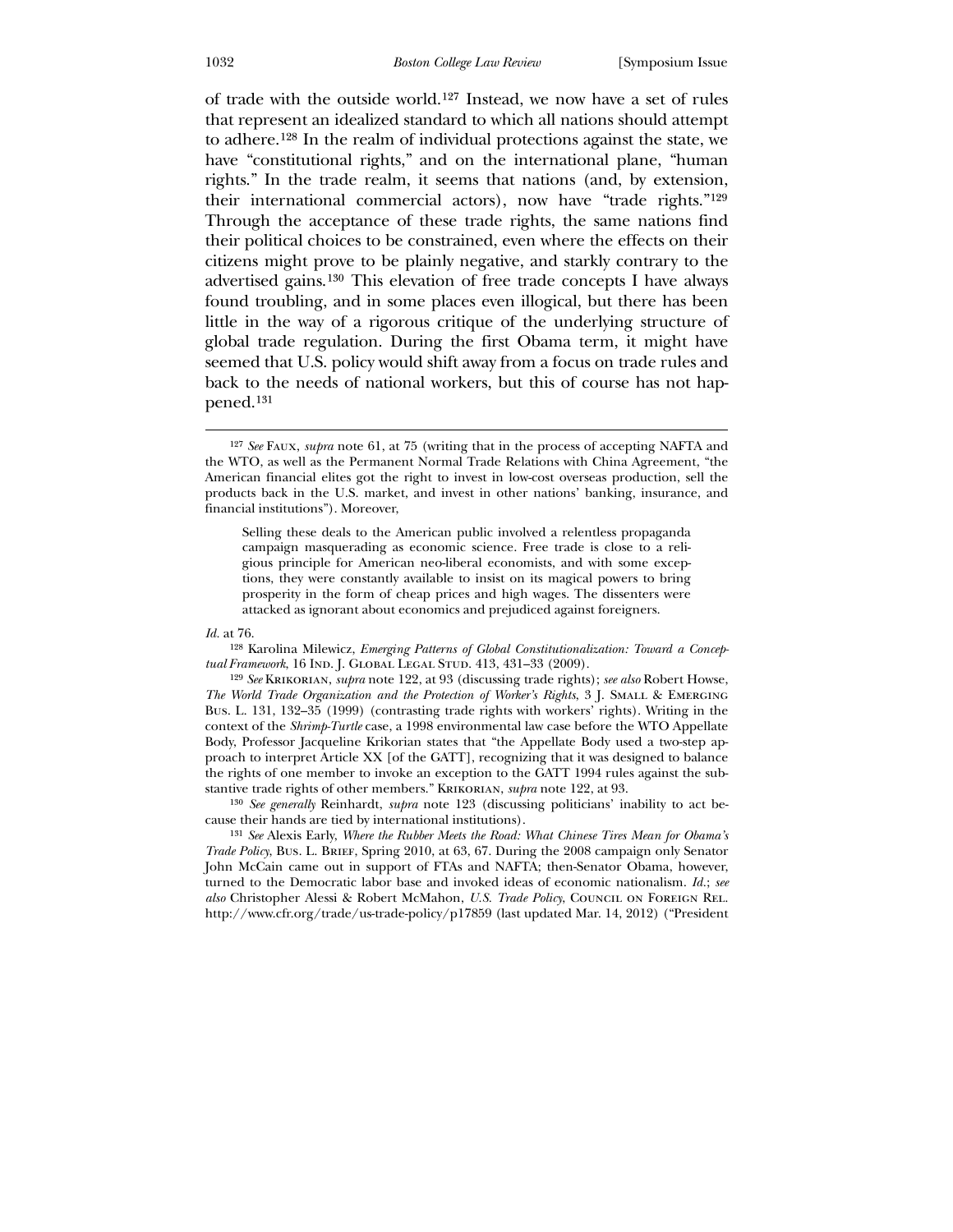of trade with the outside world.[127](#page-28-0) Instead, we now have a set of rules that represent an idealized standard to which all nations should attempt to adhere.[128](#page-28-1) In the realm of individual protections against the state, we have "constitutional rights," and on the international plane, "human rights." In the trade realm, it seems that nations (and, by extension, their international commercial actors), now have "trade rights."[129](#page-28-2) Through the acceptance of these trade rights, the same nations find their political choices to be constrained, even where the effects on their citizens might prove to be plainly negative, and starkly contrary to the advertised gains.[130](#page-28-3) This elevation of free trade concepts I have always found troubling, and in some places even illogical, but there has been little in the way of a rigorous critique of the underlying structure of global trade regulation. During the first Obama term, it might have seemed that U.S. policy would shift away from a focus on trade rules and back to the needs of national workers, but this of course has not happened.[131](#page-28-4)

Selling these deals to the American public involved a relentless propaganda campaign masquerading as economic science. Free trade is close to a religious principle for American neo-liberal economists, and with some exceptions, they were constantly available to insist on its magical powers to bring prosperity in the form of cheap prices and high wages. The dissenters were attacked as ignorant about economics and prejudiced against foreigners.

*Id.* at 76.

 $\overline{a}$ 

128 Karolina Milewicz, *Emerging Patterns of Global Constitutionalization: Toward a Conceptual Framework*, 16 Ind. J. Global Legal Stud. 413, 431–33 (2009).

<span id="page-28-0"></span>129 *See* Krikorian, *supra* note 122, at 93 (discussing trade rights); *see also* Robert Howse, *The World Trade Organization and the Protection of Worker's Rights*, 3 J. Small & Emerging Bus. L. 131, 132–35 (1999) (contrasting trade rights with workers' rights). Writing in the context of the *Shrimp-Turtle* case, a 1998 environmental law case before the WTO Appellate Body, Professor Jacqueline Krikorian states that "the Appellate Body used a two-step approach to interpret Article XX [of the GATT], recognizing that it was designed to balance the rights of one member to invoke an exception to the GATT 1994 rules against the substantive trade rights of other members." Krikorian, *supra* note 122, at 93.

130 *See generally* Reinhardt, *supra* note 123 (discussing politicians' inability to act because their hands are tied by international institutions).

<span id="page-28-4"></span><span id="page-28-3"></span><span id="page-28-2"></span><span id="page-28-1"></span>131 *See* Alexis Early, *Where the Rubber Meets the Road: What Chinese Tires Mean for Obama's Trade Policy*, Bus. L. Brief, Spring 2010, at 63, 67. During the 2008 campaign only Senator John McCain came out in support of FTAs and NAFTA; then-Senator Obama, however, turned to the Democratic labor base and invoked ideas of economic nationalism. *Id.*; *see also* Christopher Alessi & Robert McMahon, *U.S. Trade Policy*, Council on Foreign Rel. http://www.cfr.org/trade/us-trade-policy/p17859 (last updated Mar. 14, 2012) ("President

<sup>127</sup> *See* Faux, *supra* note 61, at 75 (writing that in the process of accepting NAFTA and the WTO, as well as the Permanent Normal Trade Relations with China Agreement, "the American financial elites got the right to invest in low-cost overseas production, sell the products back in the U.S. market, and invest in other nations' banking, insurance, and financial institutions"). Moreover,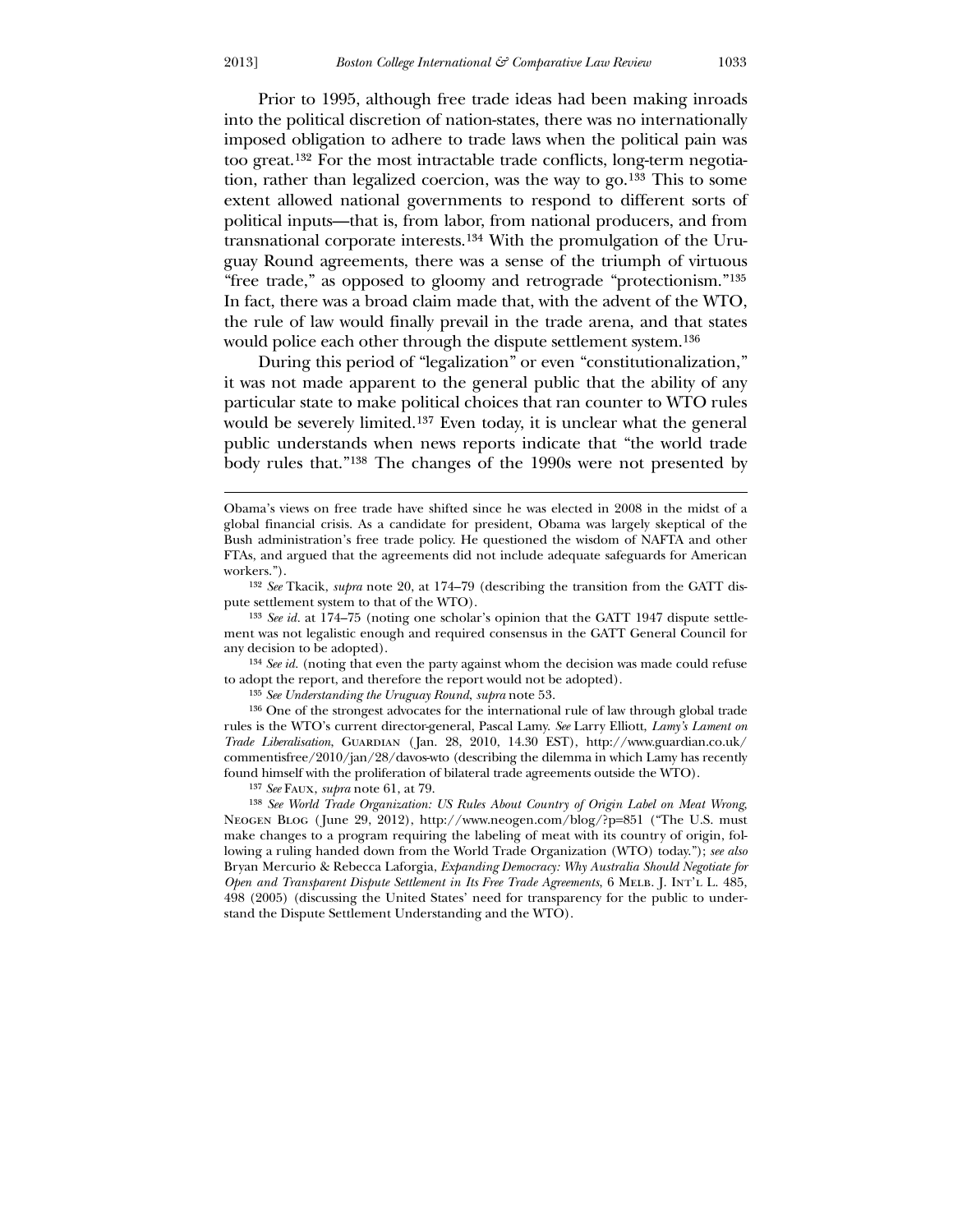Prior to 1995, although free trade ideas had been making inroads into the political discretion of nation-states, there was no internationally imposed obligation to adhere to trade laws when the political pain was too great.[132](#page-29-0) For the most intractable trade conflicts, long-term negotiation, rather than legalized coercion, was the way to go.[133](#page-29-1) This to some extent allowed national governments to respond to different sorts of political inputs—that is, from labor, from national producers, and from transnational corporate interests.[134](#page-29-2) With the promulgation of the Uruguay Round agreements, there was a sense of the triumph of virtuous "free trade," as opposed to gloomy and retrograde "protectionism."[135](#page-29-3) In fact, there was a broad claim made that, with the advent of the WTO, the rule of law would finally prevail in the trade arena, and that states would police each other through the dispute settlement system.[136](#page-29-4)

 During this period of "legalization" or even "constitutionalization," it was not made apparent to the general public that the ability of any particular state to make political choices that ran counter to WTO rules would be severely limited.[137](#page-29-5) Even today, it is unclear what the general public understands when news reports indicate that "the world trade body rules that."[138](#page-29-6) The changes of the 1990s were not presented by

134 *See id.* (noting that even the party against whom the decision was made could refuse to adopt the report, and therefore the report would not be adopted).

135 *See Understanding the Uruguay Round*, *supra* note 53.

136 One of the strongest advocates for the international rule of law through global trade rules is the WTO's current director-general, Pascal Lamy. *See* Larry Elliott, *Lamy's Lament on Trade Liberalisation*, Guardian ( Jan. 28, 2010, 14.30 EST), http://www.guardian.co.uk/ commentisfree/2010/jan/28/davos-wto (describing the dilemma in which Lamy has recently found himself with the proliferation of bilateral trade agreements outside the WTO).

137 *See* Faux, *supra* note 61, at 79.

<span id="page-29-6"></span><span id="page-29-5"></span><span id="page-29-4"></span><span id="page-29-3"></span><span id="page-29-2"></span><span id="page-29-1"></span><span id="page-29-0"></span>138 *See World Trade Organization: US Rules About Country of Origin Label on Meat Wrong*, Neogen Blog ( June 29, 2012), http://www.neogen.com/blog/?p=851 ("The U.S. must make changes to a program requiring the labeling of meat with its country of origin, following a ruling handed down from the World Trade Organization (WTO) today."); *see also* Bryan Mercurio & Rebecca Laforgia, *Expanding Democracy: Why Australia Should Negotiate for Open and Transparent Dispute Settlement in Its Free Trade Agreements*, 6 Melb. J. Int'l L. 485, 498 (2005) (discussing the United States' need for transparency for the public to understand the Dispute Settlement Understanding and the WTO).

<u>.</u>

Obama's views on free trade have shifted since he was elected in 2008 in the midst of a global financial crisis. As a candidate for president, Obama was largely skeptical of the Bush administration's free trade policy. He questioned the wisdom of NAFTA and other FTAs, and argued that the agreements did not include adequate safeguards for American workers.").

<sup>132</sup> *See* Tkacik, *supra* note 20, at 174–79 (describing the transition from the GATT dispute settlement system to that of the WTO).

<sup>133</sup> *See id.* at 174–75 (noting one scholar's opinion that the GATT 1947 dispute settlement was not legalistic enough and required consensus in the GATT General Council for any decision to be adopted).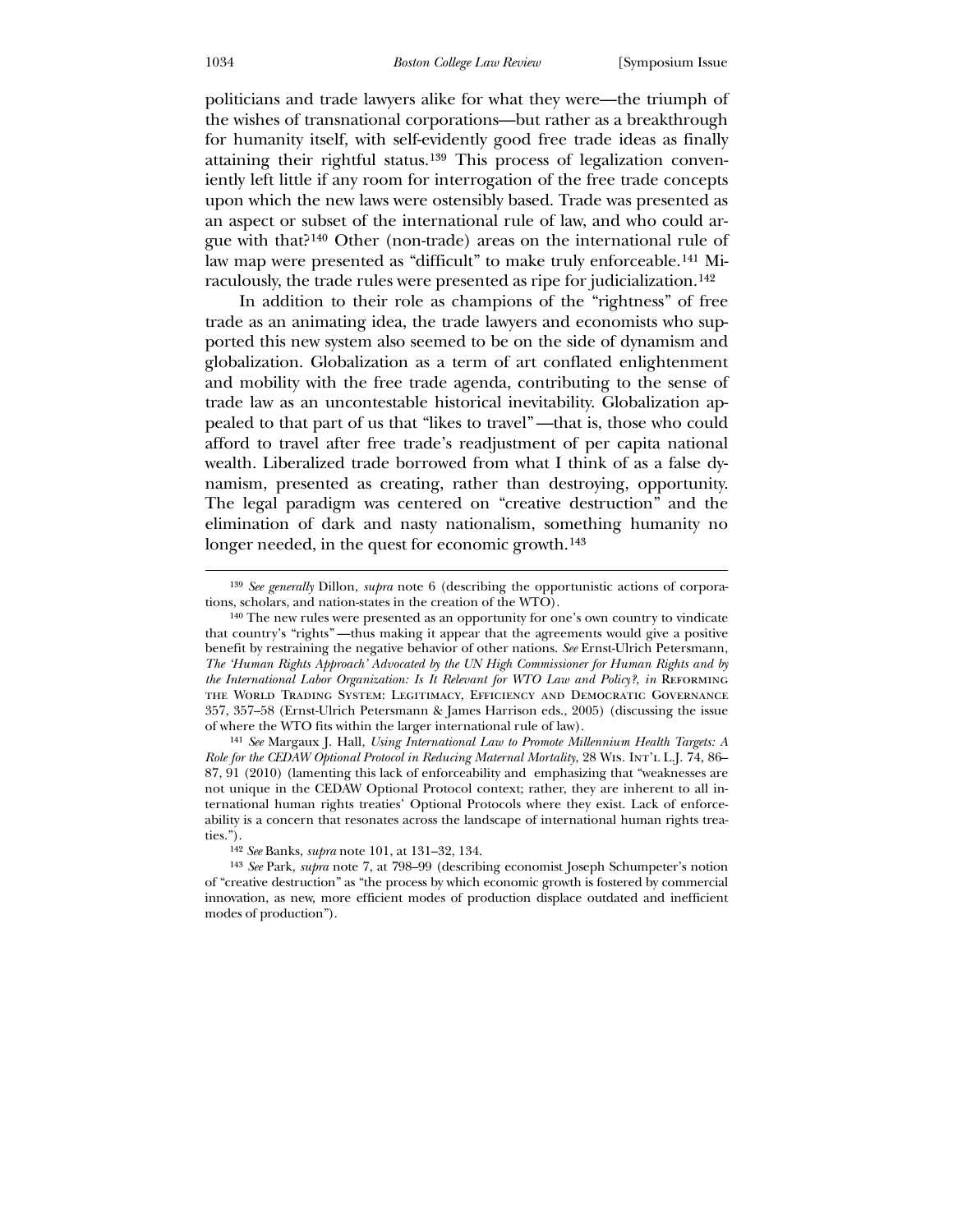politicians and trade lawyers alike for what they were—the triumph of the wishes of transnational corporations—but rather as a breakthrough for humanity itself, with self-evidently good free trade ideas as finally attaining their rightful status.[139](#page-30-0) This process of legalization conveniently left little if any room for interrogation of the free trade concepts upon which the new laws were ostensibly based. Trade was presented as an aspect or subset of the international rule of law, and who could argue with that?[140](#page-30-1) Other (non-trade) areas on the international rule of law map were presented as "difficult" to make truly enforceable.[141](#page-30-2) Miraculously, the trade rules were presented as ripe for judicialization.[142](#page-30-3)

 In addition to their role as champions of the "rightness" of free trade as an animating idea, the trade lawyers and economists who supported this new system also seemed to be on the side of dynamism and globalization. Globalization as a term of art conflated enlightenment and mobility with the free trade agenda, contributing to the sense of trade law as an uncontestable historical inevitability. Globalization appealed to that part of us that "likes to travel" —that is, those who could afford to travel after free trade's readjustment of per capita national wealth. Liberalized trade borrowed from what I think of as a false dynamism, presented as creating, rather than destroying, opportunity. The legal paradigm was centered on "creative destruction" and the elimination of dark and nasty nationalism, something humanity no longer needed, in the quest for economic growth.<sup>[143](#page-30-4)</sup>

141 *See* Margaux J. Hall, *Using International Law to Promote Millennium Health Targets: A Role for the CEDAW Optional Protocol in Reducing Maternal Mortality*, 28 Wis. Int'l L.J. 74, 86– 87, 91 (2010) (lamenting this lack of enforceability and emphasizing that "weaknesses are not unique in the CEDAW Optional Protocol context; rather, they are inherent to all international human rights treaties' Optional Protocols where they exist. Lack of enforceability is a concern that resonates across the landscape of international human rights treaties.").

<sup>139</sup> *See generally* Dillon, *supra* note 6 (describing the opportunistic actions of corporations, scholars, and nation-states in the creation of the WTO).

<sup>140</sup> The new rules were presented as an opportunity for one's own country to vindicate that country's "rights" —thus making it appear that the agreements would give a positive benefit by restraining the negative behavior of other nations. *See* Ernst-Ulrich Petersmann, *The 'Human Rights Approach' Advocated by the UN High Commissioner for Human Rights and by the International Labor Organization: Is It Relevant for WTO Law and Policy?*, *in* Reforming the World Trading System: Legitimacy, Efficiency and Democratic Governance 357, 357–58 (Ernst-Ulrich Petersmann & James Harrison eds., 2005) (discussing the issue of where the WTO fits within the larger international rule of law).

<sup>142</sup> *See* Banks, *supra* note 101, at 131–32, 134.

<span id="page-30-4"></span><span id="page-30-3"></span><span id="page-30-2"></span><span id="page-30-1"></span><span id="page-30-0"></span><sup>143</sup> *See* Park, *supra* note 7, at 798–99 (describing economist Joseph Schumpeter's notion of "creative destruction" as "the process by which economic growth is fostered by commercial innovation, as new, more efficient modes of production displace outdated and inefficient modes of production").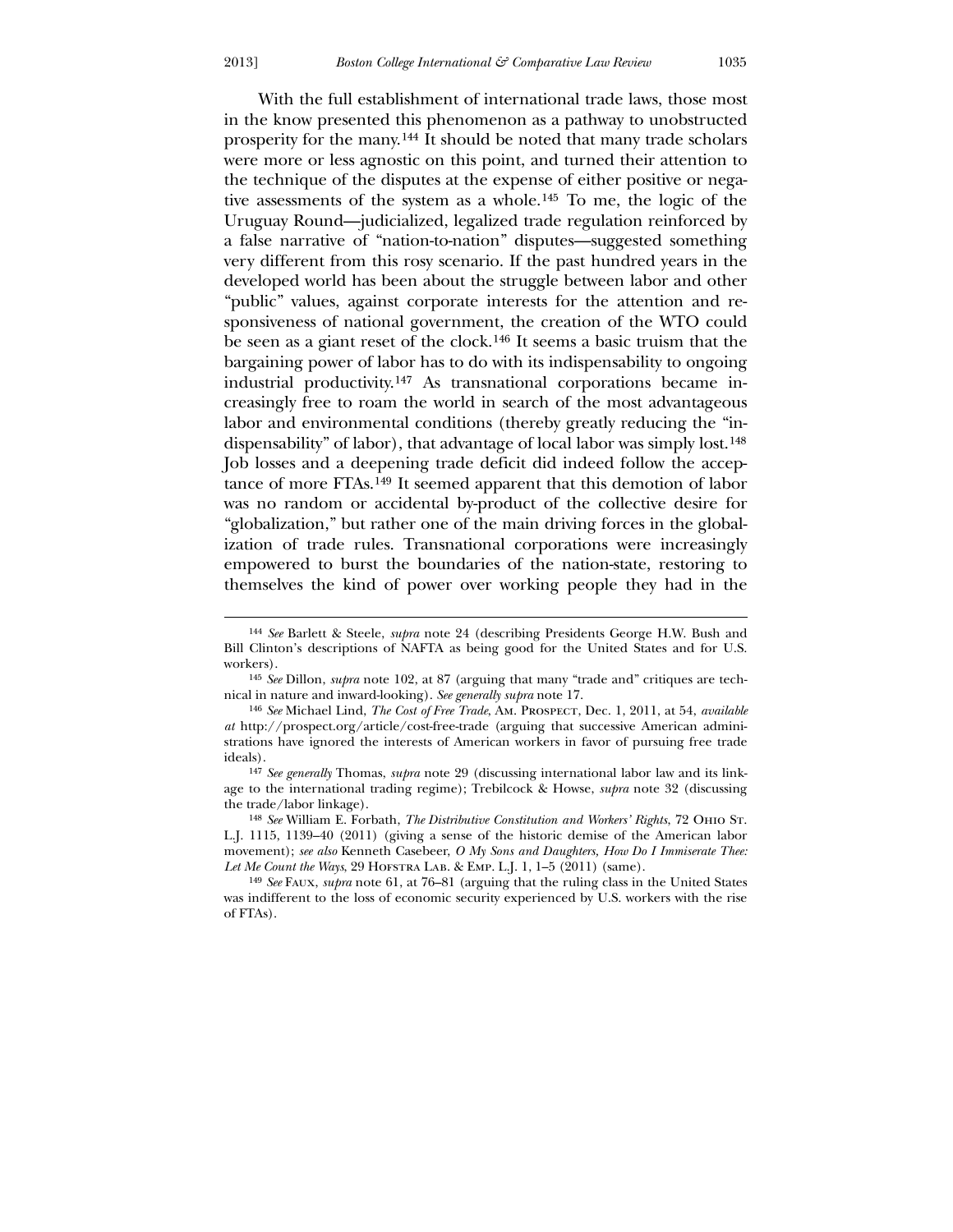With the full establishment of international trade laws, those most in the know presented this phenomenon as a pathway to unobstructed prosperity for the many.[144](#page-31-0) It should be noted that many trade scholars were more or less agnostic on this point, and turned their attention to the technique of the disputes at the expense of either positive or negative assessments of the system as a whole.[145](#page-31-1) To me, the logic of the Uruguay Round—judicialized, legalized trade regulation reinforced by a false narrative of "nation-to-nation" disputes—suggested something very different from this rosy scenario. If the past hundred years in the developed world has been about the struggle between labor and other "public" values, against corporate interests for the attention and responsiveness of national government, the creation of the WTO could be seen as a giant reset of the clock.[146](#page-31-2) It seems a basic truism that the bargaining power of labor has to do with its indispensability to ongoing industrial productivity.[147](#page-31-3) As transnational corporations became increasingly free to roam the world in search of the most advantageous labor and environmental conditions (thereby greatly reducing the "indispensability" of labor), that advantage of local labor was simply lost.[148](#page-31-4) Job losses and a deepening trade deficit did indeed follow the acceptance of more FTAs.[149](#page-31-5) It seemed apparent that this demotion of labor was no random or accidental by-product of the collective desire for "globalization," but rather one of the main driving forces in the globalization of trade rules. Transnational corporations were increasingly empowered to burst the boundaries of the nation-state, restoring to themselves the kind of power over working people they had in the

-

<sup>144</sup> *See* Barlett & Steele, *supra* note 24 (describing Presidents George H.W. Bush and Bill Clinton's descriptions of NAFTA as being good for the United States and for U.S. workers).

<sup>145</sup> *See* Dillon, *supra* note 102, at 87 (arguing that many "trade and" critiques are technical in nature and inward-looking). *See generally supra* note 17.

<sup>146</sup> *See* Michael Lind, *The Cost of Free Trade*, Am. Prospect, Dec. 1, 2011, at 54, *available at* http://prospect.org/article/cost-free-trade (arguing that successive American administrations have ignored the interests of American workers in favor of pursuing free trade ideals).

<sup>147</sup> *See generally* Thomas, *supra* note 29 (discussing international labor law and its linkage to the international trading regime); Trebilcock & Howse, *supra* note 32 (discussing the trade/labor linkage).

<sup>148</sup> *See* William E. Forbath, *The Distributive Constitution and Workers' Rights*, 72 Ohio St. L.J. 1115, 1139–40 (2011) (giving a sense of the historic demise of the American labor movement); *see also* Kenneth Casebeer, *O My Sons and Daughters, How Do I Immiserate Thee: Let Me Count the Ways*, 29 HOFSTRA LAB. & EMP. L.J. 1, 1–5 (2011) (same).

<span id="page-31-5"></span><span id="page-31-4"></span><span id="page-31-3"></span><span id="page-31-2"></span><span id="page-31-1"></span><span id="page-31-0"></span><sup>149</sup> *See* Faux, *supra* note 61, at 76–81 (arguing that the ruling class in the United States was indifferent to the loss of economic security experienced by U.S. workers with the rise of FTAs).